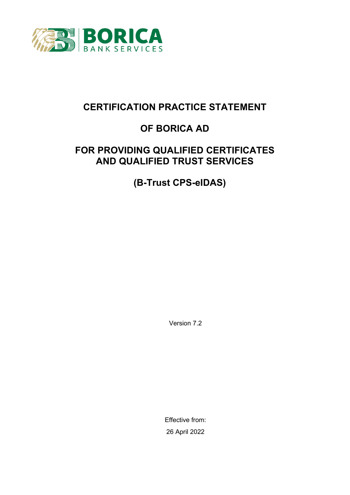

# **CERTIFICATION PRACTICE STATEMENT**

# **OF BORICA AD**

# **FOR PROVIDING QUALIFIED CERTIFICATES AND QUALIFIED TRUST SERVICES**

**(B-Trust CPS-eIDAS)**

Version 7.2

Effective from: 26 April 2022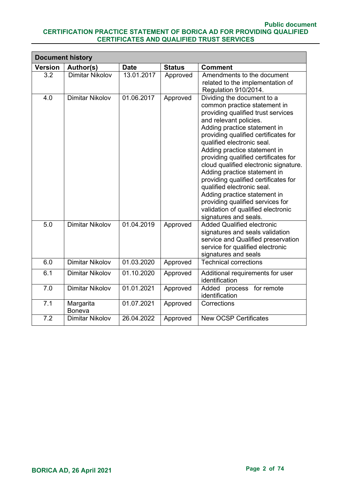|                | <b>Document history</b>    |             |               |                                                                                                                                                                                                                                                                                                                                                                                                                                                                                                                                                                                            |  |
|----------------|----------------------------|-------------|---------------|--------------------------------------------------------------------------------------------------------------------------------------------------------------------------------------------------------------------------------------------------------------------------------------------------------------------------------------------------------------------------------------------------------------------------------------------------------------------------------------------------------------------------------------------------------------------------------------------|--|
| <b>Version</b> | Author(s)                  | <b>Date</b> | <b>Status</b> | <b>Comment</b>                                                                                                                                                                                                                                                                                                                                                                                                                                                                                                                                                                             |  |
| 3.2            | <b>Dimitar Nikolov</b>     | 13.01.2017  | Approved      | Amendments to the document<br>related to the implementation of<br>Regulation 910/2014.                                                                                                                                                                                                                                                                                                                                                                                                                                                                                                     |  |
| 4.0            | <b>Dimitar Nikolov</b>     | 01.06.2017  | Approved      | Dividing the document to a<br>common practice statement in<br>providing qualified trust services<br>and relevant policies.<br>Adding practice statement in<br>providing qualified certificates for<br>qualified electronic seal.<br>Adding practice statement in<br>providing qualified certificates for<br>cloud qualified electronic signature.<br>Adding practice statement in<br>providing qualified certificates for<br>qualified electronic seal.<br>Adding practice statement in<br>providing qualified services for<br>validation of qualified electronic<br>signatures and seals. |  |
| 5.0            | <b>Dimitar Nikolov</b>     | 01.04.2019  | Approved      | <b>Added Qualified electronic</b><br>signatures and seals validation<br>service and Qualified preservation<br>service for qualified electronic<br>signatures and seals                                                                                                                                                                                                                                                                                                                                                                                                                     |  |
| 6.0            | <b>Dimitar Nikolov</b>     | 01.03.2020  | Approved      | <b>Technical corrections</b>                                                                                                                                                                                                                                                                                                                                                                                                                                                                                                                                                               |  |
| 6.1            | <b>Dimitar Nikolov</b>     | 01.10.2020  | Approved      | Additional requirements for user<br>identification                                                                                                                                                                                                                                                                                                                                                                                                                                                                                                                                         |  |
| 7.0            | <b>Dimitar Nikolov</b>     | 01.01.2021  | Approved      | Added process for remote<br>identification                                                                                                                                                                                                                                                                                                                                                                                                                                                                                                                                                 |  |
| 7.1            | Margarita<br><b>Boneva</b> | 01.07.2021  | Approved      | Corrections                                                                                                                                                                                                                                                                                                                                                                                                                                                                                                                                                                                |  |
| 7.2            | <b>Dimitar Nikolov</b>     | 26.04.2022  | Approved      | <b>New OCSP Certificates</b>                                                                                                                                                                                                                                                                                                                                                                                                                                                                                                                                                               |  |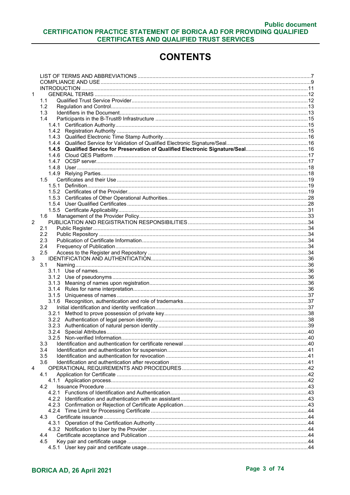# **CONTENTS**

| 1              |               |  |
|----------------|---------------|--|
|                | 1.1           |  |
|                | 1.2           |  |
|                | 1.3           |  |
|                | 1.4           |  |
|                |               |  |
|                |               |  |
|                |               |  |
|                |               |  |
|                | 1.4.5         |  |
|                | 1.4.6         |  |
|                |               |  |
|                |               |  |
|                |               |  |
|                | 1.5           |  |
|                |               |  |
|                |               |  |
|                |               |  |
|                |               |  |
|                |               |  |
|                | 1.6           |  |
| $\overline{2}$ |               |  |
|                | 2.1           |  |
|                | 2.2           |  |
|                | 2.3           |  |
|                | 2.4           |  |
|                | 2.5           |  |
| 3              |               |  |
|                | 3.1           |  |
|                |               |  |
|                |               |  |
|                |               |  |
|                |               |  |
|                |               |  |
|                |               |  |
|                | $3.2^{\circ}$ |  |
|                |               |  |
|                |               |  |
|                |               |  |
|                |               |  |
|                |               |  |
|                | 3.3           |  |
|                | 3.4           |  |
|                | 3.5           |  |
|                | 3.6           |  |
| 4              |               |  |
|                | 4.1           |  |
|                |               |  |
|                | 4.2           |  |
|                |               |  |
|                |               |  |
|                |               |  |
|                |               |  |
|                | 4.3           |  |
|                |               |  |
|                |               |  |
|                | 4.4           |  |
|                | 4.5           |  |
|                |               |  |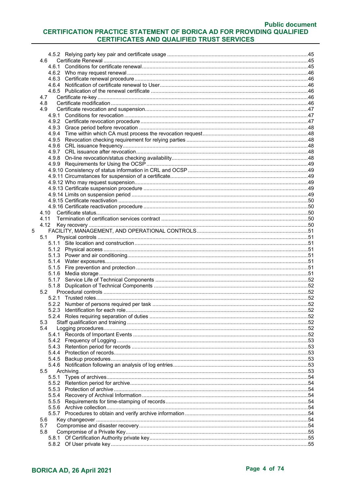|   | 4.6          |     |
|---|--------------|-----|
|   |              |     |
|   |              |     |
|   |              |     |
|   |              |     |
|   |              |     |
|   | 4.7          |     |
|   | 4.8          |     |
|   | 4.9          |     |
|   |              |     |
|   |              |     |
|   |              |     |
|   |              |     |
|   |              |     |
|   |              |     |
|   |              |     |
|   |              |     |
|   |              |     |
|   |              |     |
|   |              |     |
|   |              |     |
|   |              |     |
|   |              |     |
|   |              |     |
|   |              |     |
|   | 4.12         |     |
| 5 |              |     |
|   | 5.1          |     |
|   |              |     |
|   |              |     |
|   |              |     |
|   |              |     |
|   |              |     |
|   |              |     |
|   |              |     |
|   | 5.2          |     |
|   |              |     |
|   |              | .52 |
|   |              |     |
|   | 5.3          |     |
|   | 5.4          |     |
|   |              |     |
|   |              |     |
|   |              |     |
|   |              |     |
|   | 5.4.5        |     |
|   |              |     |
|   | 5.5<br>5.5.1 |     |
|   |              |     |
|   |              |     |
|   |              |     |
|   |              |     |
|   |              |     |
|   |              |     |
|   | 5.6          |     |
|   | 5.7          |     |
|   | 5.8          |     |
|   |              |     |
|   |              |     |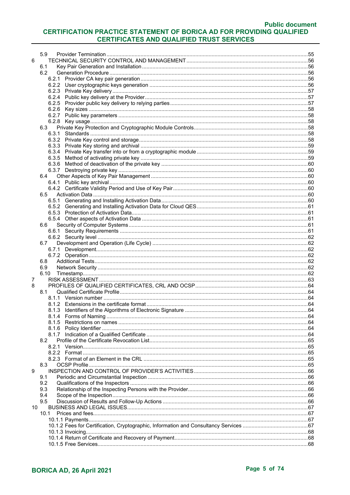# **Public document**

#### CERTIFICATION PRACTICE STATEMENT OF BORICA AD FOR PROVIDING QUALIFIED **CERTIFICATES AND QUALIFIED TRUST SERVICES**

|    | 5.9   |  |
|----|-------|--|
| 6  |       |  |
|    | 6.1   |  |
|    | 6.2   |  |
|    |       |  |
|    |       |  |
|    |       |  |
|    |       |  |
|    |       |  |
|    |       |  |
|    |       |  |
|    |       |  |
|    |       |  |
|    |       |  |
|    | 6.3   |  |
|    |       |  |
|    |       |  |
|    |       |  |
|    |       |  |
|    |       |  |
|    |       |  |
|    |       |  |
|    |       |  |
|    | 6.4   |  |
|    |       |  |
|    |       |  |
|    |       |  |
|    | 6.5   |  |
|    |       |  |
|    |       |  |
|    |       |  |
|    |       |  |
|    | 6.6   |  |
|    |       |  |
|    |       |  |
|    |       |  |
|    | 6.7   |  |
|    |       |  |
|    |       |  |
|    | 6.8   |  |
|    | 6.9   |  |
|    |       |  |
|    | 6.10  |  |
| 7  |       |  |
| 8  |       |  |
|    | 8.1   |  |
|    |       |  |
|    |       |  |
|    |       |  |
|    |       |  |
|    |       |  |
|    |       |  |
|    |       |  |
|    | 8.1.7 |  |
|    | 8.2   |  |
|    |       |  |
|    |       |  |
|    |       |  |
|    |       |  |
|    | 8.3   |  |
| 9  |       |  |
|    | 9.1   |  |
|    | 9.2   |  |
|    |       |  |
|    | 9.3   |  |
|    | 9.4   |  |
|    | 9.5   |  |
| 10 |       |  |
|    | 10.1  |  |
|    |       |  |
|    |       |  |
|    |       |  |
|    |       |  |
|    |       |  |
|    |       |  |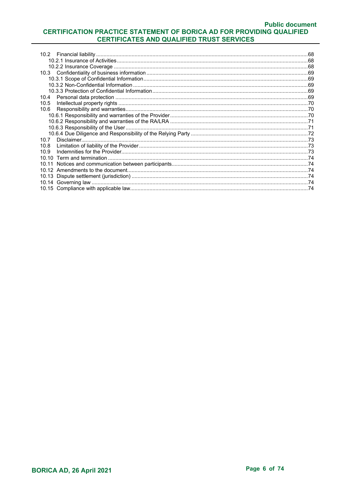| 10.4  |  |
|-------|--|
| 10.5  |  |
| 10.6  |  |
|       |  |
|       |  |
|       |  |
|       |  |
| 10.7  |  |
| 10.8  |  |
| 10.9  |  |
|       |  |
| 10 11 |  |
|       |  |
|       |  |
|       |  |
|       |  |
|       |  |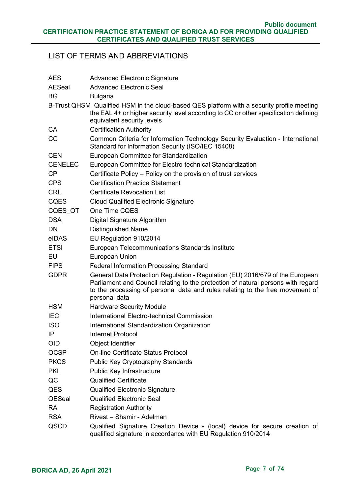# <span id="page-6-0"></span>LIST OF TERMS AND ABBREVIATIONS

| <b>AES</b>     | <b>Advanced Electronic Signature</b>                                                                                                                                                                                                                                |
|----------------|---------------------------------------------------------------------------------------------------------------------------------------------------------------------------------------------------------------------------------------------------------------------|
| <b>AESeal</b>  | <b>Advanced Electronic Seal</b>                                                                                                                                                                                                                                     |
| <b>BG</b>      | <b>Bulgaria</b>                                                                                                                                                                                                                                                     |
|                | B-Trust QHSM Qualified HSM in the cloud-based QES platform with a security profile meeting<br>the EAL 4+ or higher security level according to CC or other specification defining<br>equivalent security levels                                                     |
| CA             | <b>Certification Authority</b>                                                                                                                                                                                                                                      |
| CC             | Common Criteria for Information Technology Security Evaluation - International<br>Standard for Information Security (ISO/IEC 15408)                                                                                                                                 |
| <b>CEN</b>     | European Committee for Standardization                                                                                                                                                                                                                              |
| <b>CENELEC</b> | European Committee for Electro-technical Standardization                                                                                                                                                                                                            |
| CP             | Certificate Policy – Policy on the provision of trust services                                                                                                                                                                                                      |
| <b>CPS</b>     | <b>Certification Practice Statement</b>                                                                                                                                                                                                                             |
| <b>CRL</b>     | <b>Certificate Revocation List</b>                                                                                                                                                                                                                                  |
| <b>CQES</b>    | <b>Cloud Qualified Electronic Signature</b>                                                                                                                                                                                                                         |
| CQES OT        | One Time CQES                                                                                                                                                                                                                                                       |
| <b>DSA</b>     | Digital Signature Algorithm                                                                                                                                                                                                                                         |
| <b>DN</b>      | <b>Distinguished Name</b>                                                                                                                                                                                                                                           |
| eIDAS          | EU Regulation 910/2014                                                                                                                                                                                                                                              |
| <b>ETSI</b>    | European Telecommunications Standards Institute                                                                                                                                                                                                                     |
| EU             | <b>European Union</b>                                                                                                                                                                                                                                               |
| <b>FIPS</b>    | <b>Federal Information Processing Standard</b>                                                                                                                                                                                                                      |
| <b>GDPR</b>    | General Data Protection Regulation - Regulation (EU) 2016/679 of the European<br>Parliament and Council relating to the protection of natural persons with regard<br>to the processing of personal data and rules relating to the free movement of<br>personal data |
| <b>HSM</b>     | <b>Hardware Security Module</b>                                                                                                                                                                                                                                     |
| <b>IEC</b>     | International Electro-technical Commission                                                                                                                                                                                                                          |
| <b>ISO</b>     | International Standardization Organization                                                                                                                                                                                                                          |
| IP             | Internet Protocol                                                                                                                                                                                                                                                   |
| <b>OID</b>     | Object Identifier                                                                                                                                                                                                                                                   |
| <b>OCSP</b>    | <b>On-line Certificate Status Protocol</b>                                                                                                                                                                                                                          |
| <b>PKCS</b>    | <b>Public Key Cryptography Standards</b>                                                                                                                                                                                                                            |
| <b>PKI</b>     | Public Key Infrastructure                                                                                                                                                                                                                                           |
| QC             | <b>Qualified Certificate</b>                                                                                                                                                                                                                                        |
| QES            | <b>Qualified Electronic Signature</b>                                                                                                                                                                                                                               |
| QESeal         | <b>Qualified Electronic Seal</b>                                                                                                                                                                                                                                    |
| <b>RA</b>      | <b>Registration Authority</b>                                                                                                                                                                                                                                       |
| <b>RSA</b>     | Rivest - Shamir - Adelman                                                                                                                                                                                                                                           |
| QSCD           | Qualified Signature Creation Device - (local) device for secure creation of<br>qualified signature in accordance with EU Regulation 910/2014                                                                                                                        |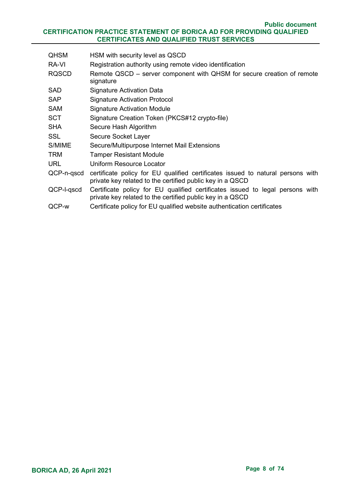| <b>QHSM</b>  | HSM with security level as QSCD                                                                                                              |
|--------------|----------------------------------------------------------------------------------------------------------------------------------------------|
| RA-VI        | Registration authority using remote video identification                                                                                     |
| <b>RQSCD</b> | Remote QSCD – server component with QHSM for secure creation of remote<br>signature                                                          |
| <b>SAD</b>   | <b>Signature Activation Data</b>                                                                                                             |
| <b>SAP</b>   | <b>Signature Activation Protocol</b>                                                                                                         |
| <b>SAM</b>   | <b>Signature Activation Module</b>                                                                                                           |
| <b>SCT</b>   | Signature Creation Token (PKCS#12 crypto-file)                                                                                               |
| <b>SHA</b>   | Secure Hash Algorithm                                                                                                                        |
| <b>SSL</b>   | Secure Socket Layer                                                                                                                          |
| S/MIME       | Secure/Multipurpose Internet Mail Extensions                                                                                                 |
| <b>TRM</b>   | <b>Tamper Resistant Module</b>                                                                                                               |
| <b>URL</b>   | Uniform Resource Locator                                                                                                                     |
| QCP-n-qscd   | certificate policy for EU qualified certificates issued to natural persons with<br>private key related to the certified public key in a QSCD |
| QCP-I-qscd   | Certificate policy for EU qualified certificates issued to legal persons with<br>private key related to the certified public key in a QSCD   |
| QCP-w        | Certificate policy for EU qualified website authentication certificates                                                                      |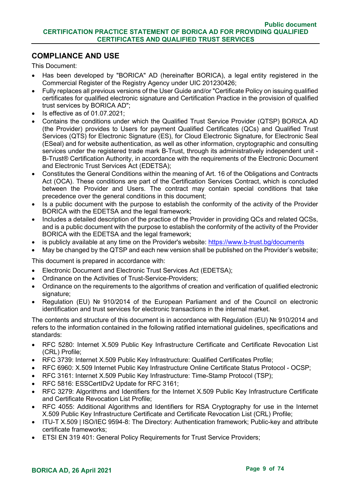# <span id="page-8-0"></span>**COMPLIANCE AND USE**

This Document:

- Has been developed by "BORICA" AD (hereinafter BORICA), a legal entity registered in the Commercial Register of the Registry Agency under UIC 201230426;
- Fully replaces all previous versions of the User Guide and/or "Certificate Policy on issuing qualified certificates for qualified electronic signature and Certification Practice in the provision of qualified trust services by BORICA AD";
- Is effective as of 01.07.2021;
- Contains the conditions under which the Qualified Trust Service Provider (QTSP) BORICA AD (the Provider) provides to Users for payment Qualified Certificates (QCs) and Qualified Trust Services (QTS) for Electronic Signature (ES), for Cloud Electronic Signature, for Electronic Seal (ESeal) and for website authentication, as well as other information, cryptographic and consulting services under the registered trade mark B-Trust, through its administratively independent unit -B-Trust® Certification Authority, in accordance with the requirements of the Electronic Document and Electronic Trust Services Act (EDETSA);
- Constitutes the General Conditions within the meaning of Art. 16 of the Obligations and Contracts Act (OCA). These conditions are part of the Certification Services Contract, which is concluded between the Provider and Users. The contract may contain special conditions that take precedence over the general conditions in this document;
- Is a public document with the purpose to establish the conformity of the activity of the Provider BORICA with the EDETSA and the legal framework;
- Includes a detailed description of the practice of the Provider in providing QCs and related QCSs, and is a public document with the purpose to establish the conformity of the activity of the Provider BORICA with the EDETSA and the legal framework;
- is publicly available at any time on the Provider's website:<https://www.b-trust.bg/documents>
- May be changed by the QTSP and each new version shall be published on the Provider's website;

This document is prepared in accordance with:

- Electronic Document and Electronic Trust Services Act (EDETSA);
- Ordinance on the Activities of Trust-Service-Providers;
- Ordinance on the requirements to the algorithms of creation and verification of qualified electronic signature:
- Regulation (EU) № 910/2014 of the European Parliament and of the Council on electronic identification and trust services for electronic transactions in the internal market.

The contents and structure of this document is in accordance with Regulation (EU) № 910/2014 and refers to the information contained in the following ratified international guidelines, specifications and standards:

- RFC 5280: Internet X.509 Public Key Infrastructure Certificate and Certificate Revocation List (CRL) Profile;
- RFC 3739: Internet X.509 Public Key Infrastructure: Qualified Certificates Profile;
- RFC 6960: X.509 Internet Public Key Infrastructure Online Certificate Status Protocol OCSP;
- RFC 3161: Internet X.509 Public Key Infrastructure: Time-Stamp Protocol (TSP);
- RFC 5816: ESSCertIDv2 Update for RFC 3161;
- RFC 3279: Algorithms and Identifiers for the Internet X.509 Public Key Infrastructure Certificate and Certificate Revocation List Profile;
- RFC 4055: Additional Algorithms and Identifiers for RSA Cryptography for use in the Internet X.509 Public Key Infrastructure Certificate and Certificate Revocation List (CRL) Profile;
- ITU-T X.509 | ISO/IEC 9594-8: The Directory: Authentication framework; Public-key and attribute certificate frameworks;
- ETSI EN 319 401: General Policy Requirements for Trust Service Providers;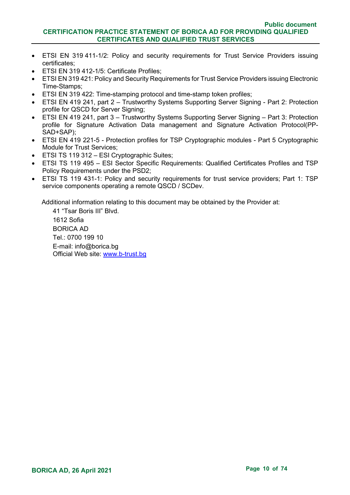- ETSI EN 319 411-1/2: Policy and security requirements for Trust Service Providers issuing certificates;
- ETSI EN 319 412-1/5: Certificate Profiles;
- ETSI EN 319 421: Policy and Security Requirements for Trust Service Providers issuing Electronic Time-Stamps;
- ETSI EN 319 422: Time-stamping protocol and time-stamp token profiles;
- ETSI EN 419 241, part 2 Trustworthy Systems Supporting Server Signing Part 2: Protection profile for QSCD for Server Signing;
- ETSI EN 419 241, part 3 Trustworthy Systems Supporting Server Signing Part 3: Protection profile for Signature Activation Data management and Signature Activation Protocol(PP-SAD+SAP);
- ETSI EN 419 221-5 Protection profiles for TSP Cryptographic modules Part 5 Cryptographic Module for Trust Services;
- ETSI TS 119 312 ESI Cryptographic Suites;
- ETSI TS 119 495 ESI Sector Specific Requirements: Qualified Certificates Profiles and TSP Policy Requirements under the PSD2;
- ETSI TS 119 431-1: Policy and security requirements for trust service providers; Part 1: TSP service components operating a remote QSCD / SCDev.

Additional information relating to this document may be obtained by the Provider at:

41 "Tsar Boris III" Blvd. 1612 Sofia BORICA AD Tel.: 0700 199 10 E-mail: info@borica.bg Official Web site: www.b-trust.bg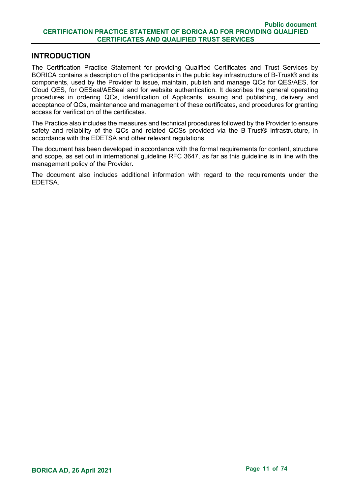#### <span id="page-10-0"></span>**INTRODUCTION**

The Certification Practice Statement for providing Qualified Certificates and Trust Services by BORICA contains a description of the participants in the public key infrastructure of B-Trust® and its components, used by the Provider to issue, maintain, publish and manage QCs for QES/AES, for Cloud QES, for QESeal/AESeal and for website authentication. It describes the general operating procedures in ordering QCs, identification of Applicants, issuing and publishing, delivery and acceptance of QCs, maintenance and management of these certificates, and procedures for granting access for verification of the certificates.

The Practice also includes the measures and technical procedures followed by the Provider to ensure safety and reliability of the QCs and related QCSs provided via the B-Trust<sup>®</sup> infrastructure, in accordance with the EDETSA and other relevant regulations.

The document has been developed in accordance with the formal requirements for content, structure and scope, as set out in international guideline RFC 3647, as far as this guideline is in line with the management policy of the Provider.

The document also includes additional information with regard to the requirements under the EDETSA.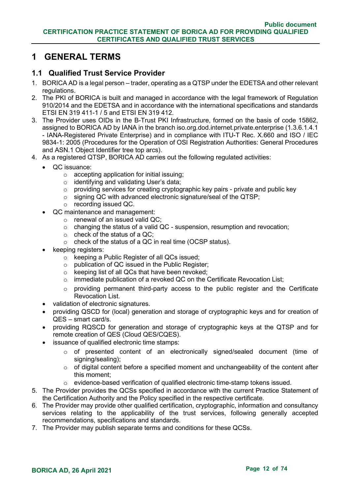# <span id="page-11-0"></span>**1 GENERAL TERMS**

# <span id="page-11-1"></span>**1.1 Qualified Trust Service Provider**

- 1. BORICA AD is a legal person trader, operating as a QTSP under the EDETSA and other relevant regulations.
- 2. The PKI of BORICA is built and managed in accordance with the legal framework of Regulation 910/2014 and the EDETSA and in accordance with the international specifications and standards ETSI EN 319 411-1 / 5 and ETSI EN 319 412.
- 3. The Provider uses OIDs in the B-Trust PKI Infrastructure, formed on the basis of code 15862, assigned to BORICA AD by IANA in the branch iso.org.dod.internet.private.enterprise (1.3.6.1.4.1 - IANA-Registered Private Enterprise) and in compliance with ITU-T Rec. X.660 and ISO / IEC 9834-1: 2005 (Procedures for the Operation of OSI Registration Authorities: General Procedures and ASN.1 Object Identifier tree top arcs).
- 4. As a registered QTSP, BORICA AD carries out the following regulated activities:
	- QC issuance:
		- $\circ$  accepting application for initial issuing;
		- o identifying and validating User's data;
		- o providing services for creating cryptographic key pairs private and public key
		- o signing QC with advanced electronic signature/seal of the QTSP;
		- o recording issued QC.
	- QC maintenance and management:
		- o renewal of an issued valid QC;
		- o changing the status of a valid QC suspension, resumption and revocation;
		- $\circ$  check of the status of a QC;
		- o check of the status of a QC in real time (OCSP status).
	- keeping registers:
		- $\circ$  keeping a Public Register of all QCs issued;
		- o publication of QC issued in the Public Register;
		- o keeping list of all QCs that have been revoked;
		- o immediate publication of a revoked QC on the Certificate Revocation List;
		- o providing permanent third-party access to the public register and the Certificate Revocation List.
	- validation of electronic signatures.
	- providing QSCD for (local) generation and storage of cryptographic keys and for creation of QES – smart card/s.
	- providing RQSCD for generation and storage of cryptographic keys at the QTSP and for remote creation of QES (Cloud QES/CQES).
	- issuance of qualified electronic time stamps:
		- o of presented content of an electronically signed/sealed document (time of signing/sealing);
		- o of digital content before a specified moment and unchangeability of the content after this moment;
		- evidence-based verification of qualified electronic time-stamp tokens issued.
- 5. The Provider provides the QCSs specified in accordance with the current Practice Statement of the Certification Authority and the Policy specified in the respective certificate.
- 6. The Provider may provide other qualified certification, cryptographic, information and consultancy services relating to the applicability of the trust services, following generally accepted recommendations, specifications and standards.
- 7. The Provider may publish separate terms and conditions for these QCSs.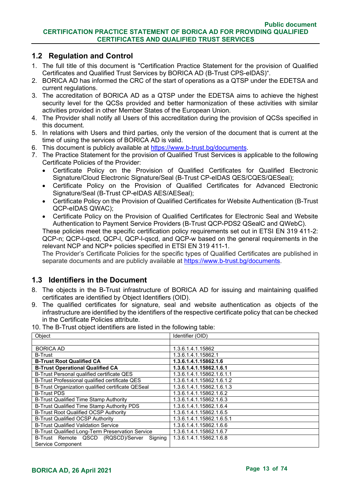# <span id="page-12-0"></span>**1.2 Regulation and Control**

- 1. The full title of this document is "Certification Practice Statement for the provision of Qualified Certificates and Qualified Trust Services by BORICA AD (B-Trust CPS-eIDAS)".
- 2. BORICA AD has informed the CRC of the start of operations as a QTSP under the EDETSA and current regulations.
- 3. The accreditation of BORICA AD as a QTSP under the EDETSA aims to achieve the highest security level for the QCSs provided and better harmonization of these activities with similar activities provided in other Member States of the European Union.
- 4. The Provider shall notify all Users of this accreditation during the provision of QCSs specified in this document.
- 5. In relations with Users and third parties, only the version of the document that is current at the time of using the services of BORICA AD is valid.
- 6. This document is publicly available at https://www.b-trust.bg/documents.
- 7. The Practice Statement for the provision of Qualified Trust Services is applicable to the following Certificate Policies of the Provider:
	- Certificate Policy on the Provision of Qualified Certificates for Qualified Electronic Signature/Cloud Electronic Signature/Seal (B-Trust CP-eIDAS QES/CQES/QESeal);
	- Certificate Policy on the Provision of Qualified Certificates for Advanced Electronic Signature/Seal (B-Trust CP-eIDAS AES/AESeal);
	- Certificate Policy on the Provision of Qualified Certificates for Website Authentication (B-Trust QCP-eIDAS QWAC);
	- Certificate Policy on the Provision of Qualified Certificates for Electronic Seal and Website Authentication to Payment Service Providers (B-Trust QCP-PDS2 QSealC and QWebC).

These policies meet the specific certification policy requirements set out in ETSI EN 319 411-2: QCP-n; QCP-l-qscd, QCP-l, QCP-l-qscd, and QCP-w based on the general requirements in the relevant NCP and NCP+ policies specified in ETSI EN 319 411-1.

The Provider's Certificate Policies for the specific types of Qualified Certificates are published in separate documents and are publicly available at https://www.b-trust.bg/documents.

# <span id="page-12-1"></span>**1.3 Identifiers in the Document**

- 8. The objects in the B-Trust infrastructure of BORICA AD for issuing and maintaining qualified certificates are identified by Object Identifiers (OID).
- 9. The qualified certificates for signature, seal and website authentication as objects of the infrastructure are identified by the identifiers of the respective certificate policy that can be checked in the Certificate Policies attribute.

| Object                                            | Identifier (OID)          |
|---------------------------------------------------|---------------------------|
|                                                   |                           |
| <b>BORICA AD</b>                                  | 1.3.6.1.4.1.15862         |
| <b>B-Trust</b>                                    | 1.3.6.1.4.1.15862.1       |
| <b>B-Trust Root Qualified CA</b>                  | 1.3.6.1.4.1.15862.1.6     |
| <b>B-Trust Operational Qualified CA</b>           | 1.3.6.1.4.1.15862.1.6.1   |
| B-Trust Personal qualified certificate QES        | 1.3.6.1.4.1.15862.1.6.1.1 |
| B-Trust Professional qualified certificate QES    | 1.3.6.1.4.1.15862.1.6.1.2 |
| B-Trust Organization qualified certificate QESeal | 1.3.6.1.4.1.15862.1.6.1.3 |
| <b>B-Trust PDS</b>                                | 1.3.6.1.4.1.15862.1.6.2   |
| B-Trust Qualified Time Stamp Authority            | 1.3.6.1.4.1.15862.1.6.3   |
| B-Trust Qualified Time Stamp Authority PDS        | 1.3.6.1.4.1.15862.1.6.4   |
| B-Trust Root Qualified OCSP Authority             | 1.3.6.1.4.1.15862.1.6.5   |
| <b>B-Trust Qualified OCSP Authority</b>           | 1.3.6.1.4.1.15862.1.6.5.1 |
| <b>B-Trust Qualified Validation Service</b>       | 1.3.6.1.4.1.15862.1.6.6   |
| B-Trust Qualified Long-Term Preservation Service  | 1.3.6.1.4.1.15862.1.6.7   |
| B-Trust Remote QSCD (RQSCD)/Server<br>Signing     | 1.3.6.1.4.1.15862.1.6.8   |
| Service Component                                 |                           |

10. The B-Trust object identifiers are listed in the following table: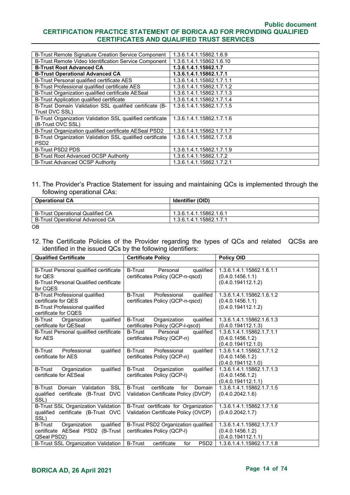| B-Trust Remote Signature Creation Service Component       | 1.3.6.1.4.1.15862.1.6.9   |
|-----------------------------------------------------------|---------------------------|
| B-Trust Remote Video Identification Service Component     | 1.3.6.1.4.1.15862.1.6.10  |
| <b>B-Trust Root Advanced CA</b>                           | 1.3.6.1.4.1.15862.1.7     |
| <b>B-Trust Operational Advanced CA</b>                    | 1.3.6.1.4.1.15862.1.7.1   |
| B-Trust Personal qualified certificate AES                | 1.3.6.1.4.1.15862.1.7.1.1 |
| B-Trust Professional qualified certificate AES            | 1.3.6.1.4.1.15862.1.7.1.2 |
| B-Trust Organization qualified certificate AESeal         | 1.3.6.1.4.1.15862.1.7.1.3 |
| B-Trust Application qualified certificate                 | 1.3.6.1.4.1.15862.1.7.1.4 |
| B-Trust Domain Validation SSL qualified certificate (B-   | 1.3.6.1.4.1.15862.1.7.1.5 |
| Trust DVC SSL)                                            |                           |
| B-Trust Organization Validation SSL qualified certificate | 1.3.6.1.4.1.15862.1.7.1.6 |
| (B-Trust OVC SSL)                                         |                           |
| B-Trust Organization qualified certificate AESeal PSD2    | 1.3.6.1.4.1.15862.1.7.1.7 |
| B-Trust Organization Validation SSL qualified certificate | 1.3.6.1.4.1.15862.1.7.1.8 |
| PSD <sub>2</sub>                                          |                           |
| <b>B-Trust PSD2 PDS</b>                                   | 1.3.6.1.4.1.15862.1.7.1.9 |
| B-Trust Root Advanced OCSP Authority                      | 1.3.6.1.4.1.15862.1.7.2   |
| B-Trust Advanced OCSP Authority                           | 1.3.6.1.4.1.15862.1.7.2.1 |

#### 11. The Provider's Practice Statement for issuing and maintaining QCs is implemented through the following operational CAs:

| <b>Operational CA</b>              | <b>Identifier (OID)</b> |  |
|------------------------------------|-------------------------|--|
|                                    |                         |  |
| l B-Trust Operational Qualified CA | 1.3.6.1.4.1.15862.1.6.1 |  |
| B-Trust Operational Advanced CA    | 1.3.6.1.4.1.15862.1.7.1 |  |

ОВ

12. The Certificate Policies of the Provider regarding the types of QCs and related QCSs are identified in the issued QCs by the following identifiers:

| <b>Qualified Certificate</b>                                                                                                  | <b>Certificate Policy</b>                                                              | <b>Policy OID</b>                                                   |
|-------------------------------------------------------------------------------------------------------------------------------|----------------------------------------------------------------------------------------|---------------------------------------------------------------------|
|                                                                                                                               |                                                                                        |                                                                     |
| B-Trust Personal qualified certificate<br>for QES<br><b>B-Trust Personal Qualified certificate</b><br>for CQES                | <b>B-Trust</b><br>Personal<br>qualified<br>certificates Policy (QCP-n-qscd)            | 1.3.6.1.4.1.15862.1.6.1.1<br>(0.4.0.1456.1.1)<br>(0.4.0.194112.1.2) |
| <b>B-Trust Professional qualified</b><br>certificate for QES<br><b>B-Trust Professional qualified</b><br>certificate for CQES | <b>B-Trust</b><br>Professional<br>qualified<br>certificates Policy (QCP-n-qscd)        | 1.3.6.1.4.1.15862.1.6.1.2<br>(0.4.0.1456.1.1)<br>(0.4.0.194112.1.2) |
| <b>B-Trust</b><br>qualified<br>Organization<br>certificate for QESeal                                                         | <b>B-Trust</b><br>Organization<br>qualified<br>certificates Policy (QCP-I-qscd)        | 1.3.6.1.4.1.15862.1.6.1.3<br>(0.4.0.194112.1.3)                     |
| B-Trust Personal qualified certificate<br>for AES                                                                             | <b>B-Trust</b><br>Personal<br>qualified  <br>certificates Policy (QCP-n)               | 1.3.6.1.4.1.15862.1.7.1.1<br>(0.4.0.1456.1.2)<br>(0.4.0.194112.1.0) |
| Professional<br><b>B-Trust</b><br>qualified<br>certificate for AES                                                            | <b>B-Trust</b><br>Professional<br>qualified<br>certificates Policy (QCP-n)             | 1.3.6.1.4.1.15862.1.7.1.2<br>(0.4.0.1456.1.2)<br>(0.4.0.194112.1.0) |
| <b>B-Trust</b><br>qualified<br>Organization<br>certificate for AESeal                                                         | <b>B-Trust</b><br>qualified<br>Organization<br>certificates Policy (QCP-I)             | 1.3.6.1.4.1.15862.1.7.1.3<br>(0.4.0.1456.1.2)<br>(0.4.0.194112.1.1) |
| Validation<br>SSL<br>B-Trust Domain<br>qualified certificate (B-Trust DVC<br>SSL)                                             | <b>B-Trust</b><br>certificate<br>for<br>Domain<br>Validation Certificate Policy (DVCP) | 1.3.6.1.4.1.15862.1.7.1.5<br>(0.4.0.2042.1.6)                       |
| <b>B-Trust SSL Organization Validation</b><br>qualified certificate (B-Trust OVC<br>SSL)                                      | B-Trust certificate for Organization<br>Validation Certificate Policy (OVCP)           | 1.3.6.1.4.1.15862.1.7.1.6<br>(0.4.0.2042.1.7)                       |
| Organization<br>qualified<br><b>B-Trust</b><br>certificate AESeal PSD2 (B-Trust<br>QSeal PSD2)                                | B-Trust PSD2 Organization qualified<br>certificates Policy (QCP-I)                     | 1.3.6.1.4.1.15862.1.7.1.7<br>(0.4.0.1456.1.2)<br>(0.4.0.194112.1.1) |
| B-Trust SSL Organization Validation                                                                                           | <b>B-Trust</b><br>certificate<br>PSD <sub>2</sub><br>for                               | 1.3.6.1.4.1.15862.1.7.1.8                                           |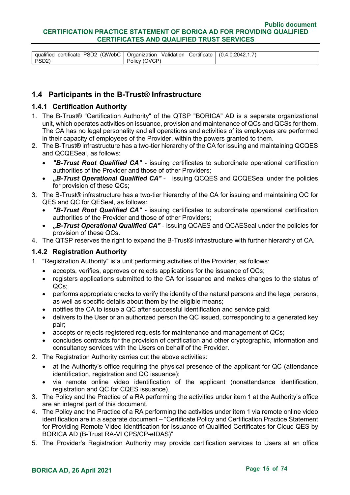|         | <sup>1</sup> qualified certificate PSD2 (QWebC   Organization Validation Certificate   (0.4.0.2042.1.7) |  |
|---------|---------------------------------------------------------------------------------------------------------|--|
| l PSD2) | Policy (OVCP)                                                                                           |  |

# <span id="page-14-0"></span>**1.4 Participants in the B-Trust® Infrastructure**

#### <span id="page-14-1"></span>**1.4.1 Certification Authority**

- 1. The B-Trust® "Certification Authority" of the QTSP "BORICA" AD is a separate organizational unit, which operates activities on issuance, provision and maintenance of QCs and QCSs for them. The CA has no legal personality and all operations and activities of its employees are performed in their capacity of employees of the Provider, within the powers granted to them.
- 2. The B-Trust® infrastructure has a two-tier hierarchy of the CA for issuing and maintaining QCQES and QCQESeal, as follows:
	- *"B-Trust Root Qualified CA"* issuing certificates to subordinate operational certification authorities of the Provider and those of other Providers;
	- *"B-Trust Operational Qualified CA"*  issuing QCQES and QCQESeal under the policies for provision of these QCs;
- 3. The B-Trust® infrastructure has a two-tier hierarchy of the CA for issuing and maintaining QC for QES and QC for QESeal, as follows:
	- *"B-Trust Root Qualified CA"* issuing certificates to subordinate operational certification authorities of the Provider and those of other Providers;
	- *"B-Trust Operational Qualified CA"*  issuing QCAES and QCAESeal under the policies for provision of these QCs.
- 4. The QTSP reserves the right to expand the B-Trust® infrastructure with further hierarchy of CA.

#### <span id="page-14-2"></span>**1.4.2 Registration Authority**

- 1. "Registration Authority" is a unit performing activities of the Provider, as follows:
	- accepts, verifies, approves or rejects applications for the issuance of QCs;
	- registers applications submitted to the CA for issuance and makes changes to the status of QCs;
	- performs appropriate checks to verify the identity of the natural persons and the legal persons, as well as specific details about them by the eligible means;
	- notifies the CA to issue a QC after successful identification and service paid;
	- delivers to the User or an authorized person the QC issued, corresponding to a generated key pair;
	- accepts or rejects registered requests for maintenance and management of QCs;
	- concludes contracts for the provision of certification and other cryptographic, information and consultancy services with the Users on behalf of the Provider.
- 2. The Registration Authority carries out the above activities:
	- at the Authority's office requiring the physical presence of the applicant for QC (attendance identification, registration and QC issuance);
	- via remote online video identification of the applicant (nonattendance identification, registration and QC for CQES issuance).
- 3. The Policy and the Practice of a RA performing the activities under item 1 at the Authority's office are an integral part of this document.
- 4. The Policy and the Practice of a RA performing the activities under item 1 via remote online video identification are in a separate document – "Certificate Policy and Certification Practice Statement for Providing Remote Video Identification for Issuance of Qualified Certificates for Cloud QES by BORICA AD (B-Trust RA-VI CPS/CP-eIDAS)"
- 5. The Provider's Registration Authority may provide certification services to Users at an office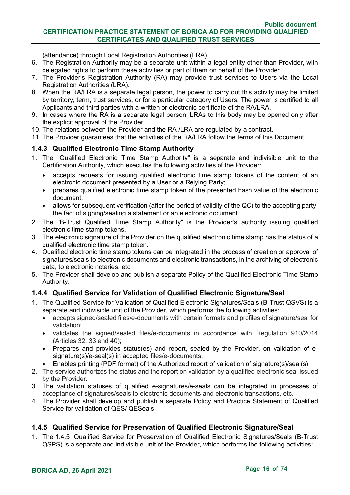(attendance) through Local Registration Authorities (LRA).

- 6. The Registration Authority may be a separate unit within a legal entity other than Provider, with delegated rights to perform these activities or part of them on behalf of the Provider.
- 7. The Provider's Registration Authority (RA) may provide trust services to Users via the Local Registration Authorities (LRA).
- 8. When the RA/LRA is a separate legal person, the power to carry out this activity may be limited by territory, term, trust services, or for a particular category of Users. The power is certified to all Applicants and third parties with a written or electronic certificate of the RA/LRA.
- 9. In cases where the RA is a separate legal person, LRAs to this body may be opened only after the explicit approval of the Provider.
- 10. The relations between the Provider and the RA /LRA are regulated by a contract.
- 11. The Provider guarantees that the activities of the RA/LRA follow the terms of this Document.

# <span id="page-15-0"></span>**1.4.3 Qualified Electronic Time Stamp Authority**

- 1. The "Qualified Electronic Time Stamp Authority" is a separate and indivisible unit to the Certification Authority, which executes the following activities of the Provider:
	- accepts requests for issuing qualified electronic time stamp tokens of the content of an electronic document presented by a User or a Relying Party;
	- prepares qualified electronic time stamp token of the presented hash value of the electronic document;
	- allows for subsequent verification (after the period of validity of the QC) to the accepting party, the fact of signing/sealing a statement or an electronic document.
- 2. The "B-Trust Qualified Time Stamp Authority" is the Provider's authority issuing qualified electronic time stamp tokens.
- 3. The electronic signature of the Provider on the qualified electronic time stamp has the status of a qualified electronic time stamp token.
- 4. Qualified electronic time stamp tokens can be integrated in the process of creation or approval of signatures/seals to electronic documents and electronic transactions, in the archiving of electronic data, to electronic notaries, etc.
- 5. The Provider shall develop and publish a separate Policy of the Qualified Electronic Time Stamp Authority.

# <span id="page-15-1"></span>**1.4.4 Qualified Service for Validation of Qualified Electronic Signature/Seal**

- 1. The Qualified Service for Validation of Qualified Electronic Signatures/Seals (B-Trust QSVS) is a separate and indivisible unit of the Provider, which performs the following activities:
	- accepts signed/sealed files/e-documents with certain formats and profiles of signature/seal for validation;
	- validates the signed/sealed files/e-documents in accordance with Regulation 910/2014 (Articles 32, 33 and 40);
	- Prepares and provides status(es) and report, sealed by the Provider, on validation of esignature(s)/e-seal(s) in accepted files/e-documents;
	- Enables printing (PDF format) of the Authorized report of validation of signature(s)/seal(s).
- 2. The service authorizes the status and the report on validation by a qualified electronic seal issued by the Provider.
- 3. The validation statuses of qualified e-signatures/e-seals can be integrated in processes of acceptance of signatures/seals to electronic documents and electronic transactions, etc.
- 4. The Provider shall develop and publish a separate Policy and Practice Statement of Qualified Service for validation of QES/ QESeals.

# <span id="page-15-2"></span>**1.4.5 Qualified Service for Preservation of Qualified Electronic Signature/Seal**

1. The 1.4.5 Qualified Service for Preservation of Qualified Electronic Signatures/Seals (B-Trust QSPS) is a separate and indivisible unit of the Provider, which performs the following activities: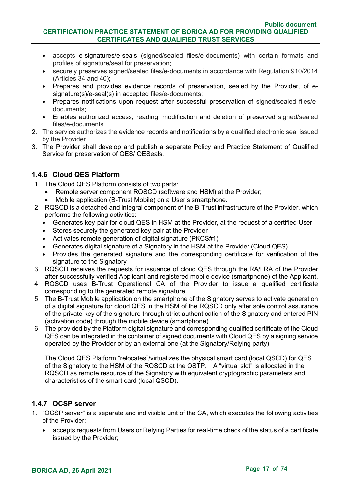- accepts e-signatures/e-seals (signed/sealed files/e-documents) with certain formats and profiles of signature/seal for preservation;
- securely preserves signed/sealed files/e-documents in accordance with Regulation 910/2014 (Articles 34 and 40);
- Prepares and provides evidence records of preservation, sealed by the Provider, of esignature(s)/e-seal(s) in accepted files/e-documents;
- Prepares notifications upon request after successful preservation of signed/sealed files/edocuments;
- Enables authorized access, reading, modification and deletion of preserved signed/sealed files/e-documents.
- 2. The service authorizes the evidence records and notifications by a qualified electronic seal issued by the Provider.
- 3. The Provider shall develop and publish a separate Policy and Practice Statement of Qualified Service for preservation of QES/ QESeals.

# <span id="page-16-0"></span>**1.4.6 Cloud QES Platform**

- 1. The Cloud QES Platform consists of two parts:
	- Remote server component RQSCD (software and HSM) at the Provider;
	- Mobile application (B-Trust Mobile) on a User's smartphone.
- 2. RQSCD is a detached and integral component of the B-Trust infrastructure of the Provider, which performs the following activities:
	- Generates key-pair for cloud QES in HSM at the Provider, at the request of a certified User
	- Stores securely the generated key-pair at the Provider
	- Activates remote generation of digital signature (PKCS#1)
	- Generates digital signature of a Signatory in the HSM at the Provider (Cloud QES)
	- Provides the generated signature and the corresponding certificate for verification of the signature to the Signatory
- 3. RQSCD receives the requests for issuance of cloud QES through the RA/LRA of the Provider after successfully verified Applicant and registered mobile device (smartphone) of the Applicant.
- 4. RQSCD uses B-Trust Operational CA of the Provider to issue a qualified certificate corresponding to the generated remote signature.
- 5. The B-Trust Mobile application on the smartphone of the Signatory serves to activate generation of a digital signature for cloud QES in the HSM of the RQSCD only after sole control assurance of the private key of the signature through strict authentication of the Signatory and entered PIN (activation code) through the mobile device (smartphone).
- 6. The provided by the Platform digital signature and corresponding qualified certificate of the Cloud QES can be integrated in the container of signed documents with Cloud QES by a signing service operated by the Provider or by an external one (at the Signatory/Relying party).

The Cloud QES Platform "relocates"/virtualizes the physical smart card (local QSCD) for QES of the Signatory to the HSM of the RQSCD at the QSTP. A "virtual slot" is allocated in the RQSCD as remote resource of the Signatory with equivalent cryptographic parameters and characteristics of the smart card (local QSCD).

# <span id="page-16-1"></span>**1.4.7 OCSP server**

- 1. "OCSP server" is a separate and indivisible unit of the CA, which executes the following activities of the Provider:
	- accepts requests from Users or Relying Parties for real-time check of the status of a certificate issued by the Provider;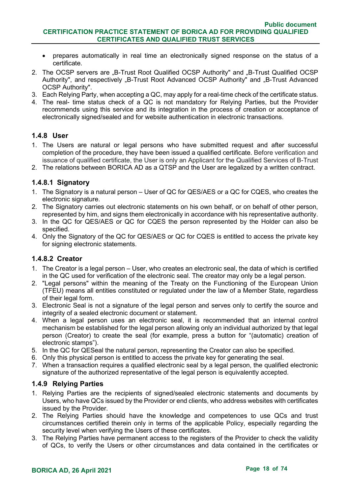- prepares automatically in real time an electronically signed response on the status of a certificate.
- 2. The OCSP servers are "B-Trust Root Qualified OCSP Authority" and "B-Trust Qualified OCSP Authority", and respectively "B-Trust Root Advanced OCSP Authority" and "B-Trust Advanced OCSP Authority".
- 3. Each Relying Party, when accepting a QC, may apply for a real-time check of the certificate status.
- 4. The real- time status check of a QC is not mandatory for Relying Parties, but the Provider recommends using this service and its integration in the process of creation or acceptance of electronically signed/sealed and for website authentication in electronic transactions.

#### <span id="page-17-0"></span>**1.4.8 User**

- 1. The Users are natural or legal persons who have submitted request and after successful completion of the procedure, they have been issued a qualified certificate. Before verification and issuance of qualified certificate, the User is only an Applicant for the Qualified Services of B-Trust
- 2. The relations between BORICA AD as a QTSP and the User are legalized by a written contract.

#### **1.4.8.1 Signatory**

- 1. The Signatory is a natural person User of QC for QES/AES or a QC for CQES, who creates the electronic signature.
- 2. The Signatory carries out electronic statements on his own behalf, or on behalf of other person, represented by him, and signs them electronically in accordance with his representative authority.
- 3. In the QC for QES/AES or QC for CQES the person represented by the Holder can also be specified.
- 4. Only the Signatory of the QC for QES/AES or QC for CQES is entitled to access the private key for signing electronic statements.

#### **1.4.8.2 Creator**

- 1. The Creator is a legal person User, who creates an electronic seal, the data of which is certified in the QC used for verification of the electronic seal. The creator may only be a legal person.
- 2. "Legal persons" within the meaning of the Treaty on the Functioning of the European Union (TFEU) means all entities constituted or regulated under the law of a Member State, regardless of their legal form.
- 3. Electronic Seal is not a signature of the legal person and serves only to certify the source and integrity of a sealed electronic document or statement.
- 4. When a legal person uses an electronic seal, it is recommended that an internal control mechanism be established for the legal person allowing only an individual authorized by that legal person (Creator) to create the seal (for example, press a button for "(automatic) creation of electronic stamps").
- 5. In the QC for QESeal the natural person, representing the Creator can also be specified.
- 6. Only this physical person is entitled to access the private key for generating the seal.
- 7. When a transaction requires a qualified electronic seal by a legal person, the qualified electronic signature of the authorized representative of the legal person is equivalently accepted.

#### <span id="page-17-1"></span>**1.4.9 Relying Parties**

- 1. Relying Parties are the recipients of signed/sealed electronic statements and documents by Users, who have QCs issued by the Provider or end clients, who address websites with certificates issued by the Provider.
- 2. The Relying Parties should have the knowledge and competences to use QCs and trust circumstances certified therein only in terms of the applicable Policy, especially regarding the security level when verifying the Users of these certificates.
- 3. The Relying Parties have permanent access to the registers of the Provider to check the validity of QCs, to verify the Users or other circumstances and data contained in the certificates or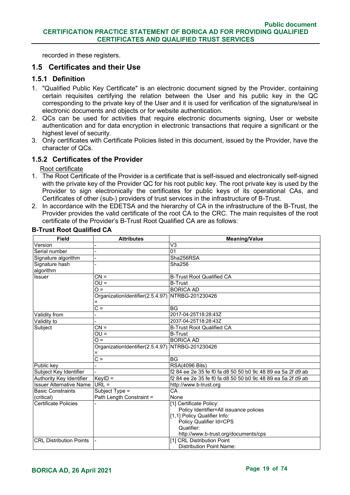recorded in these registers.

# <span id="page-18-0"></span>**1.5 Certificates and their Use**

#### <span id="page-18-1"></span>**1.5.1 Definition**

- 1. "Qualified Public Key Certificate" is an electronic document signed by the Provider, containing certain requisites certifying the relation between the User and his public key in the QC corresponding to the private key of the User and it is used for verification of the signature/seal in electronic documents and objects or for website authentication.
- 2. QCs can be used for activities that require electronic documents signing, User or website authentication and for data encryption in electronic transactions that require a significant or the highest level of security.
- 3. Only certificates with Certificate Policies listed in this document, issued by the Provider, have the character of QCs.

#### <span id="page-18-2"></span>**1.5.2 Certificates of the Provider**

Root certificate

- 1. The Root Certificate of the Provider is a certificate that is self-issued and electronically self-signed with the private key of the Provider QC for his root public key. The root private key is used by the Provider to sign electronically the certificates for public keys of its operational CAs, and Certificates of other (sub-) providers of trust services in the infrastructure of B-Trust.
- 2. In accordance with the EDETSA and the hierarchy of CA in the infrastructure of the B-Trust, the Provider provides the valid certificate of the root CA to the CRC. The main requisites of the root certificate of the Provider's B-Trust Root Qualified CA are as follows:

| <b>Field</b>                   | <b>Attributes</b>                | <b>Meaning/Value</b>                                        |
|--------------------------------|----------------------------------|-------------------------------------------------------------|
| Version                        |                                  | V <sub>3</sub>                                              |
| Serial number                  |                                  | 01                                                          |
| Signature algorithm            |                                  | Sha256RSA                                                   |
| Signature hash                 |                                  | Sha256                                                      |
| algorithm                      |                                  |                                                             |
| <b>Issuer</b>                  | $CN =$                           | <b>B-Trust Root Qualified CA</b>                            |
|                                | $\overline{OU}$                  | <b>B-Trust</b>                                              |
|                                | $Q =$                            | <b>BORICA AD</b>                                            |
|                                | OrganizationIdentifier(2.5.4.97) | NTRBG-201230426                                             |
|                                |                                  |                                                             |
|                                | $rac{}{C}$                       | <b>BG</b>                                                   |
| Validity from                  |                                  | 2017-04-25T18:28:43Z                                        |
| Validity to                    |                                  | 2037-04-25T18:28:43Z                                        |
| Subject                        | $CN =$                           | <b>B-Trust Root Qualified CA</b>                            |
|                                | $QU =$                           | <b>B-Trust</b>                                              |
|                                | $\Omega$ =                       | <b>BORICA AD</b>                                            |
|                                | OrganizationIdentifier(2.5.4.97) | NTRBG-201230426                                             |
|                                |                                  |                                                             |
|                                | $C =$                            | <b>BG</b>                                                   |
| Public key                     |                                  | <b>RSA(4096 Bits)</b>                                       |
| Subject Key Identifier         |                                  | f2 84 ee 2e 35 fe f0 fa d8 50 50 b0 9c 48 89 ea 5a 2f d9 ab |
| Authority Key Identifier       | $KeyID =$                        | f2 84 ee 2e 35 fe f0 fa d8 50 50 b0 9c 48 89 ea 5a 2f d9 ab |
| <b>Issuer Alternative Name</b> | $URL =$                          | http://www.b-trust.org                                      |
| <b>Basic Constraints</b>       | Subject Type =                   | CA                                                          |
| (critical)                     | Path Length Constraint =         | None                                                        |
| Certificate Policies           |                                  | [1] Certificate Policy:                                     |
|                                |                                  | Policy Identifier=All issuance policies                     |
|                                |                                  | [1,1] Policy Qualifier Info:                                |
|                                |                                  | Policy Qualifier Id=CPS                                     |
|                                |                                  | Qualifier:                                                  |
|                                |                                  | http://www.b-trust.org/documents/cps                        |
| <b>CRL Distribution Points</b> |                                  | [1] CRL Distribution Point                                  |
|                                |                                  | <b>Distribution Point Name:</b>                             |

#### **B-Trust Root Qualified CA**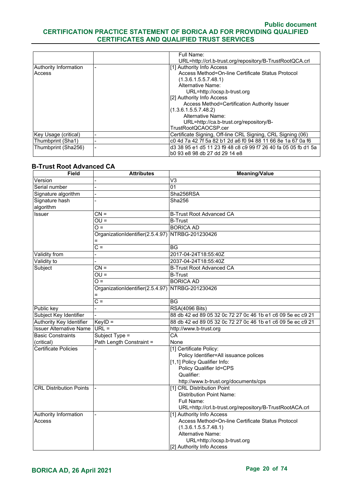|                       |                          | Full Name:                                                     |
|-----------------------|--------------------------|----------------------------------------------------------------|
|                       |                          | URL=http://crl.b-trust.org/repository/B-TrustRootQCA.crl       |
| Authority Information |                          | [1] Authority Info Access                                      |
| Access                |                          | Access Method=On-line Certificate Status Protocol              |
|                       |                          | (1.3.6.1.5.5.7.48.1)                                           |
|                       |                          | Alternative Name:                                              |
|                       |                          | URL=http://ocsp.b-trust.org                                    |
|                       |                          | [2] Authority Info Access                                      |
|                       |                          | Access Method=Certification Authority Issuer                   |
|                       |                          | (1.3.6.1.5.5.7.48.2)                                           |
|                       |                          | Alternative Name:                                              |
|                       |                          | URL=http://ca.b-trust.org/repository/B-                        |
|                       |                          | TrustRootQCAOCSP.cer                                           |
| Key Usage (critical)  |                          | Certificate Signing, Off-line CRL Signing, CRL Signing (06)    |
| Thumbprint (Sha1)     | $\overline{\phantom{0}}$ | c0 4d 7a 42 7f 5a 82 b1 2d a6 f0 94 88 11 66 8e 1a 67 0a f6    |
| Thumbprint (Sha256)   |                          | d3 38 95 e1 d5 11 23 f9 48 c8 c9 99 f7 26 40 fa 05 05 fb d1 5a |
|                       |                          | b0 93 e8 98 db 27 dd 29 14 e8                                  |

#### **B-Trust Root Advanced CA**

| <b>Field</b>                   | <b>Attributes</b>                                | <b>Meaning/Value</b>                                        |
|--------------------------------|--------------------------------------------------|-------------------------------------------------------------|
| Version                        |                                                  | V3                                                          |
| Serial number                  |                                                  | 01                                                          |
| Signature algorithm            |                                                  | Sha256RSA                                                   |
| Signature hash                 |                                                  | Sha256                                                      |
| algorithm                      |                                                  |                                                             |
| Issuer                         | $CN =$                                           | <b>B-Trust Root Advanced CA</b>                             |
|                                | $OU =$                                           | <b>B-Trust</b>                                              |
|                                | $\overline{O}$ =                                 | <b>BORICA AD</b>                                            |
|                                | OrganizationIdentifier(2.5.4.97)                 | NTRBG-201230426                                             |
|                                |                                                  |                                                             |
|                                | $C =$                                            | $\overline{BG}$                                             |
| Validity from                  |                                                  | 2017-04-24T18:55:40Z                                        |
| Validity to                    |                                                  | 2037-04-24T18:55:40Z                                        |
| Subject                        | $CN =$                                           | <b>B-Trust Root Advanced CA</b>                             |
|                                | $OU =$                                           | <b>B-Trust</b>                                              |
|                                | $\Omega =$                                       | <b>BORICA AD</b>                                            |
|                                | Organization dentifier(2.5.4.97) NTRBG-201230426 |                                                             |
|                                |                                                  |                                                             |
|                                | $C =$                                            | <b>BG</b>                                                   |
| Public key                     |                                                  | <b>RSA(4096 Bits)</b>                                       |
| Subject Key Identifier         |                                                  | 88 db 42 ed 89 05 32 0c 72 27 0c 46 1b e1 c6 09 5e ec c9 21 |
| Authority Key Identifier       | $KeyID =$                                        | 88 db 42 ed 89 05 32 0c 72 27 0c 46 1b e1 c6 09 5e ec c9 21 |
| <b>Issuer Alternative Name</b> | $URL =$                                          | http://www.b-trust.org                                      |
| <b>Basic Constraints</b>       | Subject Type =                                   | CA                                                          |
| (critical)                     | Path Length Constraint =                         | None                                                        |
| <b>Certificate Policies</b>    |                                                  | [1] Certificate Policy:                                     |
|                                |                                                  | Policy Identifier=All issuance polices                      |
|                                |                                                  | [1,1] Policy Qualifier Info:                                |
|                                |                                                  | Policy Qualifier Id=CPS                                     |
|                                |                                                  | Qualifier:                                                  |
|                                |                                                  | http://www.b-trust.org/documents/cps                        |
| <b>CRL Distribution Points</b> |                                                  | [1] CRL Distribution Point                                  |
|                                |                                                  | <b>Distribution Point Name:</b>                             |
|                                |                                                  | Full Name:                                                  |
|                                |                                                  | URL=http://crl.b-trust.org/repository/B-TrustRootACA.crl    |
| Authority Information          |                                                  | [1] Authority Info Access                                   |
| Access                         |                                                  | Access Method=On-line Certificate Status Protocol           |
|                                |                                                  | (1.3.6.1.5.5.7.48.1)                                        |
|                                |                                                  | Alternative Name:                                           |
|                                |                                                  | URL=http://ocsp.b-trust.org                                 |
|                                |                                                  | [2] Authority Info Access                                   |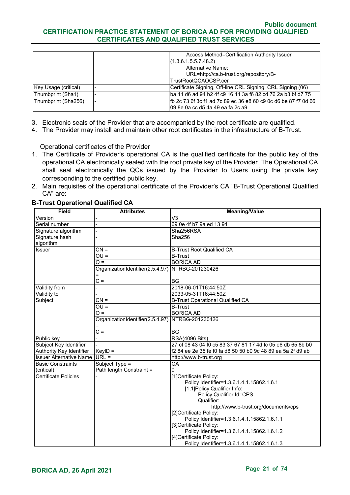|                      |                          | Access Method=Certification Authority Issuer                    |
|----------------------|--------------------------|-----------------------------------------------------------------|
|                      |                          | (1.3.6.1.5.5.7.48.2)                                            |
|                      |                          | <b>Alternative Name:</b>                                        |
|                      |                          | URL=http://ca.b-trust.org/repository/B-                         |
|                      |                          | TrustRootQCAOCSP.cer                                            |
| Key Usage (critical) | $\overline{\phantom{0}}$ | Certificate Signing, Off-line CRL Signing, CRL Signing (06)     |
| Thumbprint (Sha1)    |                          | ba 11 d6 ad 94 b2 4f c9 16 11 3a f6 82 cd 76 2a b3 bf d7 75     |
| Thumbprint (Sha256)  |                          | Ifb 2c 73 6f 3c f1 ad 7c 89 ec 36 e8 60 c9 0c d6 be 87 f7 0d 66 |
|                      |                          | l09 8e 0a cc d5 4a 49 ea fa 2c a9                               |

- 3. Electronic seals of the Provider that are accompanied by the root certificate are qualified.
- 4. The Provider may install and maintain other root certificates in the infrastructure of B-Trust.

Operational certificates of the Provider

- 1. The Certificate of Provider's operational CA is the qualified certificate for the public key of the operational CA electronically sealed with the root private key of the Provider. The Operational CA shall seal electronically the QCs issued by the Provider to Users using the private key corresponding to the certified public key.
- 2. Main requisites of the operational certificate of the Provider's CA "B-Trust Operational Qualified CA" are:

| <b>Field</b>                   | <b>Attributes</b>                                | <b>Meaning/Value</b>                                        |
|--------------------------------|--------------------------------------------------|-------------------------------------------------------------|
| Version                        |                                                  | V <sub>3</sub>                                              |
| Serial number                  |                                                  | 69 0e 4f b7 9a ed 13 94                                     |
| Signature algorithm            |                                                  | Sha256RSA                                                   |
| Signature hash                 |                                                  | Sha256                                                      |
| algorithm                      |                                                  |                                                             |
| <b>Issuer</b>                  | $CN =$                                           | <b>B-Trust Root Qualified CA</b>                            |
|                                | $OU =$                                           | <b>B-Trust</b>                                              |
|                                | $Q =$                                            | <b>BORICA AD</b>                                            |
|                                | OrganizationIdentifier(2.5.4.97) NTRBG-201230426 |                                                             |
|                                | $rac{}{C}$                                       | <b>BG</b>                                                   |
| Validity from                  |                                                  | 2018-06-01T16:44:50Z                                        |
| Validity to                    |                                                  | 2033-05-31T16:44:50Z                                        |
| Subject                        | $CN =$                                           | <b>B-Trust Operational Qualified CA</b>                     |
|                                | $OU =$                                           | <b>B-Trust</b>                                              |
|                                | $\Omega =$                                       | <b>BORICA AD</b>                                            |
|                                | OrganizationIdentifier(2.5.4.97) NTRBG-201230426 |                                                             |
|                                | $C =$                                            | <b>BG</b>                                                   |
| Public key                     |                                                  | <b>RSA(4096 Bits)</b>                                       |
| Subject Key Identifier         |                                                  | 27 cf 08 43 04 f0 c5 83 37 67 81 17 4d fc 05 e6 db 65 8b b0 |
| Authority Key Identifier       | $KeyID =$                                        | f2 84 ee 2e 35 fe f0 fa d8 50 50 b0 9c 48 89 ea 5a 2f d9 ab |
| <b>Issuer Alternative Name</b> | $URL =$                                          | http://www.b-trust.org                                      |
| <b>Basic Constraints</b>       | Subject Type =                                   | CA                                                          |
| (critical)                     | Path length Constraint =                         | 0                                                           |
| <b>Certificate Policies</b>    |                                                  | [1]Certificate Policy:                                      |
|                                |                                                  | Policy Identifier=1.3.6.1.4.1.15862.1.6.1                   |
|                                |                                                  | [1,1]Policy Qualifier Info:                                 |
|                                |                                                  | Policy Qualifier Id=CPS                                     |
|                                |                                                  | Qualifier:                                                  |
|                                |                                                  | http://www.b-trust.org/documents/cps                        |
|                                |                                                  | [2]Certificate Policy:                                      |
|                                |                                                  | Policy Identifier=1.3.6.1.4.1.15862.1.6.1.1                 |
|                                |                                                  | [3]Certificate Policy:                                      |
|                                |                                                  | Policy Identifier=1.3.6.1.4.1.15862.1.6.1.2                 |
|                                |                                                  | [4]Certificate Policy:                                      |
|                                |                                                  | Policy Identifier=1.3.6.1.4.1.15862.1.6.1.3                 |

#### **B-Trust Operational Qualified CA**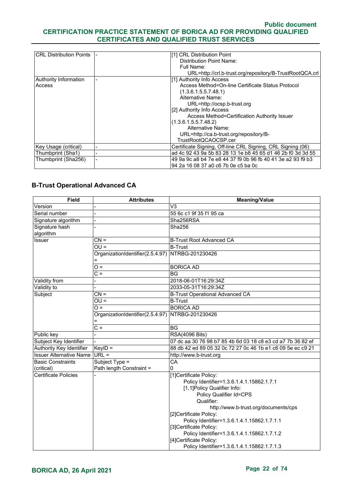| <b>CRL Distribution Points</b> | [1] CRL Distribution Point                                  |
|--------------------------------|-------------------------------------------------------------|
|                                | Distribution Point Name:                                    |
|                                | Full Name:                                                  |
|                                | URL=http://crl.b-trust.org/repository/B-TrustRootQCA.crl    |
| <b>Authority Information</b>   | [1] Authority Info Access                                   |
| Access                         | Access Method=On-line Certificate Status Protocol           |
|                                | (1.3.6.1.5.5.7.48.1)                                        |
|                                | Alternative Name:                                           |
|                                | URL=http://ocsp.b-trust.org                                 |
|                                | [2] Authority Info Access                                   |
|                                | Access Method=Certification Authority Issuer                |
|                                | (1.3.6.1.5.5.7.48.2)                                        |
|                                | Alternative Name:                                           |
|                                | URL=http://ca.b-trust.org/repository/B-                     |
|                                | TrustRootQCAOCSP.cer                                        |
| Key Usage (critical)           | Certificate Signing, Off-line CRL Signing, CRL Signing (06) |
| Thumbprint (Sha1)              | ad 4c 92 43 9a 5b 83 28 13 1e b8 45 65 d1 46 2b f0 3d 3d 55 |
| Thumbprint (Sha256)            | 49 9a 9c a8 b4 7e e8 44 37 f9 0b 96 fb 40 41 3e a2 93 f9 b3 |
|                                | 94 2a 16 08 37 a0 c6 7b 0e c5 ba 0c                         |

## **B-Trust Operational Advanced CA**

| <b>Field</b>                   | <b>Attributes</b>                | <b>Meaning/Value</b>                                        |
|--------------------------------|----------------------------------|-------------------------------------------------------------|
| Version                        |                                  | V <sub>3</sub>                                              |
| Serial number                  |                                  | 55 6c c1 9f 35 f1 95 ca                                     |
| Signature algorithm            |                                  | Sha256RSA                                                   |
| Signature hash                 |                                  | Sha256                                                      |
| algorithm                      |                                  |                                                             |
| <b>Issuer</b>                  | $CN =$                           | <b>B-Trust Root Advanced CA</b>                             |
|                                | $\overline{OU}$                  | <b>B-Trust</b>                                              |
|                                | OrganizationIdentifier(2.5.4.97) | NTRBG-201230426                                             |
|                                | $O =$                            | <b>BORICA AD</b>                                            |
|                                | $C =$                            | <b>BG</b>                                                   |
| Validity from                  |                                  | 2018-06-01T16:29:34Z                                        |
| Validity to                    |                                  | 2033-05-31T16:29:34Z                                        |
| Subject                        | $CN =$                           | <b>B-Trust Operational Advanced CA</b>                      |
|                                | $\overline{OU}$ =                | <b>B-Trust</b>                                              |
|                                | $\overline{O} =$                 | <b>BORICA AD</b>                                            |
|                                | OrganizationIdentifier(2.5.4.97) | NTRBG-201230426                                             |
|                                | Ξ                                |                                                             |
|                                | $C =$                            | <b>BG</b>                                                   |
| Public key                     |                                  | <b>RSA(4096 Bits)</b>                                       |
| Subject Key Identifier         |                                  | 07 dc aa 30 76 98 b7 85 4b 6d 03 18 c8 e3 cd a7 7b 36 82 ef |
| Authority Key Identifier       | $KeyID =$                        | 88 db 42 ed 89 05 32 0c 72 27 0c 46 1b e1 c6 09 5e ec c9 21 |
| <b>Issuer Alternative Name</b> | $URL =$                          | http://www.b-trust.org                                      |
| <b>Basic Constraints</b>       | Subject Type =                   | $\overline{CA}$                                             |
| (critical)                     | Path length Constraint =         | $\Omega$                                                    |
| <b>Certificate Policies</b>    |                                  | [1]Certificate Policy:                                      |
|                                |                                  | Policy Identifier=1.3.6.1.4.1.15862.1.7.1                   |
|                                |                                  | [1,1]Policy Qualifier Info:                                 |
|                                |                                  | Policy Qualifier Id=CPS                                     |
|                                |                                  | Qualifier:                                                  |
|                                |                                  | http://www.b-trust.org/documents/cps                        |
|                                |                                  | [2]Certificate Policy:                                      |
|                                |                                  | Policy Identifier=1.3.6.1.4.1.15862.1.7.1.1                 |
|                                |                                  | [3]Certificate Policy:                                      |
|                                |                                  | Policy Identifier=1.3.6.1.4.1.15862.1.7.1.2                 |
|                                |                                  | [4]Certificate Policy:                                      |
|                                |                                  | Policy Identifier=1.3.6.1.4.1.15862.1.7.1.3                 |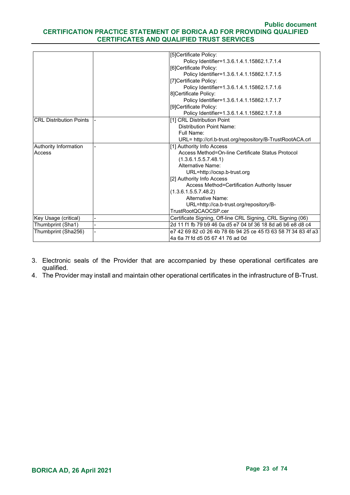|                                | [5]Certificate Policy:                                         |
|--------------------------------|----------------------------------------------------------------|
|                                | Policy Identifier=1.3.6.1.4.1.15862.1.7.1.4                    |
|                                | [6]Certificate Policy:                                         |
|                                | Policy Identifier=1.3.6.1.4.1.15862.1.7.1.5                    |
|                                | [7] Certificate Policy:                                        |
|                                | Policy Identifier=1.3.6.1.4.1.15862.1.7.1.6                    |
|                                | 8]Certificate Policy:                                          |
|                                | Policy Identifier=1.3.6.1.4.1.15862.1.7.1.7                    |
|                                | [9]Certificate Policy:                                         |
|                                | Policy Identifier=1.3.6.1.4.1.15862.1.7.1.8                    |
| <b>CRL Distribution Points</b> | [1] CRL Distribution Point                                     |
|                                | <b>Distribution Point Name:</b>                                |
|                                | Full Name:                                                     |
|                                | URL= http://crl.b-trust.org/repository/B-TrustRootACA.crl      |
| Authority Information          | [1] Authority Info Access                                      |
| Access                         | Access Method=On-line Certificate Status Protocol              |
|                                | (1.3.6.1.5.5.7.48.1)                                           |
|                                | Alternative Name:                                              |
|                                | URL=http://ocsp.b-trust.org                                    |
|                                | [2] Authority Info Access                                      |
|                                | Access Method=Certification Authority Issuer                   |
|                                | (1.3.6.1.5.5.7.48.2)                                           |
|                                | Alternative Name:                                              |
|                                | URL=http://ca.b-trust.org/repository/B-                        |
|                                | TrustRootQCAOCSP.cer                                           |
| Key Usage (critical)           | Certificate Signing, Off-line CRL Signing, CRL Signing (06)    |
| Thumbprint (Sha1)              | 2d 11 f1 fb 79 b9 46 0a d5 e7 04 bf 36 18 8d a6 b6 e8 d8 c4    |
| Thumbprint (Sha256)            | e7 42 69 82 c0 26 4b 78 6b 94 25 ce 45 f3 63 58 7f 34 83 4f a3 |
|                                | 4a 6a 7f fd d5 05 67 41 76 ad 0d                               |

- 3. Electronic seals of the Provider that are accompanied by these operational certificates are qualified.
- 4. The Provider may install and maintain other operational certificates in the infrastructure of B-Trust.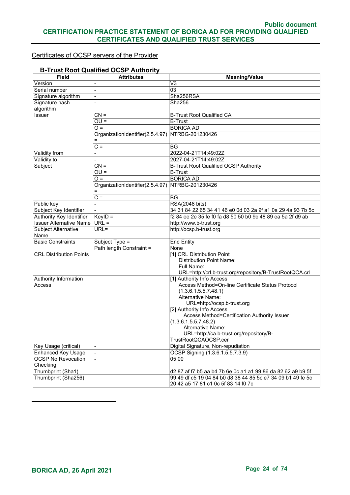#### Certificates of OCSP servers of the Provider

#### **B-Trust Root Qualified OCSP Authority**

| <b>Field</b>                   | <b>Attributes</b>                | <b>Meaning/Value</b>                                        |
|--------------------------------|----------------------------------|-------------------------------------------------------------|
| Version                        |                                  | V <sub>3</sub>                                              |
| Serial number                  |                                  | 03                                                          |
| Signature algorithm            |                                  | Sha256RSA                                                   |
| Signature hash                 |                                  | Sha256                                                      |
| algorithm                      |                                  |                                                             |
| Issuer                         | $CN =$                           | <b>B-Trust Root Qualified CA</b>                            |
|                                | $OU =$                           | <b>B-Trust</b>                                              |
|                                | $O =$                            | <b>BORICA AD</b>                                            |
|                                | OrganizationIdentifier(2.5.4.97) | NTRBG-201230426                                             |
|                                |                                  |                                                             |
|                                | $C =$                            | BG                                                          |
| Validity from                  |                                  | 2022-04-21T14:49:02Z                                        |
| Validity to                    |                                  | 2027-04-21T14:49:02Z                                        |
| Subject                        | $CN =$                           | <b>B-Trust Root Qualified OCSP Authority</b>                |
|                                | $OU =$                           | <b>B-Trust</b>                                              |
|                                | $Q =$                            | <b>BORICA AD</b>                                            |
|                                | OrganizationIdentifier(2.5.4.97) | NTRBG-201230426                                             |
|                                |                                  |                                                             |
|                                | $C =$                            | <b>BG</b>                                                   |
| Public key                     |                                  | RSA(2048 bits)                                              |
| Subject Key Identifier         |                                  | 34 31 84 22 65 34 41 46 e0 0d 03 2a 9f a1 0a 29 4a 93 7b 5c |
| Authority Key Identifier       | $KeyID =$                        | f2 84 ee 2e 35 fe f0 fa d8 50 50 b0 9c 48 89 ea 5a 2f d9 ab |
| <b>Issuer Alternative Name</b> | $URL =$                          | http://www.b-trust.org                                      |
| Subject Alternative<br>Name    | $URL =$                          | http://ocsp.b-trust.org                                     |
| <b>Basic Constraints</b>       | Subject Type =                   | <b>End Entity</b>                                           |
|                                | Path length Constraint =         | None                                                        |
| <b>CRL Distribution Points</b> |                                  | [1] CRL Distribution Point                                  |
|                                |                                  | <b>Distribution Point Name:</b>                             |
|                                |                                  | Full Name:                                                  |
|                                |                                  | URL=http://crl.b-trust.org/repository/B-TrustRootQCA.crl    |
| Authority Information          |                                  | [1] Authority Info Access                                   |
| Access                         |                                  | Access Method=On-line Certificate Status Protocol           |
|                                |                                  | (1.3.6.1.5.5.7.48.1)<br>Alternative Name:                   |
|                                |                                  | URL=http://ocsp.b-trust.org                                 |
|                                |                                  | [2] Authority Info Access                                   |
|                                |                                  | Access Method=Certification Authority Issuer                |
|                                |                                  | (1.3.6.1.5.5.7.48.2)                                        |
|                                |                                  | Alternative Name:                                           |
|                                |                                  | URL=http://ca.b-trust.org/repository/B-                     |
|                                |                                  | TrustRootQCAOCSP.cer                                        |
| Key Usage (critical)           |                                  | Digital Signature, Non-repudiation                          |
| <b>Enhanced Key Usage</b>      |                                  | OCSP Signing (1.3.6.1.5.5.7.3.9)                            |
| <b>OCSP No Revocation</b>      |                                  | 05 00                                                       |
| Checking                       |                                  |                                                             |
| Thumbprint (Sha1)              |                                  | d2 87 af f7 b5 aa b4 7b 6e 0c a1 a1 99 86 da 82 62 a9 b9 5f |
| Thumbprint (Sha256)            |                                  | 99 49 df c5 19 04 84 b0 d8 38 44 85 5c e7 34 09 b1 49 fe 5c |
|                                |                                  | 20 42 a5 17 81 c1 0c 5f 83 14 f0 7c                         |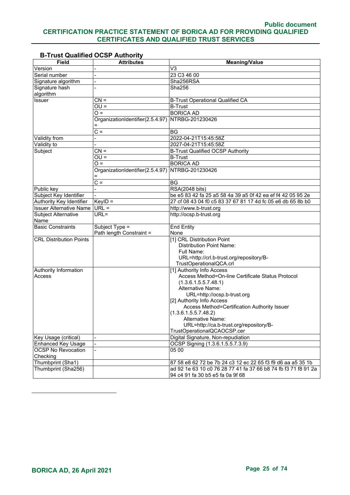| <b>Field</b>                   | <b>Attributes</b>                | <b>Meaning/Value</b>                                           |
|--------------------------------|----------------------------------|----------------------------------------------------------------|
| Version                        |                                  | V3                                                             |
| Serial number                  |                                  | 23 C3 46 00                                                    |
| Signature algorithm            |                                  | Sha256RSA                                                      |
| Signature hash                 |                                  | Sha256                                                         |
| algorithm                      |                                  |                                                                |
| Issuer                         | $CN =$                           | <b>B-Trust Operational Qualified CA</b>                        |
|                                | $OU =$                           | <b>B-Trust</b>                                                 |
|                                | $Q =$                            | <b>BORICA AD</b>                                               |
|                                | OrganizationIdentifier(2.5.4.97) | NTRBG-201230426                                                |
|                                |                                  |                                                                |
|                                | $C =$                            | BG                                                             |
| Validity from                  |                                  | 2022-04-21T15:45:58Z                                           |
| Validity to                    |                                  | 2027-04-21T15:45:58Z                                           |
| Subject                        | $CN =$                           | <b>B-Trust Qualified OCSP Authority</b>                        |
|                                | $OU =$                           | <b>B-Trust</b>                                                 |
|                                | $Q =$                            | <b>BORICA AD</b>                                               |
|                                | OrganizationIdentifier(2.5.4.97) | NTRBG-201230426                                                |
|                                | $\overline{C}$ =                 | <b>BG</b>                                                      |
| Public key                     |                                  | RSA(2048 bits)                                                 |
| Subject Key Identifier         |                                  | be e5 83 42 fa 25 a5 58 4a 39 a5 0f 42 ea ef f4 42 05 95 2e    |
| Authority Key Identifier       | $KeyID =$                        | 27 cf 08 43 04 f0 c5 83 37 67 81 17 4d fc 05 e6 db 65 8b b0    |
| <b>Issuer Alternative Name</b> | $URL =$                          | http://www.b-trust.org                                         |
| Subject Alternative            | URL=                             | http://ocsp.b-trust.org                                        |
| Name                           |                                  |                                                                |
| <b>Basic Constraints</b>       | Subject Type =                   | <b>End Entity</b>                                              |
|                                | Path length Constraint =         | None                                                           |
| <b>CRL Distribution Points</b> |                                  | [1] CRL Distribution Point                                     |
|                                |                                  | <b>Distribution Point Name:</b>                                |
|                                |                                  | Full Name:                                                     |
|                                |                                  | URL=http://crl.b-trust.org/repository/B-                       |
|                                |                                  | TrustOperationalQCA.crl                                        |
| Authority Information          |                                  | [1] Authority Info Access                                      |
| Access                         |                                  | Access Method=On-line Certificate Status Protocol              |
|                                |                                  | (1.3.6.1.5.5.7.48.1)                                           |
|                                |                                  | Alternative Name:<br>URL=http://ocsp.b-trust.org               |
|                                |                                  | [2] Authority Info Access                                      |
|                                |                                  | Access Method=Certification Authority Issuer                   |
|                                |                                  | (1.3.6.1.5.5.7.48.2)                                           |
|                                |                                  | Alternative Name:                                              |
|                                |                                  | URL=http://ca.b-trust.org/repository/B-                        |
|                                |                                  | TrustOperationalQCAOCSP.cer                                    |
| Key Usage (critical)           |                                  | Digital Signature, Non-repudiation                             |
| <b>Enhanced Key Usage</b>      |                                  | OCSP Signing (1.3.6.1.5.5.7.3.9)                               |
| <b>OCSP No Revocation</b>      |                                  | 05 00                                                          |
| Checking                       |                                  |                                                                |
| Thumbprint (Sha1)              |                                  | 87 58 e8 62 72 be 7b 24 c3 12 ec 22 65 f3 f9 d6 aa a5 35 1b    |
| Thumbprint (Sha256)            |                                  | ad 92 1e 63 10 c0 76 28 77 41 fa 37 66 b8 74 fb f3 71 f8 91 2a |
|                                |                                  | 94 c4 91 fa 30 b5 e5 fa 0a 9f 68                               |

# **B-Trust Qualified OCSP Authority**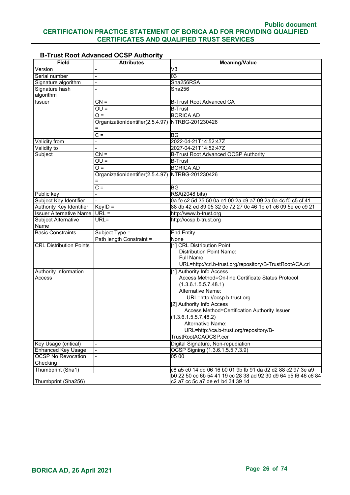#### **B-Trust Root Advanced OCSP Authority**

| <b>Field</b>                    | <b>Attributes</b>                                | <b>Meaning/Value</b>                                           |
|---------------------------------|--------------------------------------------------|----------------------------------------------------------------|
| Version                         |                                                  | V <sub>3</sub>                                                 |
| Serial number                   | $\overline{a}$                                   | $\overline{03}$                                                |
| Signature algorithm             |                                                  | Sha256RSA                                                      |
| Signature hash<br>algorithm     |                                                  | Sha256                                                         |
| Issuer                          | $CN =$                                           | <b>B-Trust Root Advanced CA</b>                                |
|                                 | $OU =$                                           | <b>B-Trust</b>                                                 |
|                                 | $O =$                                            | <b>BORICA AD</b>                                               |
|                                 | OrganizationIdentifier(2.5.4.97)                 | NTRBG-201230426                                                |
|                                 |                                                  |                                                                |
|                                 | $C =$                                            | <b>BG</b>                                                      |
| <b>Validity from</b>            |                                                  | 2022-04-21T14:52:47Z                                           |
| Validity to                     |                                                  | 2027-04-21T14:52:47Z                                           |
| Subject                         | $CN =$                                           | B-Trust Root Advanced OCSP Authority                           |
|                                 | $OU =$                                           | <b>B-Trust</b>                                                 |
|                                 | $O =$                                            | <b>BORICA AD</b>                                               |
|                                 | OrganizationIdentifier(2.5.4.97) NTRBG-201230426 |                                                                |
|                                 |                                                  |                                                                |
|                                 | $C =$                                            | <b>BG</b>                                                      |
| Public key                      | $\overline{a}$                                   | <b>RSA(2048 bits)</b>                                          |
| Subject Key Identifier          |                                                  | 0a fe c2 5d 35 50 0a e1 00 2a c9 a7 09 2a 0a 4c f0 c5 cf 41    |
| Authority Key Identifier        | $KeyID =$                                        | 88 db 42 ed 89 05 32 0c 72 27 0c 46 1b e1 c6 09 5e ec c9 21    |
| <b>Issuer Alternative Name</b>  | $URL =$                                          | http://www.b-trust.org                                         |
| <b>Subject Alternative</b>      | URL=                                             | http://ocsp.b-trust.org                                        |
| Name                            |                                                  |                                                                |
| <b>Basic Constraints</b>        | Subject Type =                                   | <b>End Entity</b>                                              |
|                                 | Path length Constraint =                         | None                                                           |
| <b>CRL Distribution Points</b>  |                                                  | [1] CRL Distribution Point                                     |
|                                 |                                                  | <b>Distribution Point Name:</b><br>Full Name:                  |
|                                 |                                                  | URL=http://crl.b-trust.org/repository/B-TrustRootACA.crl       |
|                                 |                                                  | [1] Authority Info Access                                      |
| Authority Information<br>Access |                                                  | Access Method=On-line Certificate Status Protocol              |
|                                 |                                                  | (1.3.6.1.5.5.7.48.1)                                           |
|                                 |                                                  | Alternative Name:                                              |
|                                 |                                                  | URL=http://ocsp.b-trust.org                                    |
|                                 |                                                  | [2] Authority Info Access                                      |
|                                 |                                                  | Access Method=Certification Authority Issuer                   |
|                                 |                                                  | (1.3.6.1.5.5.7.48.2)                                           |
|                                 |                                                  | Alternative Name:                                              |
|                                 |                                                  | URL=http://ca.b-trust.org/repository/B-                        |
|                                 |                                                  | TrustRootACAOCSP.cer                                           |
| Key Usage (critical)            |                                                  | Digital Signature, Non-repudiation                             |
| <b>Enhanced Key Usage</b>       |                                                  | OCSP Signing (1.3.6.1.5.5.7.3.9)                               |
| <b>OCSP No Revocation</b>       |                                                  | 0500                                                           |
| Checking                        |                                                  |                                                                |
| Thumbprint (Sha1)               |                                                  | c8 a5 c0 14 dd 06 16 b0 01 9b fb 91 da d2 d2 88 c2 97 3e a9    |
|                                 |                                                  | b0 22 50 cc 6b 54 41 19 cc 28 38 ad 92 30 d9 64 b5 f6 46 c6 84 |
| Thumbprint (Sha256)             |                                                  | c2 a7 cc 5c a7 de e1 b4 34 39 1d                               |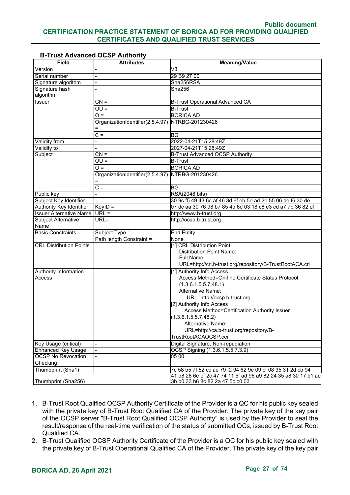| <b>Field</b>                                    | <b>Attributes</b>                | <b>Meaning/Value</b>                                                                                                          |
|-------------------------------------------------|----------------------------------|-------------------------------------------------------------------------------------------------------------------------------|
| Version                                         |                                  | V3                                                                                                                            |
| Serial number                                   |                                  | 29 B9 27 00                                                                                                                   |
| Signature algorithm                             |                                  | Sha256RSA                                                                                                                     |
| Signature hash                                  |                                  | Sha256                                                                                                                        |
| algorithm                                       |                                  |                                                                                                                               |
| Issuer                                          | $CN =$                           | <b>B-Trust Operational Advanced CA</b>                                                                                        |
|                                                 | $OU =$                           | <b>B-Trust</b>                                                                                                                |
|                                                 | $O =$                            | <b>BORICA AD</b>                                                                                                              |
|                                                 | OrganizationIdentifier(2.5.4.97) | NTRBG-201230426                                                                                                               |
|                                                 |                                  |                                                                                                                               |
|                                                 | $C =$                            | ΒG                                                                                                                            |
| <b>Validity from</b>                            |                                  | 2022-04-21T15:28:49Z                                                                                                          |
| Validity to                                     |                                  | 2027-04-21T15:28:49Z                                                                                                          |
| Subject                                         | $CN =$                           | <b>B-Trust Advanced OCSP Authority</b>                                                                                        |
|                                                 | $OU =$                           | <b>B-Trust</b>                                                                                                                |
|                                                 | $\overline{O} =$                 | <b>BORICA AD</b>                                                                                                              |
|                                                 | OrganizationIdentifier(2.5.4.97) | NTRBG-201230426                                                                                                               |
|                                                 |                                  |                                                                                                                               |
|                                                 | $\overline{C}$ =                 | <b>BG</b>                                                                                                                     |
| Public key                                      |                                  | <b>RSA(2048 bits)</b>                                                                                                         |
| Subject Key Identifier                          |                                  | 30 9c f5 49 43 6c af 46 3d 6f eb 5e ad 2e 55 06 de f6 30 de                                                                   |
| Authority Key Identifier                        | $KeyID =$                        | 07 dc aa 30 76 98 b7 85 4b 6d 03 18 c8 e3 cd a7 7b 36 82 ef                                                                   |
| <b>Issuer Alternative Name URL =</b>            |                                  | http://www.b-trust.org                                                                                                        |
| Subject Alternative                             | URL=                             | http://ocsp.b-trust.org                                                                                                       |
| Name                                            |                                  |                                                                                                                               |
| <b>Basic Constraints</b>                        | Subject Type =                   | <b>End Entity</b>                                                                                                             |
|                                                 | Path length Constraint =         | None                                                                                                                          |
| <b>CRL Distribution Points</b>                  |                                  | [1] CRL Distribution Point                                                                                                    |
|                                                 |                                  | <b>Distribution Point Name:</b>                                                                                               |
|                                                 |                                  | Full Name:                                                                                                                    |
|                                                 |                                  | URL=http://crl.b-trust.org/repository/B-TrustRootACA.crl                                                                      |
| Authority Information                           |                                  | [1] Authority Info Access                                                                                                     |
| Access                                          |                                  | Access Method=On-line Certificate Status Protocol                                                                             |
|                                                 |                                  | (1.3.6.1.5.5.7.48.1)                                                                                                          |
|                                                 |                                  | Alternative Name:                                                                                                             |
|                                                 |                                  | URL=http://ocsp.b-trust.org                                                                                                   |
|                                                 |                                  | [2] Authority Info Access                                                                                                     |
|                                                 |                                  | Access Method=Certification Authority Issuer                                                                                  |
|                                                 |                                  | (1.3.6.1.5.5.7.48.2)                                                                                                          |
|                                                 |                                  | Alternative Name:                                                                                                             |
|                                                 |                                  | URL=http://ca.b-trust.org/repository/B-<br>TrustRootACAOCSP.cer                                                               |
|                                                 |                                  |                                                                                                                               |
| Key Usage (critical)                            |                                  | Digital Signature, Non-repudiation                                                                                            |
| Enhanced Key Usage<br><b>OCSP No Revocation</b> |                                  | OCSP Signing (1.3.6.1.5.5.7.3.9)<br>05 00                                                                                     |
| Checking                                        |                                  |                                                                                                                               |
| Thumbprint (Sha1)                               |                                  |                                                                                                                               |
|                                                 |                                  | 7c 58 b5 7f 52 cc ae 79 f2 94 62 9e 09 cf 08 35 31 2d cb 94<br>41 b8 28 6e ef 2c 47 74 11 5f ad 96 a9 82 24 35 a8 30 17 b1 ae |
| Thumbprint (Sha256)                             |                                  | 3b b0 33 b6 8c 82 2a 47 5c c0 03                                                                                              |
|                                                 |                                  |                                                                                                                               |

## **B-Trust Advanced OCSP Authority**

- 1. B-Trust Root Qualified OCSP Authority Certificate of the Provider is a QC for his public key sealed with the private key of B-Trust Root Qualified CA of the Provider. The private key of the key pair of the OCSP server "B-Trust Root Qualified OCSP Authority" is used by the Provider to seal the result/response of the real-time verification of the status of submitted QCs, issued by B-Trust Root Qualified CA.
- 2. B-Trust Qualified OCSP Authority Certificate of the Provider is a QC for his public key sealed with the private key of B-Trust Operational Qualified CA of the Provider. The private key of the key pair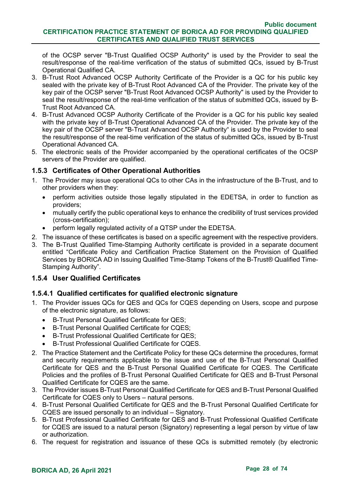of the OCSP server "B-Trust Qualified OCSP Authority" is used by the Provider to seal the result/response of the real-time verification of the status of submitted QCs, issued by B-Trust Operational Qualified CA.

- 3. B-Trust Root Advanced OCSP Authority Certificate of the Provider is a QC for his public key sealed with the private key of B-Trust Root Advanced CA of the Provider. The private key of the key pair of the OCSP server "B-Trust Root Advanced OCSP Authority" is used by the Provider to seal the result/response of the real-time verification of the status of submitted QCs, issued by B-Trust Root Advanced CA.
- 4. B-Trust Advanced OCSP Authority Certificate of the Provider is a QC for his public key sealed with the private key of B-Trust Operational Advanced CA of the Provider. The private key of the key pair of the OCSP server "B-Trust Advanced OCSP Authority" is used by the Provider to seal the result/response of the real-time verification of the status of submitted QCs, issued by B-Trust Operational Advanced CA.
- 5. The electronic seals of the Provider accompanied by the operational certificates of the OCSP servers of the Provider are qualified.

## <span id="page-27-0"></span>**1.5.3 Certificates of Other Operational Authorities**

- 1. The Provider may issue operational QCs to other CAs in the infrastructure of the B-Trust, and to other providers when they:
	- perform activities outside those legally stipulated in the EDETSA, in order to function as providers;
	- mutually certify the public operational keys to enhance the credibility of trust services provided (cross-certification);
	- perform legally regulated activity of a QTSP under the EDETSA.
- 2. The issuance of these certificates is based on a specific agreement with the respective providers.
- 3. The B-Trust Qualified Time-Stamping Authority certificate is provided in a separate document entitled "Certificate Policy and Certification Practice Statement on the Provision of Qualified Services by BORICA AD in Issuing Qualified Time-Stamp Tokens of the B-Trust® Qualified Time-Stamping Authority".

#### <span id="page-27-1"></span>**1.5.4 User Qualified Certificates**

# **1.5.4.1 Qualified certificates for qualified electronic signature**

- 1. The Provider issues QCs for QES and QCs for CQES depending on Users, scope and purpose of the electronic signature, as follows:
	- B-Trust Personal Qualified Certificate for QES;
	- B-Trust Personal Qualified Certificate for CQES;
	- B-Trust Professional Qualified Certificate for QES;
	- B-Trust Professional Qualified Certificate for CQES.
- 2. The Practice Statement and the Certificate Policy for these QCs determine the procedures, format and security requirements applicable to the issue and use of the B-Trust Personal Qualified Certificate for QES and the B-Trust Personal Qualified Certificate for CQES. The Certificate Policies and the profiles of B-Trust Personal Qualified Certificate for QES and B-Trust Personal Qualified Certificate for CQES are the same.
- 3. The Provider issues B-Trust Personal Qualified Certificate for QES and B-Trust Personal Qualified Certificate for CQES only to Users – natural persons.
- 4. B-Trust Personal Qualified Certificate for QES and the B-Trust Personal Qualified Certificate for CQES are issued personally to an individual – Signatory.
- 5. B-Trust Professional Qualified Certificate for QES and B-Trust Professional Qualified Certificate for CQES are issued to a natural person (Signatory) representing a legal person by virtue of law or authorization.
- 6. The request for registration and issuance of these QCs is submitted remotely (by electronic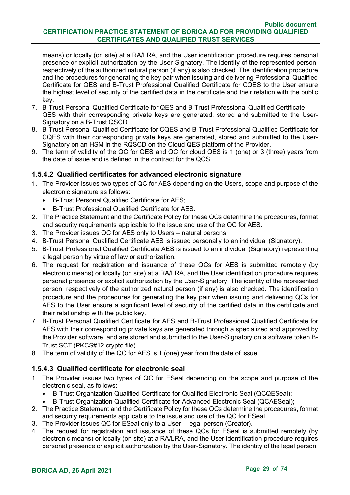means) or locally (on site) at a RA/LRA, and the User identification procedure requires personal presence or explicit authorization by the User-Signatory. The identity of the represented person, respectively of the authorized natural person (if any) is also checked. The identification procedure and the procedures for generating the key pair when issuing and delivering Professional Qualified Certificate for QES and B-Trust Professional Qualified Certificate for CQES to the User ensure the highest level of security of the certified data in the certificate and their relation with the public key.

- 7. B-Trust Personal Qualified Certificate for QES and B-Trust Professional Qualified Certificate QES with their corresponding private keys are generated, stored and submitted to the User-Signatory on a B-Trust QSCD.
- 8. B-Trust Personal Qualified Certificate for CQES and B-Trust Professional Qualified Certificate for CQES with their corresponding private keys are generated, stored and submitted to the User-Signatory on an HSM in the RQSCD on the Cloud QES platform of the Provider.
- 9. The term of validity of the QC for QES and QC for cloud QES is 1 (one) or 3 (three) years from the date of issue and is defined in the contract for the QCS.

## **1.5.4.2 Qualified certificates for advanced electronic signature**

- 1. The Provider issues two types of QC for AES depending on the Users, scope and purpose of the electronic signature as follows:
	- B-Trust Personal Qualified Certificate for AES;
	- B-Trust Professional Qualified Certificate for AES.
- 2. The Practice Statement and the Certificate Policy for these QCs determine the procedures, format and security requirements applicable to the issue and use of the QC for AES.
- 3. The Provider issues QC for AES only to Users natural persons.
- 4. B-Trust Personal Qualified Certificate AES is issued personally to an individual (Signatory).
- 5. B-Trust Professional Qualified Certificate AES is issued to an individual (Signatory) representing a legal person by virtue of law or authorization.
- 6. The request for registration and issuance of these QCs for AES is submitted remotely (by electronic means) or locally (on site) at a RA/LRA, and the User identification procedure requires personal presence or explicit authorization by the User-Signatory. The identity of the represented person, respectively of the authorized natural person (if any) is also checked. The identification procedure and the procedures for generating the key pair when issuing and delivering QCs for AES to the User ensure a significant level of security of the certified data in the certificate and their relationship with the public key.
- 7. B-Trust Personal Qualified Certificate for AES and B-Trust Professional Qualified Certificate for AES with their corresponding private keys are generated through a specialized and approved by the Provider software, and are stored and submitted to the User-Signatory on a software token B-Trust SCT (PKCS#12 crypto file).
- 8. The term of validity of the QC for AES is 1 (one) year from the date of issue.

#### **1.5.4.3 Qualified certificate for electronic seal**

- 1. The Provider issues two types of QC for ESeal depending on the scope and purpose of the electronic seal, as follows:
	- B-Trust Organization Qualified Certificate for Qualified Electronic Seal (QCQESeal);
	- B-Trust Organization Qualified Certificate for Advanced Electronic Seal (QCAESeal);
- 2. The Practice Statement and the Certificate Policy for these QCs determine the procedures, format and security requirements applicable to the issue and use of the QC for ESeal.
- 3. The Provider issues QC for ESeal only to a User legal person (Creator).
- 4. The request for registration and issuance of these QCs for ESeal is submitted remotely (by electronic means) or locally (on site) at a RA/LRA, and the User identification procedure requires personal presence or explicit authorization by the User-Signatory. The identity of the legal person,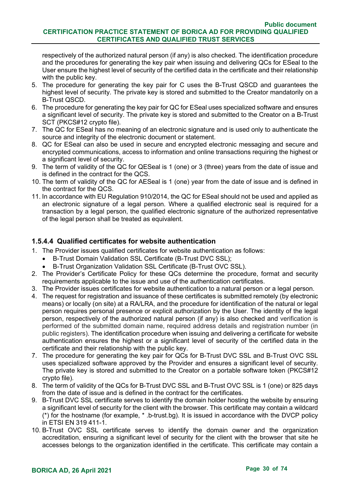respectively of the authorized natural person (if any) is also checked. The identification procedure and the procedures for generating the key pair when issuing and delivering QCs for ESeal to the User ensure the highest level of security of the certified data in the certificate and their relationship with the public key.

- 5. The procedure for generating the key pair for C uses the B-Trust QSCD and guarantees the highest level of security. The private key is stored and submitted to the Creator mandatorily on a B-Trust QSCD.
- 6. The procedure for generating the key pair for QC for ESeal uses specialized software and ensures a significant level of security. The private key is stored and submitted to the Creator on a B-Trust SCT (PKCS#12 crypto file).
- 7. The QC for ESeal has no meaning of an electronic signature and is used only to authenticate the source and integrity of the electronic document or statement.
- 8. QC for ESeal can also be used in secure and encrypted electronic messaging and secure and encrypted communications, access to information and online transactions requiring the highest or a significant level of security.
- 9. The term of validity of the QC for QESeal is 1 (one) or 3 (three) years from the date of issue and is defined in the contract for the QCS.
- 10. The term of validity of the QC for AESeal is 1 (one) year from the date of issue and is defined in the contract for the QCS.
- 11. In accordance with EU Regulation 910/2014, the QC for ESeal should not be used and applied as an electronic signature of a legal person. Where a qualified electronic seal is required for a transaction by a legal person, the qualified electronic signature of the authorized representative of the legal person shall be treated as equivalent.

# **1.5.4.4 Qualified certificates for website authentication**

- 1. The Provider issues qualified certificates for website authentication as follows:
	- B-Trust Domain Validation SSL Certificate (B-Trust DVC SSL);
	- B-Trust Organization Validation SSL Certificate (B-Trust OVC SSL).
- 2. The Provider's Certificate Policy for these QCs determine the procedure, format and security requirements applicable to the issue and use of the authentication certificates.
- 3. The Provider issues certificates for website authentication to a natural person or a legal person.
- 4. The request for registration and issuance of these certificates is submitted remotely (by electronic means) or locally (on site) at a RA/LRA, and the procedure for identification of the natural or legal person requires personal presence or explicit authorization by the User. The identity of the legal person, respectively of the authorized natural person (if any) is also checked and verification is performed of the submitted domain name, required address details and registration number (in public registers). The identification procedure when issuing and delivering a certificate for website authentication ensures the highest or a significant level of security of the certified data in the certificate and their relationship with the public key.
- 7. The procedure for generating the key pair for QCs for B-Trust DVC SSL and B-Trust OVC SSL uses specialized software approved by the Provider and ensures a significant level of security. The private key is stored and submitted to the Creator on a portable software token (PKCS#12 crypto file).
- 8. The term of validity of the QCs for B-Trust DVC SSL and B-Trust OVC SSL is 1 (one) or 825 days from the date of issue and is defined in the contract for the certificates.
- 9. B-Trust DVC SSL certificate serves to identify the domain holder hosting the website by ensuring a significant level of security for the client with the browser. This certificate may contain a wildcard (\*) for the hostname (for example, \* .b-trust.bg). It is issued in accordance with the DVCP policy in ETSI EN 319 411-1.
- 10. B-Trust ОVC SSL certificate serves to identify the domain owner and the organization accreditation, ensuring a significant level of security for the client with the browser that site he accesses belongs to the organization identified in the certificate. This certificate may contain a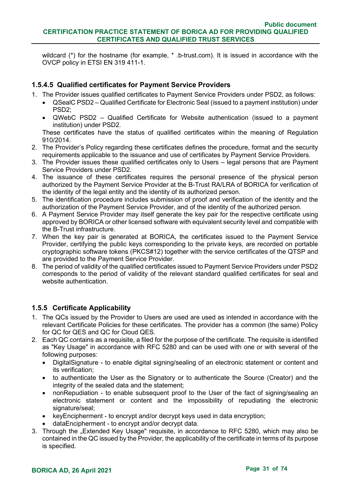wildcard (\*) for the hostname (for example, \*, b-trust.com). It is issued in accordance with the OVCP policy in ETSI EN 319 411-1.

# **1.5.4.5 Qualified certificates for Payment Service Providers**

- 1. The Provider issues qualified certificates to Payment Service Providers under PSD2, as follows:
	- QSealC PSD2 Qualified Certificate for Electronic Seal (issued to a payment institution) under PSD2;
	- QWebC PSD2 Qualified Certificate for Website authentication (issued to a payment institution) under PSD2.

These certificates have the status of qualified certificates within the meaning of Regulation 910/2014.

- 2. The Provider's Policy regarding these certificates defines the procedure, format and the security requirements applicable to the issuance and use of certificates by Payment Service Providers.
- 3. The Provider issues these qualified certificates only to Users legal persons that are Payment Service Providers under PSD2.
- 4. The issuance of these certificates requires the personal presence of the physical person authorized by the Payment Service Provider at the B-Trust RA/LRA of BORICA for verification of the identity of the legal entity and the identity of its authorized person.
- 5. The identification procedure includes submission of proof and verification of the identity and the authorization of the Payment Service Provider, and of the identity of the authorized person.
- 6. A Payment Service Provider may itself generate the key pair for the respective certificate using approved by BORICA or other licensed software with equivalent security level and compatible with the B-Trust infrastructure.
- 7. When the key pair is generated at BORICA, the certificates issued to the Payment Service Provider, certifying the public keys corresponding to the private keys, are recorded on portable cryptographic software tokens (PKCS#12) together with the service certificates of the QTSP and are provided to the Payment Service Provider.
- 8. The period of validity of the qualified certificates issued to Payment Service Providers under PSD2 corresponds to the period of validity of the relevant standard qualified certificates for seal and website authentication

# <span id="page-30-0"></span>**1.5.5 Certificate Applicability**

- 1. The QCs issued by the Provider to Users are used are used as intended in accordance with the relevant Certificate Policies for these certificates. The provider has a common (the same) Policy for QC for QES and QC for Cloud QES.
- 2. Each QC contains as a requisite, a filed for the purpose of the certificate. The requisite is identified as "Key Usage" in accordance with RFC 5280 and can be used with one or with several of the following purposes:
	- DigitalSignature to enable digital signing/sealing of an electronic statement or content and its verification;
	- to authenticate the User as the Signatory or to authenticate the Source (Creator) and the integrity of the sealed data and the statement;
	- nonRepudiation to enable subsequent proof to the User of the fact of signing/sealing an electronic statement or content and the impossibility of repudiating the electronic signature/seal;
	- keyEncipherment to encrypt and/or decrypt keys used in data encryption;
	- dataEncipherment to encrypt and/or decrypt data.
- 3. Through the "Extended Key Usage" requisite, in accordance to RFC 5280, which may also be contained in the QC issued by the Provider, the applicability of the certificate in terms of its purpose is specified.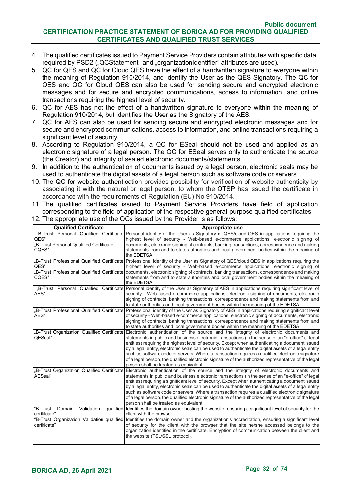- 4. The qualified certificates issued to Payment Service Providers contain attributes with specific data, required by PSD2 ("QCStatement" and "organizationIdentifier" attributes are used).
- 5. QC for QES and QC for Cloud QES have the effect of a handwritten signature to everyone within the meaning of Regulation 910/2014, and identify the User as the QES Signatory. The QC for QES and QC for Cloud QES can also be used for sending secure and encrypted electronic messages and for secure and encrypted communications, access to information, and online transactions requiring the highest level of security.
- 6. QC for AES has not the effect of a handwritten signature to everyone within the meaning of Regulation 910/2014, but identifies the User as the Signatory of the AES.
- 7. QC for AES can also be used for sending secure and encrypted electronic messages and for secure and encrypted communications, access to information, and online transactions requiring a significant level of security.
- 8. According to Regulation 910/2014, a QC for ESeal should not be used and applied as an electronic signature of a legal person. The QC for ESeal serves only to authenticate the source (the Creator) and integrity of sealed electronic documents/statements.
- 9. In addition to the authentication of documents issued by a legal person, electronic seals may be used to authenticate the digital assets of a legal person such as software code or servers.
- 10. The QC for website authentication provides possibility for verification of website authenticity by associating it with the natural or legal person, to whom the QTSP has issued the certificate in accordance with the requirements of Regulation (EU) No 910/2014.
- 11. The qualified certificates issued to Payment Service Providers have field of application corresponding to the field of application of the respective general-purpose qualified certificates.

| <b>Qualified Certificate</b>                            | Appropriate use                                                                                                                                                                                                                                                                                                                                                                                                                                                                                                                                                                                                                                                                                         |
|---------------------------------------------------------|---------------------------------------------------------------------------------------------------------------------------------------------------------------------------------------------------------------------------------------------------------------------------------------------------------------------------------------------------------------------------------------------------------------------------------------------------------------------------------------------------------------------------------------------------------------------------------------------------------------------------------------------------------------------------------------------------------|
| QES"<br>B-Trust Personal Qualified Certificate<br>CQES" | "B-Trust Personal Qualified Certificate Personal identity of the User as Signatory of QES/cloud QES in applications requiring the<br>highest level of security - Web-based e-commerce applications, electronic signing of<br>documents, electronic signing of contracts, banking transactions, correspondence and making<br>statements from and to state authorities and local government bodies within the meaning of<br>the EDETSA.                                                                                                                                                                                                                                                                   |
| QES"<br>CQES"                                           | "B-Trust Professional Qualified Certificate Professional identity of the User as Signatory of QES/cloud QES in applications requiring the<br>highest level of security - Web-based e-commerce applications, electronic signing of<br>"B-Trust Professional Qualified Certificate documents, electronic signing of contracts, banking transactions, correspondence and making<br>statements from and to state authorities and local government bodies within the meaning of<br>the EDETSA.                                                                                                                                                                                                               |
| AES"                                                    | "B-Trust Personal Qualified Certificate Personal identity of the User as Signatory of AES in applications requiring significant level of<br>security - Web-based e-commerce applications, electronic signing of documents, electronic<br>signing of contracts, banking transactions, correspondence and making statements from and<br>to state authorities and local government bodies within the meaning of the EDETSA.                                                                                                                                                                                                                                                                                |
| AES"                                                    | "B-Trust Professional Qualified Certificate Professional identity of the User as Signatory of AES in applications requiring significant level<br>of security - Web-based e-commerce applications, electronic signing of documents, electronic<br>signing of contracts, banking transactions, correspondence and making statements from and<br>to state authorities and local government bodies within the meaning of the EDETSA.                                                                                                                                                                                                                                                                        |
| QESeal"                                                 | "B-Trust Organization Qualified Certificate Electronic authentication of the source and the integrity of electronic documents and<br>statements in public and business electronic transactions (in the sense of an "e-office" of legal<br>entities) requiring the highest level of security. Except when authenticating a document issued<br>by a legal entity, electronic seals can be used to authenticate the digital assets of a legal entity<br>such as software code or servers. Where a transaction requires a qualified electronic signature<br>of a legal person, the qualified electronic signature of the authorized representative of the legal<br>person shall be treated as equivalent.   |
| AESeal"                                                 | "B-Trust Organization Qualified Certificate Electronic authentication of the source and the integrity of electronic documents and<br>statements in public and business electronic transactions (in the sense of an "e-office" of legal<br>entities) requiring a significant level of security. Except when authenticating a document issued<br>by a legal entity, electronic seals can be used to authenticate the digital assets of a legal entity<br>such as software code or servers. Where a transaction requires a qualified electronic signature<br>of a legal person, the qualified electronic signature of the authorized representative of the legal<br>person shall be treated as equivalent. |
| Domain<br>Validation<br>"B-Trust<br>certificate"        | qualified Identifies the domain owner hosting the website, ensuring a significant level of security for the<br>client with the browser.                                                                                                                                                                                                                                                                                                                                                                                                                                                                                                                                                                 |
| certificate"                                            | "B-Trust Organization Validation qualified Identifies the domain owner and the organization's accreditation, ensuring a significant level<br>of security for the client with the browser that the site he/she accessed belongs to the<br>organization identified in the certificate. Encryption of communication between the client and<br>the website (TSL/SSL protocol).                                                                                                                                                                                                                                                                                                                              |

12. The appropriate use of the QCs issued by the Provider is as follows: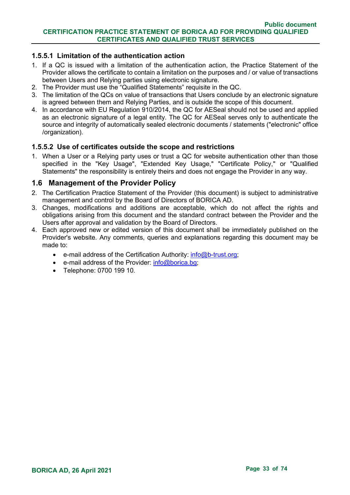## **1.5.5.1 Limitation of the authentication action**

- 1. If a QC is issued with a limitation of the authentication action, the Practice Statement of the Provider allows the certificate to contain a limitation on the purposes and / or value of transactions between Users and Relying parties using electronic signature.
- 2. The Provider must use the "Qualified Statements" requisite in the QC.
- 3. The limitation of the QCs on value of transactions that Users conclude by an electronic signature is agreed between them and Relying Parties, and is outside the scope of this document.
- 4. In accordance with EU Regulation 910/2014, the QC for AESeal should not be used and applied as an electronic signature of a legal entity. The QC for AESeal serves only to authenticate the source and integrity of automatically sealed electronic documents / statements ("electronic" office /organization).

## **1.5.5.2 Use of certificates outside the scope and restrictions**

1. When a User or a Relying party uses or trust a QC for website authentication other than those specified in the "Key Usage", "Extended Key Usage," "Certificate Policy," or "Qualified Statements" the responsibility is entirely theirs and does not engage the Provider in any way.

# <span id="page-32-0"></span>**1.6 Management of the Provider Policy**

- 2. The Certification Practice Statement of the Provider (this document) is subject to administrative management and control by the Board of Directors of BORICA AD.
- 3. Changes, modifications and additions are acceptable, which do not affect the rights and obligations arising from this document and the standard contract between the Provider and the Users after approval and validation by the Board of Directors.
- 4. Each approved new or edited version of this document shall be immediately published on the Provider's website. Any comments, queries and explanations regarding this document may be made to:
	- e-mail address of the Certification Authority:  $info@b$ -trust.org;
	- e-mail address of the Provider: [info@borica.bg;](mailto:info@borica.bg)
	- Telephone: 0700 199 10.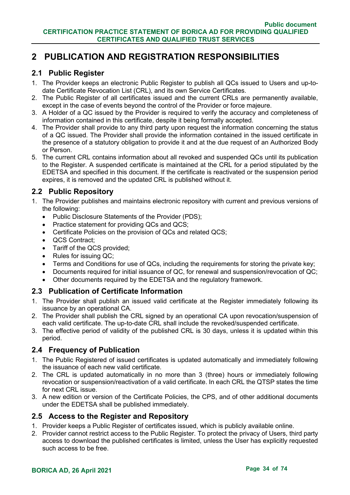# <span id="page-33-0"></span>**2 PUBLICATION AND REGISTRATION RESPONSIBILITIES**

# <span id="page-33-1"></span>**2.1 Public Register**

- 1. The Provider keeps an electronic Public Register to publish all QCs issued to Users and up-todate Certificate Revocation List (CRL), and its own Service Certificates.
- 2. The Public Register of all certificates issued and the current CRLs are permanently available, except in the case of events beyond the control of the Provider or force majeure.
- 3. A Holder of a QC issued by the Provider is required to verify the accuracy and completeness of information contained in this certificate, despite it being formally accepted.
- 4. The Provider shall provide to any third party upon request the information concerning the status of a QC issued. The Provider shall provide the information contained in the issued certificate in the presence of a statutory obligation to provide it and at the due request of an Authorized Body or Person.
- 5. The current CRL contains information about all revoked and suspended QCs until its publication to the Register. A suspended certificate is maintained at the CRL for a period stipulated by the EDETSA and specified in this document. If the certificate is reactivated or the suspension period expires, it is removed and the updated CRL is published without it.

# <span id="page-33-2"></span>**2.2 Public Repository**

- 1. The Provider publishes and maintains electronic repository with current and previous versions of the following:
	- Public Disclosure Statements of the Provider (PDS);
	- Practice statement for providing QCs and QCS;
	- Certificate Policies on the provision of QCs and related QCS;
	- QCS Contract;
	- Tariff of the QCS provided;
	- Rules for issuing QC;
	- Terms and Conditions for use of QCs, including the requirements for storing the private key;
	- Documents required for initial issuance of QC, for renewal and suspension/revocation of QC;
	- Other documents required by the EDETSA and the regulatory framework.

# <span id="page-33-3"></span>**2.3 Publication of Certificate Information**

- 1. The Provider shall publish an issued valid certificate at the Register immediately following its issuance by an operational CA.
- 2. The Provider shall publish the CRL signed by an operational CA upon revocation/suspension of each valid certificate. The up-to-date CRL shall include the revoked/suspended certificate.
- 3. The effective period of validity of the published CRL is 30 days, unless it is updated within this period.

# <span id="page-33-4"></span>**2.4 Frequency of Publication**

- 1. The Public Registered of issued certificates is updated automatically and immediately following the issuance of each new valid certificate.
- 2. The CRL is updated automatically in no more than 3 (three) hours or immediately following revocation or suspension/reactivation of a valid certificate. In each CRL the QTSP states the time for next CRL issue.
- 3. A new edition or version of the Certificate Policies, the CPS, and of other additional documents under the EDETSA shall be published immediately.

# <span id="page-33-5"></span>**2.5 Access to the Register and Repository**

- 1. Provider keeps a Public Register of certificates issued, which is publicly available online.
- 2. Provider cannot restrict access to the Public Register. To protect the privacy of Users, third party access to download the published certificates is limited, unless the User has explicitly requested such access to be free.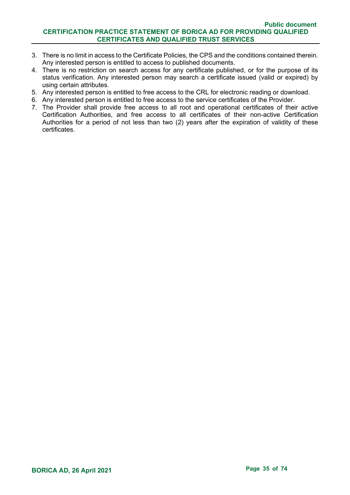- 3. There is no limit in access to the Certificate Policies, the CPS and the conditions contained therein. Any interested person is entitled to access to published documents.
- 4. There is no restriction on search access for any certificate published, or for the purpose of its status verification. Any interested person may search a certificate issued (valid or expired) by using certain attributes.
- 5. Any interested person is entitled to free access to the CRL for electronic reading or download.
- 6. Any interested person is entitled to free access to the service certificates of the Provider.
- 7. The Provider shall provide free access to all root and operational certificates of their active Certification Authorities, and free access to all certificates of their non-active Certification Authorities for a period of not less than two (2) years after the expiration of validity of these certificates.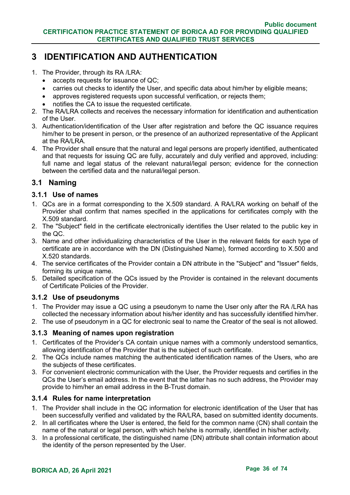# <span id="page-35-0"></span>**3 IDENTIFICATION AND AUTHENTICATION**

- 1. The Provider, through its RA /LRA:
	- accepts requests for issuance of QC;
	- carries out checks to identify the User, and specific data about him/her by eligible means;
	- approves registered requests upon successful verification, or rejects them;
	- notifies the CA to issue the requested certificate.
- 2. The RA/LRA collects and receives the necessary information for identification and authentication of the User.
- 3. Authentication/identification of the User after registration and before the QC issuance requires him/her to be present in person, or the presence of an authorized representative of the Applicant at the RA/LRA.
- 4. The Provider shall ensure that the natural and legal persons are properly identified, authenticated and that requests for issuing QC are fully, accurately and duly verified and approved, including: full name and legal status of the relevant natural/legal person; evidence for the connection between the certified data and the natural/legal person.

# <span id="page-35-1"></span>**3.1 Naming**

## <span id="page-35-2"></span>**3.1.1 Use of names**

- 1. QCs are in a format corresponding to the X.509 standard. A RA/LRA working on behalf of the Provider shall confirm that names specified in the applications for certificates comply with the X.509 standard.
- 2. The "Subject" field in the certificate electronically identifies the User related to the public key in the QC.
- 3. Name and other individualizing characteristics of the User in the relevant fields for each type of certificate are in accordance with the DN (Distinguished Name), formed according to X.500 and X.520 standards.
- 4. The service certificates of the Provider contain a DN attribute in the "Subject" and "Issuer" fields, forming its unique name.
- 5. Detailed specification of the QCs issued by the Provider is contained in the relevant documents of Certificate Policies of the Provider.

#### <span id="page-35-3"></span>**3.1.2 Use of pseudonyms**

- 1. The Provider may issue a QC using a pseudonym to name the User only after the RA /LRA has collected the necessary information about his/her identity and has successfully identified him/her.
- 2. The use of pseudonym in a QC for electronic seal to name the Creator of the seal is not allowed.

# <span id="page-35-4"></span>**3.1.3 Meaning of names upon registration**

- 1. Certificates of the Provider's CA contain unique names with a commonly understood semantics, allowing identification of the Provider that is the subject of such certificate.
- 2. The QCs include names matching the authenticated identification names of the Users, who are the subjects of these certificates.
- 3. For convenient electronic communication with the User, the Provider requests and certifies in the QCs the User's email address. In the event that the latter has no such address, the Provider may provide to him/her an email address in the B-Trust domain.

#### <span id="page-35-5"></span>**3.1.4 Rules for name interpretation**

- 1. The Provider shall include in the QC information for electronic identification of the User that has been successfully verified and validated by the RA/LRA, based on submitted identity documents.
- 2. In all certificates where the User is entered, the field for the common name (CN) shall contain the name of the natural or legal person, with which he/she is normally, identified in his/her activity.
- 3. In a professional certificate, the distinguished name (DN) attribute shall contain information about the identity of the person represented by the User.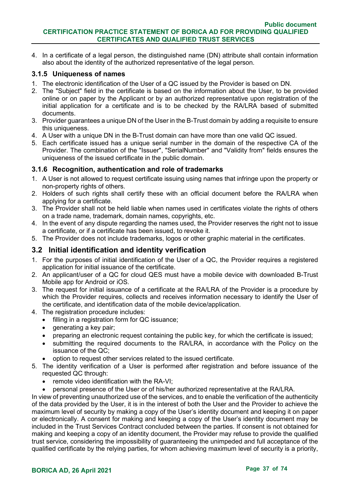4. In a certificate of a legal person, the distinguished name (DN) attribute shall contain information also about the identity of the authorized representative of the legal person.

### **3.1.5 Uniqueness of names**

- 1. The electronic identification of the User of a QC issued by the Provider is based on DN.
- 2. The "Subject" field in the certificate is based on the information about the User, to be provided online or on paper by the Applicant or by an authorized representative upon registration of the initial application for a certificate and is to be checked by the RA/LRA based of submitted documents.
- 3. Provider guarantees a unique DN of the User in the B-Trust domain by adding a requisite to ensure this uniqueness.
- 4. A User with a unique DN in the B-Trust domain can have more than one valid QC issued.
- 5. Each certificate issued has a unique serial number in the domain of the respective CA of the Provider. The combination of the "Issuer", "SerialNumber" and "Validity from" fields ensures the uniqueness of the issued certificate in the public domain.

### **3.1.6 Recognition, authentication and role of trademarks**

- 1. A User is not allowed to request certificate issuing using names that infringe upon the property or non-property rights of others.
- 2. Holders of such rights shall certify these with an official document before the RA/LRA when applying for a certificate.
- 3. The Provider shall not be held liable when names used in certificates violate the rights of others on a trade name, trademark, domain names, copyrights, etc.
- 4. In the event of any dispute regarding the names used, the Provider reserves the right not to issue a certificate, or if a certificate has been issued, to revoke it.
- 5. The Provider does not include trademarks, logos or other graphic material in the certificates.

### **3.2 Initial identification and identity verification**

- 1. For the purposes of initial identification of the User of a QC, the Provider requires a registered application for initial issuance of the certificate.
- 2. An applicant/user of a QC for cloud QES must have a mobile device with downloaded B-Trust Mobile app for Android or iOS.
- 3. The request for initial issuance of a certificate at the RA/LRA of the Provider is a procedure by which the Provider requires, collects and receives information necessary to identify the User of the certificate, and identification data of the mobile device/application.
- 4. The registration procedure includes:
	- filling in a registration form for QC issuance;
	- generating a key pair;
	- preparing an electronic request containing the public key, for which the certificate is issued;
	- submitting the required documents to the RA/LRA, in accordance with the Policy on the issuance of the QC;
	- option to request other services related to the issued certificate.
- 5. The identity verification of a User is performed after registration and before issuance of the requested QC through:
	- remote video identification with the RA-VI;
	- personal presence of the User or of his/her authorized representative at the RA/LRA.

In view of preventing unauthorized use of the services, and to enable the verification of the authenticity of the data provided by the User, it is in the interest of both the User and the Provider to achieve the maximum level of security by making a copy of the User's identity document and keeping it on paper or electronically. A consent for making and keeping a copy of the User's identity document may be included in the Trust Services Contract concluded between the parties. If consent is not obtained for making and keeping a copy of an identity document, the Provider may refuse to provide the qualified trust service, considering the impossibility of guaranteeing the unimpeded and full acceptance of the qualified certificate by the relying parties, for whom achieving maximum level of security is a priority,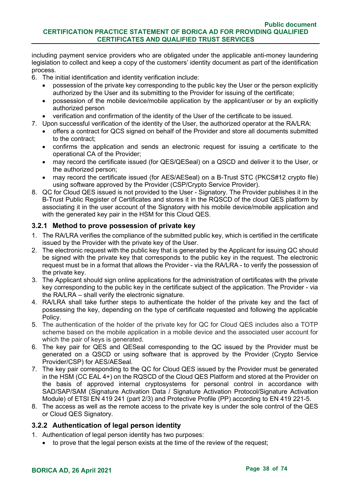including payment service providers who are obligated under the applicable anti-money laundering legislation to collect and keep a copy of the customers' identity document as part of the identification process.

- 6. The initial identification and identity verification include:
	- possession of the private key corresponding to the public key the User or the person explicitly authorized by the User and its submitting to the Provider for issuing of the certificate;
	- possession of the mobile device/mobile application by the applicant/user or by an explicitly authorized person
	- verification and confirmation of the identity of the User of the certificate to be issued.
- 7. Upon successful verification of the identity of the User, the authorized operator at the RA/LRA:
	- offers a contract for QCS signed on behalf of the Provider and store all documents submitted to the contract;
	- confirms the application and sends an electronic request for issuing a certificate to the operational CA of the Provider;
	- may record the certificate issued (for QES/QESeal) on a QSCD and deliver it to the User, or the authorized person;
	- may record the certificate issued (for AES/AESeal) on a B-Trust STC (PKCS#12 crypto file) using software approved by the Provider (CSP/Crypto Service Provider).
- 8. QC for Cloud QES issued is not provided to the User Signatory. The Provider publishes it in the B-Trust Public Register of Certificates and stores it in the RQSCD of the cloud QES platform by associating it in the user account of the Signatory with his mobile device/mobile application and with the generated key pair in the HSM for this Cloud QES.

### **3.2.1 Method to prove possession of private key**

- 1. The RA/LRA verifies the compliance of the submitted public key, which is certified in the certificate issued by the Provider with the private key of the User.
- 2. The electronic request with the public key that is generated by the Applicant for issuing QC should be signed with the private key that corresponds to the public key in the request. The electronic request must be in a format that allows the Provider - via the RA/LRA - to verify the possession of the private key.
- 3. The Applicant should sign online applications for the administration of certificates with the private key corresponding to the public key in the certificate subject of the application. The Provider - via the RA/LRA – shall verify the electronic signature.
- 4. RA/LRA shall take further steps to authenticate the holder of the private key and the fact of possessing the key, depending on the type of certificate requested and following the applicable Policy.
- 5. The authentication of the holder of the private key for QC for Cloud QES includes also a TOTP scheme based on the mobile application in a mobile device and the associated user account for which the pair of keys is generated.
- 6. The key pair for QES and QESeal corresponding to the QC issued by the Provider must be generated on a QSCD or using software that is approved by the Provider (Crypto Service Provider/CSP) for AES/AESeal.
- 7. The key pair corresponding to the QC for Cloud QES issued by the Provider must be generated in the HSM (CC EAL 4+) on the RQSCD of the Cloud QES Platform and stored at the Provider on the basis of approved internal cryptosystems for personal control in accordance with SAD/SAP/SAM (Signature Activation Data / Signature Activation Protocol/Signature Activation Module) of ETSI EN 419 241 (part 2/3) and Protective Profile (PP) according to EN 419 221-5.
- 8. The access as well as the remote access to the private key is under the sole control of the QES or Cloud QES Signatory.

### **3.2.2 Authentication of legal person identity**

- 1. Authentication of legal person identity has two purposes:
	- to prove that the legal person exists at the time of the review of the request;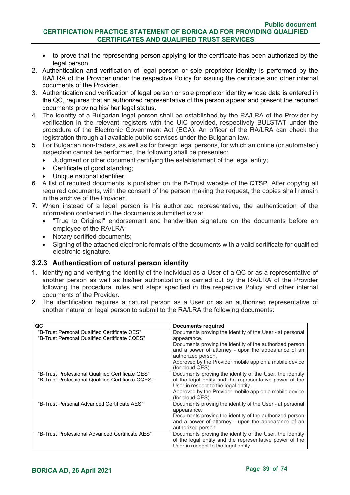- to prove that the representing person applying for the certificate has been authorized by the legal person.
- 2. Authentication and verification of legal person or sole proprietor identity is performed by the RA/LRA of the Provider under the respective Policy for issuing the certificate and other internal documents of the Provider.
- 3. Authentication and verification of legal person or sole proprietor identity whose data is entered in the QC, requires that an authorized representative of the person appear and present the required documents proving his/ her legal status.
- 4. The identity of a Bulgarian legal person shall be established by the RA/LRA of the Provider by verification in the relevant registers with the UIC provided, respectively BULSTAT under the procedure of the Electronic Government Act (EGA). An officer of the RA/LRA can check the registration through all available public services under the Bulgarian law.
- 5. For Bulgarian non-traders, as well as for foreign legal persons, for which an online (or automated) inspection cannot be performed, the following shall be presented:
	- Judgment or other document certifying the establishment of the legal entity;
	- Certificate of good standing;
	- Unique national identifier.
- 6. A list of required documents is published on the B-Trust website of the QTSP. After copying all required documents, with the consent of the person making the request, the copies shall remain in the archive of the Provider.
- 7. When instead of a legal person is his authorized representative, the authentication of the information contained in the documents submitted is via:
	- "True to Original" endorsement and handwritten signature on the documents before an employee of the RA/LRA;
	- Notary certified documents;
	- Signing of the attached electronic formats of the documents with a valid certificate for qualified electronic signature.

### **3.2.3 Authentication of natural person identity**

- 1. Identifying and verifying the identity of the individual as a User of a QC or as a representative of another person as well as his/her authorization is carried out by the RA/LRA of the Provider following the procedural rules and steps specified in the respective Policy and other internal documents of the Provider.
- 2. The identification requires a natural person as a User or as an authorized representative of another natural or legal person to submit to the RA/LRA the following documents:

| QC                                                                                                    | <b>Documents required</b>                                                                                                                                                                                                                                                                     |
|-------------------------------------------------------------------------------------------------------|-----------------------------------------------------------------------------------------------------------------------------------------------------------------------------------------------------------------------------------------------------------------------------------------------|
| "B-Trust Personal Qualified Certificate QES"<br>"B-Trust Personal Qualified Certificate CQES"         | Documents proving the identity of the User - at personal<br>appearance.<br>Documents proving the identity of the authorized person<br>and a power of attorney - upon the appearance of an<br>authorized person.<br>Approved by the Provider mobile app on a mobile device<br>(for cloud QES). |
| "B-Trust Professional Qualified Certificate QES"<br>"B-Trust Professional Qualified Certificate CQES" | Documents proving the identity of the User, the identity<br>of the legal entity and the representative power of the<br>User in respect to the legal entity.<br>Approved by the Provider mobile app on a mobile device<br>(for cloud QES).                                                     |
| "B-Trust Personal Advanced Certificate AES"                                                           | Documents proving the identity of the User - at personal<br>appearance.<br>Documents proving the identity of the authorized person<br>and a power of attorney - upon the appearance of an<br>authorized person                                                                                |
| "B-Trust Professional Advanced Certificate AES"                                                       | Documents proving the identity of the User, the identity<br>of the legal entity and the representative power of the<br>User in respect to the legal entity                                                                                                                                    |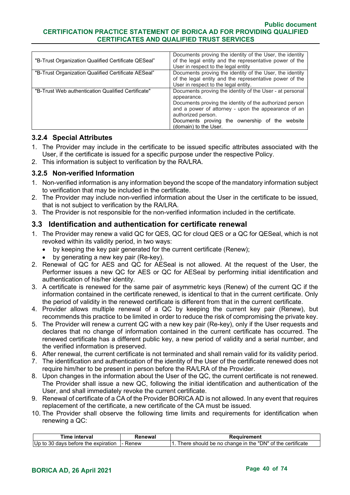#### **Public document CERTIFICATION PRACTICE STATEMENT OF BORICA AD FOR PROVIDING QUALIFIED CERTIFICATES AND QUALIFIED TRUST SERVICES**

| "B-Trust Organization Qualified Certificate QESeal" | Documents proving the identity of the User, the identity<br>of the legal entity and the representative power of the<br>User in respect to the legal entity                                                                                                                                    |
|-----------------------------------------------------|-----------------------------------------------------------------------------------------------------------------------------------------------------------------------------------------------------------------------------------------------------------------------------------------------|
| "B-Trust Organization Qualified Certificate AESeal" | Documents proving the identity of the User, the identity<br>of the legal entity and the representative power of the<br>User in respect to the legal entity.                                                                                                                                   |
| "B-Trust Web authentication Qualified Certificate"  | Documents proving the identity of the User - at personal<br>appearance.<br>Documents proving the identity of the authorized person<br>and a power of attorney - upon the appearance of an<br>authorized person.<br>Documents proving the ownership of the<br>website<br>(domain) to the User. |

### **3.2.4 Special Attributes**

- 1. The Provider may include in the certificate to be issued specific attributes associated with the User, if the certificate is issued for a specific purpose under the respective Policy.
- 2. This information is subject to verification by the RA/LRA.

### **3.2.5 Non-verified Information**

- 1. Non-verified information is any information beyond the scope of the mandatory information subject to verification that may be included in the certificate.
- 2. The Provider may include non-verified information about the User in the certificate to be issued, that is not subject to verification by the RA/LRA.
- 3. The Provider is not responsible for the non-verified information included in the certificate.

### **3.3 Identification and authentication for certificate renewal**

- 1. The Provider may renew a valid QC for QES, QC for cloud QES or a QC for QESeal, which is not revoked within its validity period, in two ways:
	- by keeping the key pair generated for the current certificate (Renew);
	- by generating a new key pair (Re-key).
- 2. Renewal of QC for AES and QC for AESeal is not allowed. At the request of the User, the Performer issues a new QC for AES or QC for AESeal by performing initial identification and authentication of his/her identity.
- 3. A certificate is renewed for the same pair of asymmetric keys (Renew) of the current QC if the information contained in the certificate renewed, is identical to that in the current certificate. Only the period of validity in the renewed certificate is different from that in the current certificate.
- 4. Provider allows multiple renewal of a QC by keeping the current key pair (Renew), but recommends this practice to be limited in order to reduce the risk of compromising the private key.
- 5. The Provider will renew a current QC with a new key pair (Re-key), only if the User requests and declares that no change of information contained in the current certificate has occurred. The renewed certificate has a different public key, a new period of validity and a serial number, and the verified information is preserved.
- 6. After renewal, the current certificate is not terminated and shall remain valid for its validity period.
- 7. The identification and authentication of the identity of the User of the certificate renewed does not require him/her to be present in person before the RA/LRA of the Provider.
- 8. Upon changes in the information about the User of the QC, the current certificate is not renewed. The Provider shall issue a new QC, following the initial identification and authentication of the User, and shall immediately revoke the current certificate.
- 9. Renewal of certificate of a CA of the Provider BORICA AD is not allowed. In any event that requires replacement of the certificate, a new certificate of the CA must be issued.
- 10. The Provider shall observe the following time limits and requirements for identification when renewing a QC:

| Time interval                          | ?enewal  | Reauirement                                                  |
|----------------------------------------|----------|--------------------------------------------------------------|
| Up to<br>) davs before the expiration. | I- Renew | a should be no change in the "DN" of the certificate<br>here |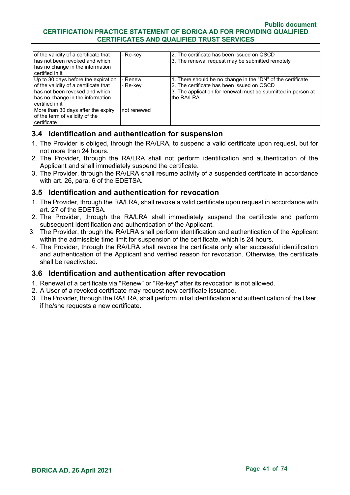#### **Public document CERTIFICATION PRACTICE STATEMENT OF BORICA AD FOR PROVIDING QUALIFIED CERTIFICATES AND QUALIFIED TRUST SERVICES**

| of the validity of a certificate that<br>Ihas not been revoked and which.<br>has no change in the information<br>Icertified in it                                        | - Re-key             | I2. The certificate has been issued on QSCD.<br>3. The renewal request may be submitted remotely                                                                                         |
|--------------------------------------------------------------------------------------------------------------------------------------------------------------------------|----------------------|------------------------------------------------------------------------------------------------------------------------------------------------------------------------------------------|
| Up to 30 days before the expiration<br>of the validity of a certificate that<br>Ihas not been revoked and which.<br>has no change in the information<br>Icertified in it | i- Renew<br>- Re-kev | 1. There should be no change in the "DN" of the certificate<br>2. The certificate has been issued on QSCD<br>3. The application for renewal must be submitted in person at<br>the RA/LRA |
| More than 30 days after the expiry<br>of the term of validity of the<br>Icertificate                                                                                     | not renewed          |                                                                                                                                                                                          |

### **3.4 Identification and authentication for suspension**

- 1. The Provider is obliged, through the RA/LRA, to suspend a valid certificate upon request, but for not more than 24 hours.
- 2. The Provider, through the RA/LRA shall not perform identification and authentication of the Applicant and shall immediately suspend the certificate.
- 3. The Provider, through the RA/LRA shall resume activity of a suspended certificate in accordance with art. 26, para. 6 of the EDETSA.

### **3.5 Identification and authentication for revocation**

- 1. The Provider, through the RA/LRA, shall revoke a valid certificate upon request in accordance with art. 27 of the EDETSA.
- 2. The Provider, through the RA/LRA shall immediately suspend the certificate and perform subsequent identification and authentication of the Applicant.
- 3. The Provider, through the RA/LRA shall perform identification and authentication of the Applicant within the admissible time limit for suspension of the certificate, which is 24 hours.
- 4. The Provider, through the RA/LRA shall revoke the certificate only after successful identification and authentication of the Applicant and verified reason for revocation. Otherwise, the certificate shall be reactivated.

### **3.6 Identification and authentication after revocation**

- 1. Renewal of a certificate via "Renew" or "Re-key" after its revocation is not allowed.
- 2. A User of a revoked certificate may request new certificate issuance.
- 3. The Provider, through the RA/LRA, shall perform initial identification and authentication of the User, if he/she requests a new certificate.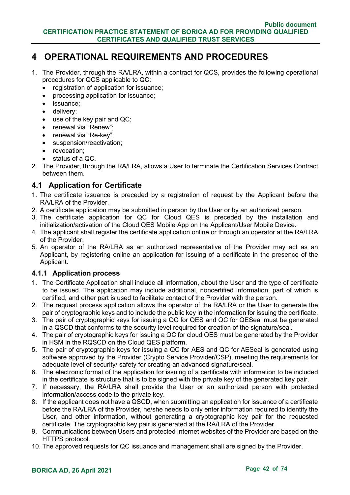# **4 OPERATIONAL REQUIREMENTS AND PROCEDURES**

- 1. The Provider, through the RA/LRA, within a contract for QCS, provides the following operational procedures for QCS applicable to QC:
	- registration of application for issuance;
	- processing application for issuance;
	- issuance:
	- delivery;
	- use of the key pair and QC;
	- renewal via "Renew";
	- renewal via "Re-key";
	- suspension/reactivation;
	- revocation:
	- status of a QC.
- 2. The Provider, through the RA/LRA, allows a User to terminate the Certification Services Contract between them.

# **4.1 Application for Certificate**

- 1. The certificate issuance is preceded by a registration of request by the Applicant before the RA/LRA of the Provider.
- 2. A certificate application may be submitted in person by the User or by an authorized person.
- 3. The certificate application for QC for Cloud QES is preceded by the installation and initialization/activation of the Cloud QES Mobile App on the Applicant/User Mobile Device.
- 4. The applicant shall register the certificate application online or through an operator at the RA/LRA of the Provider.
- 5. An operator of the RA/LRA as an authorized representative of the Provider may act as an Applicant, by registering online an application for issuing of a certificate in the presence of the Applicant.

### **4.1.1 Application process**

- 1. The Certificate Application shall include all information, about the User and the type of certificate to be issued. The application may include additional, noncertified information, part of which is certified, and other part is used to facilitate contact of the Provider with the person.
- 2. The request process application allows the operator of the RA/LRA or the User to generate the pair of cryptographic keys and to include the public key in the information for issuing the certificate.
- 3. The pair of cryptographic keys for issuing a QC for QES and QC for QESeal must be generated in a QSCD that conforms to the security level required for creation of the signature/seal.
- 4. The pair of cryptographic keys for issuing a QC for cloud QES must be generated by the Provider in HSM in the RQSCD on the Cloud QES platform.
- 5. The pair of cryptographic keys for issuing a QC for AES and QC for AESeal is generated using software approved by the Provider (Crypto Service Provider/CSP), meeting the requirements for adequate level of security/ safety for creating an advanced signature/seal.
- 6. The electronic format of the application for issuing of a certificate with information to be included in the certificate is structure that is to be signed with the private key of the generated key pair.
- 7. If necessary, the RA/LRA shall provide the User or an authorized person with protected information/access code to the private key.
- 8. If the applicant does not have a QSCD, when submitting an application for issuance of a certificate before the RA/LRA of the Provider, he/she needs to only enter information required to identify the User, and other information, without generating a cryptographic key pair for the requested certificate. The cryptographic key pair is generated at the RA/LRA of the Provider.
- 9. Communications between Users and protected Internet websites of the Provider are based on the HTTPS protocol.
- 10. The approved requests for QC issuance and management shall are signed by the Provider.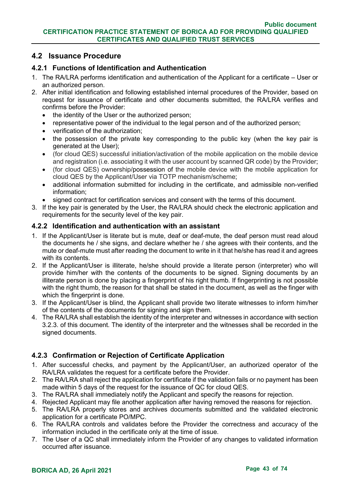## **4.2 Issuance Procedure**

### **4.2.1 Functions of Identification and Authentication**

- 1. The RA/LRA performs identification and authentication of the Applicant for a certificate User or an authorized person.
- 2. After initial identification and following established internal procedures of the Provider, based on request for issuance of certificate and other documents submitted, the RA/LRA verifies and confirms before the Provider:
	- the identity of the User or the authorized person;
	- representative power of the individual to the legal person and of the authorized person;
	- verification of the authorization;
	- the possession of the private key corresponding to the public key (when the key pair is generated at the User);
	- (for cloud QES) successful initiation/activation of the mobile application on the mobile device and registration (i.e. associating it with the user account by scanned QR code) by the Provider;
	- (for cloud QES) ownership/possession of the mobile device with the mobile application for cloud QES by the Applicant/User via TOTP mechanism/scheme;
	- additional information submitted for including in the certificate, and admissible non-verified information;
	- signed contract for certification services and consent with the terms of this document.
- 3. If the key pair is generated by the User, the RA/LRA should check the electronic application and requirements for the security level of the key pair.

### **4.2.2 Identification and authentication with an assistant**

- 1. If the Applicant/User is literate but is mute, deaf or deaf-mute, the deaf person must read aloud the documents he / she signs, and declare whether he / she agrees with their contents, and the mute or deaf-mute must after reading the document to write in it that he/she has read it and agrees with its contents.
- 2. If the Applicant/User is illiterate, he/she should provide a literate person (interpreter) who will provide him/her with the contents of the documents to be signed. Signing documents by an illiterate person is done by placing a fingerprint of his right thumb. If fingerprinting is not possible with the right thumb, the reason for that shall be stated in the document, as well as the finger with which the fingerprint is done.
- 3. If the Applicant/User is blind, the Applicant shall provide two literate witnesses to inform him/her of the contents of the documents for signing and sign them.
- 4. The RA/LRA shall establish the identity of the interpreter and witnesses in accordance with section 3.2.3. of this document. The identity of the interpreter and the witnesses shall be recorded in the signed documents.

### **4.2.3 Confirmation or Rejection of Certificate Application**

- 1. After successful checks, and payment by the Applicant/User, an authorized operator of the RA/LRA validates the request for a certificate before the Provider.
- 2. The RA/LRA shall reject the application for certificate if the validation fails or no payment has been made within 5 days of the request for the issuance of QC for cloud QES.
- 3. The RA/LRA shall immediately notify the Applicant and specify the reasons for rejection.
- 4. Rejected Applicant may file another application after having removed the reasons for rejection.
- 5. The RA/LRA properly stores and archives documents submitted and the validated electronic application for a certificate РО/МРС.
- 6. The RA/LRA controls and validates before the Provider the correctness and accuracy of the information included in the certificate only at the time of issue.
- 7. The User of a QC shall immediately inform the Provider of any changes to validated information occurred after issuance.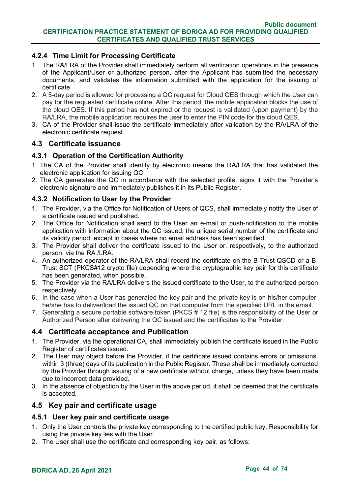### **4.2.4 Time Limit for Processing Certificate**

- 1. The RA/LRA of the Provider shall immediately perform all verification operations in the presence of the Applicant/User or authorized person, after the Applicant has submitted the necessary documents, and validates the information submitted with the application for the issuing of certificate.
- 2. A 5-day period is allowed for processing a QC request for Cloud QES through which the User can pay for the requested certificate online. After this period, the mobile application blocks the use of the cloud QES. If this period has not expired or the request is validated (upon payment) by the RA/LRA, the mobile application requires the user to enter the PIN code for the cloud QES.
- 3. CA of the Provider shall issue the certificate immediately after validation by the RA/LRA of the electronic certificate request.

### **4.3 Certificate issuance**

### **4.3.1 Operation of the Certification Authority**

- 1. The CA of the Provider shall identify by electronic means the RA/LRA that has validated the electronic application for issuing QC.
- 2. The CA generates the QC in accordance with the selected profile, signs it with the Provider's electronic signature and immediately publishes it in its Public Register.

### **4.3.2 Notification to User by the Provider**

- 1. The Provider, via the Office for Notification of Users of QCS, shall immediately notify the User of a certificate issued and published.
- 2. The Office for Notification shall send to the User an e-mail or push-notification to the mobile application with information about the QC issued, the unique serial number of the certificate and its validity period, except in cases where no email address has been specified.
- 3. The Provider shall deliver the certificate issued to the User or, respectively, to the authorized person, via the RA /LRA.
- 4. An authorized operator of the RA/LRA shall record the certificate on the B-Trust QSCD or а B-Trust SCT (PKCS#12 crypto file) depending where the cryptographic key pair for this certificate has been generated, when possible.
- 5. The Provider via the RA/LRA delivers the issued certificate to the User, to the authorized person respectively.
- 6. In the case when a User has generated the key pair and the private key is on his/her computer, he/she has to deliver/load the issued QC on that computer from the specified URL in the email.
- 7. Generating a secure portable software token (PKCS # 12 file) is the responsibility of the User or Authorized Person after delivering the QC issued and the certificates to the Provider.

### **4.4 Certificate acceptance and Publication**

- 1. The Provider, via the operational CA, shall immediately publish the certificate issued in the Public Register of certificates issued.
- 2. The User may object before the Provider, if the certificate issued contains errors or omissions, within 3 (three) days of its publication in the Public Register. These shall be immediately corrected by the Provider through issuing of a new certificate without charge, unless they have been made due to incorrect data provided.
- 3. In the absence of objection by the User in the above period, it shall be deemed that the certificate is accepted.

### **4.5 Key pair and certificate usage**

### **4.5.1 User key pair and certificate usage**

- 1. Only the User controls the private key corresponding to the certified public key. Responsibility for using the private key lies with the User.
- 2. The User shall use the certificate and corresponding key pair, as follows: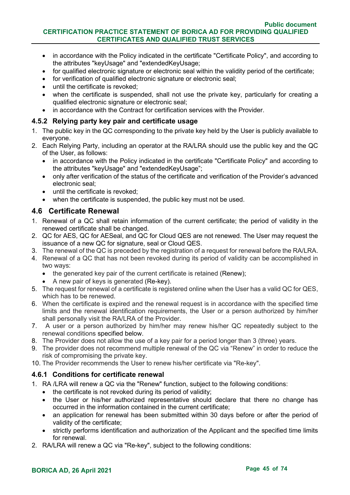- in accordance with the Policy indicated in the certificate "Certificate Policy", and according to the attributes "keyUsage" and "extendedKeyUsage;
- for qualified electronic signature or electronic seal within the validity period of the certificate;
- for verification of qualified electronic signature or electronic seal;
- until the certificate is revoked;
- when the certificate is suspended, shall not use the private key, particularly for creating a qualified electronic signature or electronic seal;
- in accordance with the Contract for certification services with the Provider.

### **4.5.2 Relying party key pair and certificate usage**

- 1. The public key in the QC corresponding to the private key held by the User is publicly available to everyone.
- 2. Each Relying Party, including an operator at the RA/LRA should use the public key and the QC of the User, as follows:
	- in accordance with the Policy indicated in the certificate "Certificate Policy" and according to the attributes "keyUsage" and "extendedKeyUsage";
	- only after verification of the status of the certificate and verification of the Provider's advanced electronic seal;
	- until the certificate is revoked:
	- when the certificate is suspended, the public key must not be used.

# **4.6 Certificate Renewal**

- 1. Renewal of a QC shall retain information of the current certificate; the period of validity in the renewed certificate shall be changed.
- 2. QC for AES, QC for AESeal, and QC for Cloud QES are not renewed. The User may request the issuance of a new QC for signature, seal or Cloud QES.
- 3. The renewal of the QC is preceded by the registration of a request for renewal before the RA/LRA.
- 4. Renewal of a QC that has not been revoked during its period of validity can be accomplished in two ways:
	- the generated key pair of the current certificate is retained (Renew);
	- A new pair of keys is generated (Re-key).
- 5. The request for renewal of a certificate is registered online when the User has a valid QC for QES, which has to be renewed.
- 6. When the certificate is expired and the renewal request is in accordance with the specified time limits and the renewal identification requirements, the User or a person authorized by him/her shall personally visit the RA/LRA of the Provider.
- 7. A user or a person authorized by him/her may renew his/her QC repeatedly subject to the renewal conditions specified below.
- 8. The Provider does not allow the use of a key pair for a period longer than 3 (three) years.
- 9. The provider does not recommend multiple renewal of the QC via "Renew" in order to reduce the risk of compromising the private key.
- 10. The Provider recommends the User to renew his/her certificate via "Re-key".

### **4.6.1 Conditions for certificate renewal**

- 1. RA /LRA will renew a QC via the "Renew" function, subject to the following conditions:
	- the certificate is not revoked during its period of validity;
	- the User or his/her authorized representative should declare that there no change has occurred in the information contained in the current certificate;
	- an application for renewal has been submitted within 30 days before or after the period of validity of the certificate;
	- strictly performs identification and authorization of the Applicant and the specified time limits for renewal.
- 2. RA/LRA will renew a QC via "Re-key", subject to the following conditions: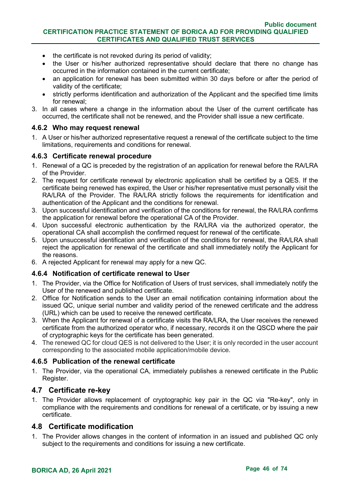- the certificate is not revoked during its period of validity;
- the User or his/her authorized representative should declare that there no change has occurred in the information contained in the current certificate;
- an application for renewal has been submitted within 30 days before or after the period of validity of the certificate;
- strictly performs identification and authorization of the Applicant and the specified time limits for renewal;
- 3. In all cases where a change in the information about the User of the current certificate has occurred, the certificate shall not be renewed, and the Provider shall issue a new certificate.

#### **4.6.2 Who may request renewal**

1. A User or his/her authorized representative request a renewal of the certificate subject to the time limitations, requirements and conditions for renewal.

#### **4.6.3 Certificate renewal procedure**

- 1. Renewal of a QC is preceded by the registration of an application for renewal before the RA/LRA of the Provider.
- 2. The request for certificate renewal by electronic application shall be certified by a QES. If the certificate being renewed has expired, the User or his/her representative must personally visit the RA/LRA of the Provider. The RA/LRA strictly follows the requirements for identification and authentication of the Applicant and the conditions for renewal.
- 3. Upon successful identification and verification of the conditions for renewal, the RA/LRA confirms the application for renewal before the operational CA of the Provider.
- 4. Upon successful electronic authentication by the RA/LRA via the authorized operator, the operational CA shall accomplish the confirmed request for renewal of the certificate.
- 5. Upon unsuccessful identification and verification of the conditions for renewal, the RA/LRA shall reject the application for renewal of the certificate and shall immediately notify the Applicant for the reasons.
- 6. A rejected Applicant for renewal may apply for a new QC.

### **4.6.4 Notification of certificate renewal to User**

- 1. The Provider, via the Office for Notification of Users of trust services, shall immediately notify the User of the renewed and published certificate.
- 2. Office for Notification sends to the User an email notification containing information about the issued QC, unique serial number and validity period of the renewed certificate and the address (URL) which can be used to receive the renewed certificate.
- 3. When the Applicant for renewal of a certificate visits the RA/LRA, the User receives the renewed certificate from the authorized operator who, if necessary, records it on the QSCD where the pair of cryptographic keys for the certificate has been generated.
- 4. The renewed QC for cloud QES is not delivered to the User; it is only recorded in the user account corresponding to the associated mobile application/mobile device.

### **4.6.5 Publication of the renewal certificate**

1. The Provider, via the operational CA, immediately publishes a renewed certificate in the Public Register.

#### **4.7 Certificate re-key**

1. The Provider allows replacement of cryptographic key pair in the QC via "Re-key", only in compliance with the requirements and conditions for renewal of a certificate, or by issuing a new certificate.

### **4.8 Certificate modification**

1. The Provider allows changes in the content of information in an issued and published QC only subject to the requirements and conditions for issuing a new certificate.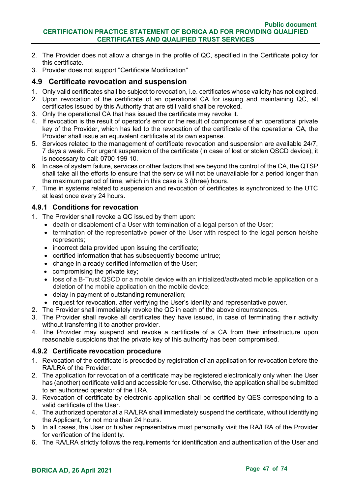- 2. The Provider does not allow a change in the profile of QC, specified in the Certificate policy for this certificate.
- 3. Provider does not support "Certificate Modification"

## **4.9 Certificate revocation and suspension**

- 1. Only valid certificates shall be subject to revocation, i.e. certificates whose validity has not expired.
- 2. Upon revocation of the certificate of an operational CA for issuing and maintaining QC, all certificates issued by this Authority that are still valid shall be revoked.
- 3. Only the operational CA that has issued the certificate may revoke it.
- 4. If revocation is the result of operator's error or the result of compromise of an operational private key of the Provider, which has led to the revocation of the certificate of the operational CA, the Provider shall issue an equivalent certificate at its own expense.
- 5. Services related to the management of certificate revocation and suspension are available 24/7, 7 days a week. For urgent suspension of the certificate (in case of lost or stolen QSCD device), it is necessary to call: 0700 199 10.
- 6. In case of system failure, services or other factors that are beyond the control of the CA, the QTSP shall take all the efforts to ensure that the service will not be unavailable for a period longer than the maximum period of time, which in this case is 3 (three) hours.
- 7. Time in systems related to suspension and revocation of certificates is synchronized to the UTC at least once every 24 hours.

### **4.9.1 Conditions for revocation**

- 1. The Provider shall revoke a QC issued by them upon:
	- death or disablement of a User with termination of a legal person of the User;
	- termination of the representative power of the User with respect to the legal person he/she represents;
	- incorrect data provided upon issuing the certificate;
	- certified information that has subsequently become untrue;
	- change in already certified information of the User;
	- compromising the private key;
	- loss of a B-Trust QSCD or a mobile device with an initialized/activated mobile application or a deletion of the mobile application on the mobile device;
	- delay in payment of outstanding remuneration;
	- request for revocation, after verifying the User's identity and representative power.
- 2. The Provider shall immediately revoke the QC in each of the above circumstances.
- 3. The Provider shall revoke all certificates they have issued, in case of terminating their activity without transferring it to another provider.
- 4. The Provider may suspend and revoke a certificate of a CA from their infrastructure upon reasonable suspicions that the private key of this authority has been compromised.

### **4.9.2 Certificate revocation procedure**

- 1. Revocation of the certificate is preceded by registration of an application for revocation before the RA/LRA of the Provider.
- 2. The application for revocation of a certificate may be registered electronically only when the User has (another) certificate valid and accessible for use. Otherwise, the application shall be submitted to an authorized operator of the LRA.
- 3. Revocation of certificate by electronic application shall be certified by QES corresponding to a valid certificate of the User.
- 4. The authorized operator at a RA/LRA shall immediately suspend the certificate, without identifying the Applicant, for not more than 24 hours.
- 5. In all cases, the User or his/her representative must personally visit the RA/LRA of the Provider for verification of the identity.
- 6. The RA/LRA strictly follows the requirements for identification and authentication of the User and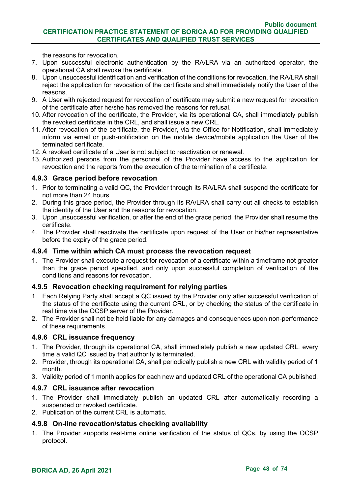the reasons for revocation.

- 7. Upon successful electronic authentication by the RA/LRA via an authorized operator, the operational CA shall revoke the certificate.
- 8. Upon unsuccessful identification and verification of the conditions for revocation, the RA/LRA shall reject the application for revocation of the certificate and shall immediately notify the User of the reasons.
- 9. A User with rejected request for revocation of certificate may submit a new request for revocation of the certificate after he/she has removed the reasons for refusal.
- 10. After revocation of the certificate, the Provider, via its operational CA, shall immediately publish the revoked certificate in the CRL, and shall issue a new CRL.
- 11. After revocation of the certificate, the Provider, via the Office for Notification, shall immediately inform via email or push-notification on the mobile device/mobile application the User of the terminated certificate.
- 12. A revoked certificate of a User is not subject to reactivation or renewal.
- 13. Authorized persons from the personnel of the Provider have access to the application for revocation and the reports from the execution of the termination of a certificate.

# **4.9.3 Grace period before revocation**

- 1. Prior to terminating a valid QC, the Provider through its RA/LRA shall suspend the certificate for not more than 24 hours.
- 2. During this grace period, the Provider through its RA/LRA shall carry out all checks to establish the identity of the User and the reasons for revocation.
- 3. Upon unsuccessful verification, or after the end of the grace period, the Provider shall resume the certificate.
- 4. The Provider shall reactivate the certificate upon request of the User or his/her representative before the expiry of the grace period.

## **4.9.4 Time within which CA must process the revocation request**

1. The Provider shall execute a request for revocation of a certificate within a timeframe not greater than the grace period specified, and only upon successful completion of verification of the conditions and reasons for revocation.

### **4.9.5 Revocation checking requirement for relying parties**

- 1. Each Relying Party shall accept a QC issued by the Provider only after successful verification of the status of the certificate using the current CRL, or by checking the status of the certificate in real time via the OCSP server of the Provider.
- 2. The Provider shall not be held liable for any damages and consequences upon non-performance of these requirements.

### **4.9.6 CRL issuance frequency**

- 1. The Provider, through its operational CA, shall immediately publish a new updated CRL, every time a valid QC issued by that authority is terminated.
- 2. Provider, through its operational CA, shall periodically publish a new CRL with validity period of 1 month.
- 3. Validity period of 1 month applies for each new and updated CRL of the operational CA published.

### **4.9.7 CRL issuance after revocation**

- 1. The Provider shall immediately publish an updated CRL after automatically recording a suspended or revoked certificate.
- 2. Publication of the current CRL is automatic.

### **4.9.8 On-line revocation/status checking availability**

1. The Provider supports real-time online verification of the status of QCs, by using the OCSP protocol.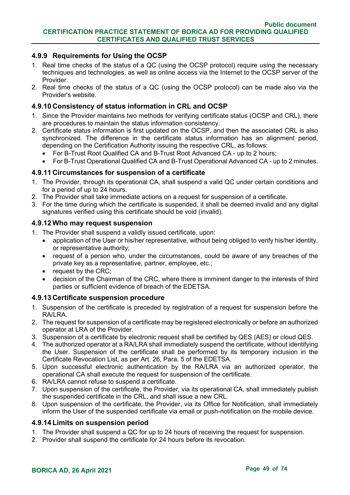### **4.9.9 Requirements for Using the OCSP**

- 1. Real time checks of the status of a QC (using the OCSP protocol) require using the necessary techniques and technologies, as well as online access via the Internet to the OCSP server of the Provider.
- 2. Real time checks of the status of a QC (using the OCSP protocol) can be made also via the Provider's website.

### **4.9.10 Consistency of status information in CRL and OCSP**

- 1. Since the Provider maintains two methods for verifying certificate status (OCSP and CRL), there are procedures to maintain the status information consistency.
- 2. Certificate status information is first updated on the OCSP, and then the associated CRL is also synchronized. The difference in the certificate status information has an alignment period, depending on the Certification Authority issuing the respective CRL, as follows:
	- For B-Trust Root Qualified CA and B-Trust Root Advanced CA up to 2 hours;
	- For B-Trust Operational Qualified CA and B-Trust Operational Advanced CA up to 2 minutes.

### **4.9.11 Circumstances for suspension of a certificate**

- 1. The Provider, through its operational CA, shall suspend a valid QC under certain conditions and for a period of up to 24 hours.
- 2. The Provider shall take immediate actions on a request for suspension of a certificate.
- 3. For the time during which the certificate is suspended, it shall be deemed invalid and any digital signatures verified using this certificate should be void (invalid).

#### **4.9.12 Who may request suspension**

- 1. The Provider shall suspend a validly issued certificate, upon:
	- application of the User or his/her representative, without being obliged to verify his/her identity, or representative authority;
	- request of a person who, under the circumstances, could be aware of any breaches of the private key as a representative, partner, employee, etc.;
	- request by the CRC;
	- decision of the Chairman of the CRC, where there is imminent danger to the interests of third parties or sufficient evidence of breach of the EDETSA.

### **4.9.13 Certificate suspension procedure**

- 1. Suspension of the certificate is preceded by registration of a request for suspension before the RA/LRA.
- 2. The request for suspension of a certificate may be registered electronically or before an authorized operator at LRA of the Provider.
- 3. Suspension of a certificate by electronic request shall be certified by QES (AES) or cloud QES.
- 4. The authorized operator at a RA/LRA shall immediately suspend the certificate, without identifying the User. Suspension of the certificate shall be performed by its temporary inclusion in the Certificate Revocation List, as per Art. 26, Para. 5 of the EDETSA.
- 5. Upon successful electronic authentication by the RA/LRA via an authorized operator, the operational CA shall execute the request for suspension of the certificate.
- 6. RA/LRA cannot refuse to suspend a certificate.
- 7. Upon suspension of the certificate, the Provider, via its operational CA, shall immediately publish the suspended certificate in the CRL, and shall issue a new CRL.
- 8. Upon suspension of the certificate, the Provider, via its Office for Notification, shall immediately inform the User of the suspended certificate via email or push-notification on the mobile device.

### **4.9.14 Limits on suspension period**

- 1. The Provider shall suspend a QC for up to 24 hours of receiving the request for suspension.
- 2. Provider shall suspend the certificate for 24 hours before its revocation.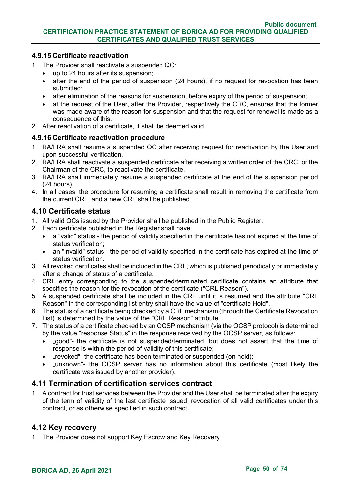### **4.9.15 Certificate reactivation**

- 1. The Provider shall reactivate a suspended QC:
	- up to 24 hours after its suspension;
	- after the end of the period of suspension (24 hours), if no request for revocation has been submitted;
	- after elimination of the reasons for suspension, before expiry of the period of suspension;
	- at the request of the User, after the Provider, respectively the CRC, ensures that the former was made aware of the reason for suspension and that the request for renewal is made as a consequence of this.
- 2. After reactivation of a certificate, it shall be deemed valid.

### **4.9.16 Certificate reactivation procedure**

- 1. RA/LRA shall resume a suspended QC after receiving request for reactivation by the User and upon successful verification.
- 2. RA/LRA shall reactivate a suspended certificate after receiving a written order of the CRC, or the Chairman of the CRC, to reactivate the certificate.
- 3. RA/LRA shall immediately resume a suspended certificate at the end of the suspension period (24 hours).
- 4. In all cases, the procedure for resuming a certificate shall result in removing the certificate from the current CRL, and a new CRL shall be published.

# **4.10 Certificate status**

- 1. All valid QCs issued by the Provider shall be published in the Public Register.
- 2. Each certificate published in the Register shall have:
	- a "valid" status the period of validity specified in the certificate has not expired at the time of status verification;
	- an "invalid" status the period of validity specified in the certificate has expired at the time of status verification.
- 3. All revoked certificates shall be included in the CRL, which is published periodically or immediately after a change of status of a certificate.
- 4. CRL entry corresponding to the suspended/terminated certificate contains an attribute that specifies the reason for the revocation of the certificate ("CRL Reason").
- 5. A suspended certificate shall be included in the CRL until it is resumed and the attribute "CRL Reason" in the corresponding list entry shall have the value of "certificate Hold".
- 6. The status of a certificate being checked by a CRL mechanism (through the Certificate Revocation List) is determined by the value of the "CRL Reason" attribute.
- 7. The status of a certificate checked by an OCSP mechanism (via the OCSP protocol) is determined by the value "response Status" in the response received by the OCSP server, as follows:
	- "good"- the certificate is not suspended/terminated, but does not assert that the time of response is within the period of validity of this certificate;
	- "revoked"- the certificate has been terminated or suspended (on hold);
	- "unknown"- the OCSP server has no information about this certificate (most likely the certificate was issued by another provider).

### **4.11 Termination of certification services contract**

1. A contract for trust services between the Provider and the User shall be terminated after the expiry of the term of validity of the last certificate issued, revocation of all valid certificates under this contract, or as otherwise specified in such contract.

### **4.12 Key recovery**

1. The Provider does not support Key Escrow and Key Recovery.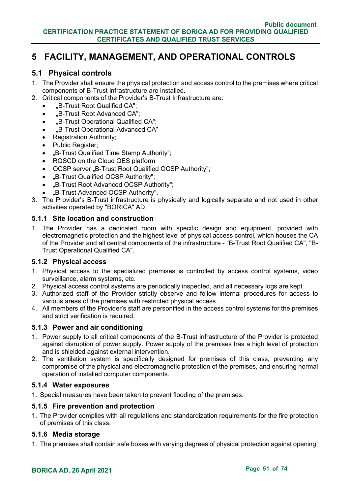# **5 FACILITY, MANAGEMENT, AND OPERATIONAL CONTROLS**

### **5.1 Physical controls**

- 1. The Provider shall ensure the physical protection and access control to the premises where critical components of B-Trust infrastructure are installed.
- 2. Critical components of the Provider's B-Trust Infrastructure are:
	- "B-Trust Root Qualified CA";
	- "B-Trust Root Advanced CA";
	- "B-Trust Operational Qualified CA";
	- "B-Trust Operational Advanced CA"
	- Registration Authority;
	- Public Register:
	- "B-Trust Qualified Time Stamp Authority";
	- RQSCD on the Cloud QES platform
	- OCSP server "B-Trust Root Qualified OCSP Authority";
	- "B-Trust Qualified OCSP Authority";
	- "B-Trust Root Advanced OCSP Authority";
	- "B-Trust Advanced OCSP Authority".
- 3. The Provider's B-Trust infrastructure is physically and logically separate and not used in other activities operated by "BORICA" AD.

#### **5.1.1 Site location and construction**

1. The Provider has a dedicated room with specific design and equipment, provided with electromagnetic protection and the highest level of physical access control, which houses the CA of the Provider and all central components of the infrastructure - "B-Trust Root Qualified CA", "B-Trust Operational Qualified CA".

### **5.1.2 Physical access**

- 1. Physical access to the specialized premises is controlled by access control systems, video surveillance, alarm systems, etc.
- 2. Physical access control systems are periodically inspected, and all necessary logs are kept.
- 3. Authorized staff of the Provider strictly observe and follow internal procedures for access to various areas of the premises with restricted physical access.
- 4. All members of the Provider's staff are personified in the access control systems for the premises and strict verification is required.

### **5.1.3 Power and air conditioning**

- 1. Power supply to all critical components of the B-Trust infrastructure of the Provider is protected against disruption of power supply. Power supply of the premises has a high level of protection and is shielded against external intervention.
- 2. The ventilation system is specifically designed for premises of this class, preventing any compromise of the physical and electromagnetic protection of the premises, and ensuring normal operation of installed computer components.

### **5.1.4 Water exposures**

1. Special measures have been taken to prevent flooding of the premises.

### **5.1.5 Fire prevention and protection**

1. The Provider complies with all regulations and standardization requirements for the fire protection of premises of this class.

#### **5.1.6 Media storage**

1. The premises shall contain safe boxes with varying degrees of physical protection against opening,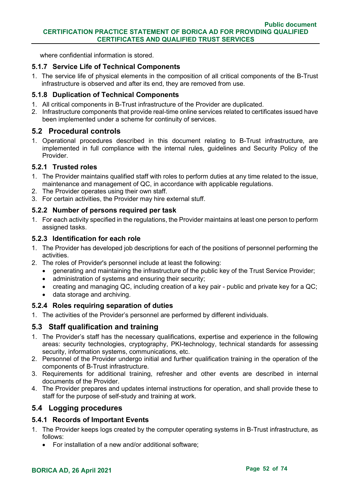where confidential information is stored.

### **5.1.7 Service Life of Technical Components**

1. The service life of physical elements in the composition of all critical components of the B-Trust infrastructure is observed and after its end, they are removed from use.

### **5.1.8 Duplication of Technical Components**

- 1. All critical components in B-Trust infrastructure of the Provider are duplicated.
- 2. Infrastructure components that provide real-time online services related to certificates issued have been implemented under a scheme for continuity of services.

### **5.2 Procedural controls**

1. Operational procedures described in this document relating to B-Trust infrastructure, are implemented in full compliance with the internal rules, guidelines and Security Policy of the **Provider** 

### **5.2.1 Trusted roles**

- 1. The Provider maintains qualified staff with roles to perform duties at any time related to the issue, maintenance and management of QC, in accordance with applicable regulations.
- 2. The Provider operates using their own staff.
- 3. For certain activities, the Provider may hire external stuff.

### **5.2.2 Number of persons required per task**

1. For each activity specified in the regulations, the Provider maintains at least one person to perform assigned tasks.

### **5.2.3 Identification for each role**

- 1. The Provider has developed job descriptions for each of the positions of personnel performing the activities.
- 2. The roles of Provider's personnel include at least the following:
	- generating and maintaining the infrastructure of the public key of the Trust Service Provider;
	- administration of systems and ensuring their security;
	- creating and managing QC, including creation of a key pair public and private key for a QC;
	- data storage and archiving.

### **5.2.4 Roles requiring separation of duties**

1. The activities of the Provider's personnel are performed by different individuals.

# **5.3 Staff qualification and training**

- 1. The Provider's staff has the necessary qualifications, expertise and experience in the following areas: security technologies, cryptography, PKI-technology, technical standards for assessing security, information systems, communications, etc.
- 2. Personnel of the Provider undergo initial and further qualification training in the operation of the components of B-Trust infrastructure.
- 3. Requirements for additional training, refresher and other events are described in internal documents of the Provider.
- 4. The Provider prepares and updates internal instructions for operation, and shall provide these to staff for the purpose of self-study and training at work.

### **5.4 Logging procedures**

### **5.4.1 Records of Important Events**

- 1. The Provider keeps logs created by the computer operating systems in B-Trust infrastructure, as follows:
	- For installation of a new and/or additional software;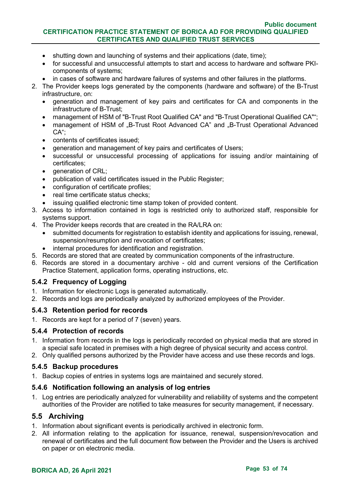#### **Public document CERTIFICATION PRACTICE STATEMENT OF BORICA AD FOR PROVIDING QUALIFIED CERTIFICATES AND QUALIFIED TRUST SERVICES**

- shutting down and launching of systems and their applications (date, time);
- for successful and unsuccessful attempts to start and access to hardware and software PKIcomponents of systems;
- in cases of software and hardware failures of systems and other failures in the platforms.
- 2. The Provider keeps logs generated by the components (hardware and software) of the B-Trust infrastructure, on:
	- generation and management of key pairs and certificates for CA and components in the infrastructure of B-Trust;
	- management of HSM of "B-Trust Root Qualified CA" and "B-Trust Operational Qualified CA"";
	- management of HSM of "B-Trust Root Advanced CA" and "B-Trust Operational Advanced CA";
	- contents of certificates issued;
	- generation and management of key pairs and certificates of Users;
	- successful or unsuccessful processing of applications for issuing and/or maintaining of certificates;
	- qeneration of CRL:
	- publication of valid certificates issued in the Public Register;
	- configuration of certificate profiles;
	- real time certificate status checks;
	- issuing qualified electronic time stamp token of provided content.
- 3. Access to information contained in logs is restricted only to authorized staff, responsible for systems support.
- 4. The Provider keeps records that are created in the RA/LRA on:
	- submitted documents for registration to establish identity and applications for issuing, renewal, suspension/resumption and revocation of certificates;
	- internal procedures for identification and registration.
- 5. Records are stored that are created by communication components of the infrastructure.
- 6. Records are stored in a documentary archive old and current versions of the Certification Practice Statement, application forms, operating instructions, etc.

#### **5.4.2 Frequency of Logging**

- 1. Information for electronic Logs is generated automatically.
- 2. Records and logs are periodically analyzed by authorized employees of the Provider.

#### **5.4.3 Retention period for records**

1. Records are kept for a period of 7 (seven) years.

#### **5.4.4 Protection of records**

- 1. Information from records in the logs is periodically recorded on physical media that are stored in a special safe located in premises with a high degree of physical security and access control.
- 2. Only qualified persons authorized by the Provider have access and use these records and logs.

#### **5.4.5 Backup procedures**

1. Backup copies of entries in systems logs are maintained and securely stored.

#### **5.4.6 Notification following an analysis of log entries**

1. Log entries are periodically analyzed for vulnerability and reliability of systems and the competent authorities of the Provider are notified to take measures for security management, if necessary.

### **5.5 Archiving**

- 1. Information about significant events is periodically archived in electronic form.
- 2. All information relating to the application for issuance, renewal, suspension/revocation and renewal of certificates and the full document flow between the Provider and the Users is archived on paper or on electronic media.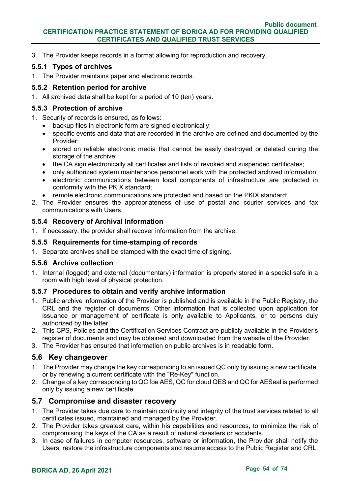3. The Provider keeps records in a format allowing for reproduction and recovery.

### **5.5.1 Types of archives**

1. The Provider maintains paper and electronic records.

### **5.5.2 Retention period for archive**

1. All archived data shall be kept for a period of 10 (ten) years.

### **5.5.3 Protection of archive**

- 1. Security of records is ensured, as follows:
	- backup files in electronic form are signed electronically;
	- specific events and data that are recorded in the archive are defined and documented by the Provider;
	- stored on reliable electronic media that cannot be easily destroyed or deleted during the storage of the archive;
	- the CA sign electronically all certificates and lists of revoked and suspended certificates;
	- only authorized system maintenance personnel work with the protected archived information:
	- electronic communications between local components of infrastructure are protected in conformity with the PKIX standard;
	- remote electronic communications are protected and based on the PKIX standard;
- 2. The Provider ensures the appropriateness of use of postal and courier services and fax communications with Users.

### **5.5.4 Recovery of Archival Information**

1. If necessary, the provider shall recover information from the archive.

### **5.5.5 Requirements for time-stamping of records**

1. Separate archives shall be stamped with the exact time of signing.

### **5.5.6 Archive collection**

1. Internal (logged) and external (documentary) information is properly stored in a special safe in a room with high level of physical protection.

### **5.5.7 Procedures to obtain and verify archive information**

- 1. Public archive information of the Provider is published and is available in the Public Registry, the CRL and the register of documents. Other information that is collected upon application for issuance or management of certificate is only available to Applicants, or to persons duly authorized by the latter.
- 2. This CPS, Policies and the Certification Services Contract are publicly available in the Provider's register of documents and may be obtained and downloaded from the website of the Provider.
- 3. The Provider has ensured that information on public archives is in readable form.

### **5.6 Key changeover**

- 1. The Provider may change the key corresponding to an issued QC only by issuing a new certificate, or by renewing a current certificate with the "Re-Key" function.
- 2. Change of a key corresponding to QC foe AES, QC for cloud QES and QC for AESeal is performed only by issuing a new certificate

### **5.7 Compromise and disaster recovery**

- 1. The Provider takes due care to maintain continuity and integrity of the trust services related to all certificates issued, maintained and managed by the Provider.
- 2. The Provider takes greatest care, within his capabilities and resources, to minimize the risk of compromising the keys of the CA as a result of natural disasters or accidents.
- 3. In case of failures in computer resources, software or information, the Provider shall notify the Users, restore the infrastructure components and resume access to the Public Register and CRL.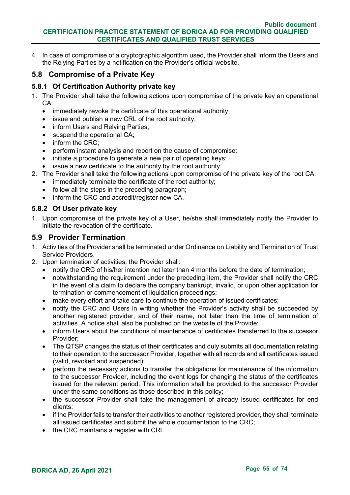4. In case of compromise of a cryptographic algorithm used, the Provider shall inform the Users and the Relying Parties by a notification on the Provider's official website.

# **5.8 Compromise of a Private Key**

### **5.8.1 Of Certification Authority private key**

- 1. The Provider shall take the following actions upon compromise of the private key an operational CA:
	- immediately revoke the certificate of this operational authority;
	- issue and publish a new CRL of the root authority;
	- inform Users and Relving Parties:
	- suspend the operational CA;
	- inform the CRC;
	- perform instant analysis and report on the cause of compromise;
	- initiate a procedure to generate a new pair of operating keys:
	- issue a new certificate to the authority by the root authority.
- 2. The Provider shall take the following actions upon compromise of the private key of the root CA:
	- immediately terminate the certificate of the root authority;
	- follow all the steps in the preceding paragraph;
	- inform the CRC and accredit/register new CA.

### **5.8.2 Of User private key**

1. Upon compromise of the private key of a User, he/she shall immediately notify the Provider to initiate the revocation of the certificate.

### **5.9 Provider Termination**

- 1. Activities of the Provider shall be terminated under Ordinance on Liability and Termination of Trust Service Providers.
- 2. Upon termination of activities, the Provider shall:
	- notify the CRC of his/her intention not later than 4 months before the date of termination;
	- notwithstanding the requirement under the preceding item, the Provider shall notify the CRC in the event of a claim to declare the company bankrupt, invalid, or upon other application for termination or commencement of liquidation proceedings;
	- make every effort and take care to continue the operation of issued certificates;
	- notify the CRC and Users in writing whether the Provider's activity shall be succeeded by another registered provider, and of their name, not later than the time of termination of activities. A notice shall also be published on the website of the Provide;
	- inform Users about the conditions of maintenance of certificates transferred to the successor Provider;
	- The QTSP changes the status of their certificates and duly submits all documentation relating to their operation to the successor Provider, together with all records and all certificates issued (valid, revoked and suspended);
	- perform the necessary actions to transfer the obligations for maintenance of the information to the successor Provider, including the event logs for changing the status of the certificates issued for the relevant period. This information shall be provided to the successor Provider under the same conditions as those described in this policy;
	- the successor Provider shall take the management of already issued certificates for end clients;
	- if the Provider fails to transfer their activities to another registered provider, they shall terminate all issued certificates and submit the whole documentation to the CRC;
	- the CRC maintains a register with CRL.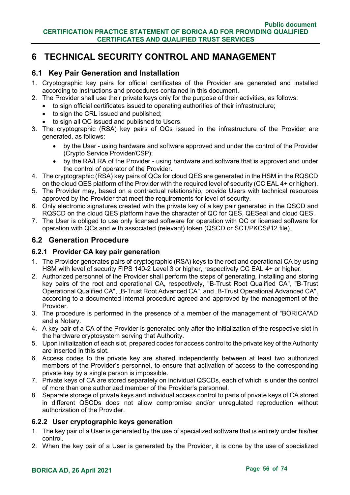# **6 TECHNICAL SECURITY CONTROL AND MANAGEMENT**

## **6.1 Key Pair Generation and Installation**

- 1. Cryptographic key pairs for official certificates of the Provider are generated and installed according to instructions and procedures contained in this document.
- 2. The Provider shall use their private keys only for the purpose of their activities, as follows:
	- to sign official certificates issued to operating authorities of their infrastructure;
	- to sign the CRL issued and published:
	- to sign all QC issued and published to Users.
- 3. The cryptographic (RSA) key pairs of QCs issued in the infrastructure of the Provider are generated, as follows:
	- by the User using hardware and software approved and under the control of the Provider (Crypto Service Provider/CSP);
	- by the RA/LRA of the Provider using hardware and software that is approved and under the control of operator of the Provider.
- 4. The cryptographic (RSA) key pairs of QCs for cloud QES are generated in the HSM in the RQSCD on the cloud QES platform of the Provider with the required level of security (CC EAL 4+ or higher).
- 5. The Provider may, based on a contractual relationship, provide Users with technical resources approved by the Provider that meet the requirements for level of security.
- 6. Only electronic signatures created with the private key of a key pair generated in the QSCD and RQSCD on the cloud QES platform have the character of QC for QES, QESeal and cloud QES.
- 7. The User is obliged to use only licensed software for operation with QC or licensed software for operation with QCs and with associated (relevant) token (QSCD or SCT/PKCS#12 file).

### **6.2 Generation Procedure**

### **6.2.1 Provider CA key pair generation**

- 1. The Provider generates pairs of cryptographic (RSA) keys to the root and operational CA by using HSM with level of security FIPS 140-2 Level 3 or higher, respectively CC EAL 4+ or higher.
- 2. Authorized personnel of the Provider shall perform the steps of generating, installing and storing key pairs of the root and operational CA, respectively, "B-Trust Root Qualified CA", "B-Trust Operational Qualified CA", "B-Trust Root Advanced CA", and "B-Trust Operational Advanced CA", according to a documented internal procedure agreed and approved by the management of the Provider.
- 3. The procedure is performed in the presence of a member of the management of "BORICA"AD and a Notary.
- 4. A key pair of a CA of the Provider is generated only after the initialization of the respective slot in the hardware cryptosystem serving that Authority.
- 5. Upon initialization of each slot, prepared codes for access control to the private key of the Authority are inserted in this slot.
- 6. Access codes to the private key are shared independently between at least two authorized members of the Provider's personnel, to ensure that activation of access to the corresponding private key by a single person is impossible.
- 7. Private keys of CA are stored separately on individual QSCDs, each of which is under the control of more than one authorized member of the Provider's personnel.
- 8. Separate storage of private keys and individual access control to parts of private keys of CA stored in different QSCDs does not allow compromise and/or unregulated reproduction without authorization of the Provider.

### **6.2.2 User cryptographic keys generation**

- 1. The key pair of a User is generated by the use of specialized software that is entirely under his/her control.
- 2. When the key pair of a User is generated by the Provider, it is done by the use of specialized

# **BORICA AD, 26 April 2021 Page 56 of 74**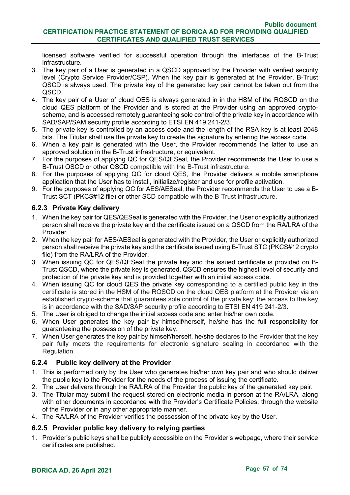licensed software verified for successful operation through the interfaces of the B-Trust infrastructure.

- 3. The key pair of a User is generated in a QSCD approved by the Provider with verified security level (Crypto Service Provider/CSP). When the key pair is generated at the Provider, B-Trust QSCD is always used. The private key of the generated key pair cannot be taken out from the QSCD.
- 4. The key pair of a User of cloud QES is always generated in in the HSM of the RQSCD on the cloud QES platform of the Provider and is stored at the Provider using an approved cryptoscheme, and is accessed remotely guaranteeing sole control of the private key in accordance with SAD/SAP/SAM security profile according to ETSI EN 419 241-2/3.
- 5. The private key is controlled by an access code and the length of the RSA key is at least 2048 bits. The Titular shall use the private key to create the signature by entering the access code.
- 6. When a key pair is generated with the User, the Provider recommends the latter to use an approved solution in the B-Trust infrastructure, or equivalent.
- 7. For the purposes of applying QC for QES/QESeal, the Provider recommends the User to use a B-Trust QSCD or other QSCD compatible with the B-Trust infrastructure.
- 8. For the purposes of applying QC for cloud QES, the Provider delivers a mobile smartphone application that the User has to install, initialize/register and use for profile activation.
- 9. For the purposes of applying QC for AES/AESeal, the Provider recommends the User to use a B-Trust SCT (PKCS#12 file) or other SCD compatible with the B-Trust infrastructure.

### **6.2.3 Private Key delivery**

- 1. When the key pair for QES/QESeal is generated with the Provider, the User or explicitly authorized person shall receive the private key and the certificate issued on a QSCD from the RA/LRA of the Provider.
- 2. When the key pair for AES/AESeal is generated with the Provider, the User or explicitly authorized person shall receive the private key and the certificate issued using B-Trust STC (PKCS#12 crypto file) from the RA/LRA of the Provider.
- 3. When issuing QC for QES/QESeal the private key and the issued certificate is provided on B-Trust QSCD, where the private key is generated. QSCD ensures the highest level of security and protection of the private key and is provided together with an initial access code.
- 4. When issuing QC for cloud QES the private key corresponding to a certified public key in the certificate is stored in the HSM of the RQSCD on the cloud QES platform at the Provider via an established crypto-scheme that guarantees sole control of the private key; the access to the key is in accordance with the SAD/SAP security profile according to ETSI EN 419 241-2/3.
- 5. The User is obliged to change the initial access code and enter his/her own code.
- 6. When User generates the key pair by himself/herself, he/she has the full responsibility for guaranteeing the possession of the private key.
- 7. When User generates the key pair by himself/herself, he/she declares to the Provider that the key pair fully meets the requirements for electronic signature sealing in accordance with the Regulation.

### **6.2.4 Public key delivery at the Provider**

- 1. This is performed only by the User who generates his/her own key pair and who should deliver the public key to the Provider for the needs of the process of issuing the certificate.
- 2. The User delivers through the RA/LRA of the Provider the public key of the generated key pair.
- 3. The Titular may submit the request stored on electronic media in person at the RA/LRA, along with other documents in accordance with the Provider's Certificate Policies, through the website of the Provider or in any other appropriate manner.
- 4. The RA/LRA of the Provider verifies the possession of the private key by the User.

### **6.2.5 Provider public key delivery to relying parties**

1. Provider's public keys shall be publicly accessible on the Provider's webpage, where their service certificates are published.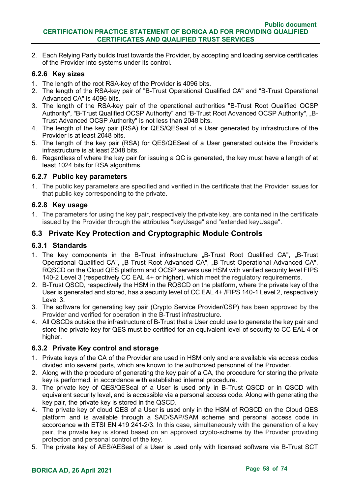2. Each Relying Party builds trust towards the Provider, by accepting and loading service certificates of the Provider into systems under its control.

### **6.2.6 Key sizes**

- 1. The length of the root RSA-key of the Provider is 4096 bits.
- 2. The length of the RSA-key pair of "B-Trust Operational Qualified CA" and "B-Trust Operational Advanced CA" is 4096 bits.
- 3. The length of the RSA-key pair of the operational authorities "B-Trust Root Qualified OCSP Authority", "B-Trust Qualified OCSP Authority" and "B-Trust Root Advanced OCSP Authority", "B-Trust Advanced OCSP Authority" is not less than 2048 bits.
- 4. The length of the key pair (RSA) for QES/QESeal of a User generated by infrastructure of the Provider is at least 2048 bits.
- 5. The length of the key pair (RSA) for QES/QESeal of a User generated outside the Provider's infrastructure is at least 2048 bits.
- 6. Regardless of where the key pair for issuing a QC is generated, the key must have a length of at least 1024 bits for RSA algorithms.

### **6.2.7 Public key parameters**

1. The public key parameters are specified and verified in the certificate that the Provider issues for that public key corresponding to the private.

### **6.2.8 Key usage**

1. The parameters for using the key pair, respectively the private key, are contained in the certificate issued by the Provider through the attributes "keyUsage" and "extended keyUsage".

# **6.3 Private Key Protection and Cryptographic Module Controls**

### **6.3.1 Standards**

- 1. The key components in the B-Trust infrastructure "B-Trust Root Qualified CA", "B-Trust Operational Qualified CA", "B-Trust Root Advanced CA", "B-Trust Operational Advanced CA", RQSCD on the Cloud QES platform and OCSP servers use HSM with verified security level FIPS 140-2 Level 3 (respectively CC EAL 4+ or higher), which meet the regulatory requirements.
- 2. B-Trust QSCD, respectively the HSM in the RQSCD on the platform, where the private key of the User is generated and stored, has a security level of CC EAL 4+ /FIPS 140-1 Level 2, respectively Level 3.
- 3. The software for generating key pair (Crypto Service Provider/CSP) has been approved by the Provider and verified for operation in the B-Trust infrastructure.
- 4. All QSCDs outside the infrastructure of B-Trust that a User could use to generate the key pair and store the private key for QES must be certified for an equivalent level of security to CC EAL 4 or higher.

### **6.3.2 Private Key control and storage**

- 1. Private keys of the CA of the Provider are used in HSM only and are available via access codes divided into several parts, which are known to the authorized personnel of the Provider.
- 2. Along with the procedure of generating the key pair of a CA, the procedure for storing the private key is performed, in accordance with established internal procedure.
- 3. The private key of QES/QESeal of a User is used only in B-Trust QSCD or in QSCD with equivalent security level, and is accessible via a personal access code. Along with generating the key pair, the private key is stored in the QSCD.
- 4. The private key of cloud QES of a User is used only in the HSM of RQSCD on the Cloud QES platform and is available through a SAD/SAP/SAM scheme and personal access code in accordance with ETSI EN 419 241-2/3. In this case, simultaneously with the generation of a key pair, the private key is stored based on an approved crypto-scheme by the Provider providing protection and personal control of the key.
- 5. The private key of AES/AESeal of a User is used only with licensed software via B-Trust SCT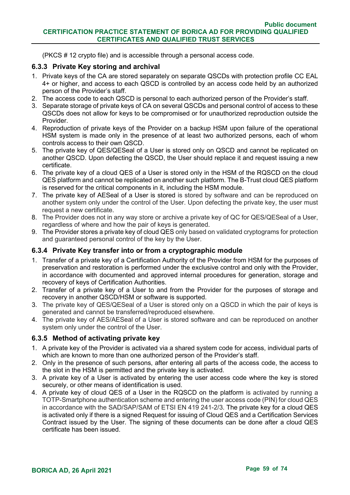(PKCS # 12 crypto file) and is accessible through a personal access code.

### **6.3.3 Private Key storing and archival**

- 1. Private keys of the CA are stored separately on separate QSCDs with protection profile CC EAL 4+ or higher, and access to each QSCD is controlled by an access code held by an authorized person of the Provider's staff.
- 2. The access code to each QSCD is personal to each authorized person of the Provider's staff.
- 3. Separate storage of private keys of CA on several QSCDs and personal control of access to these QSCDs does not allow for keys to be compromised or for unauthorized reproduction outside the **Provider**
- 4. Reproduction of private keys of the Provider on a backup HSM upon failure of the operational HSM system is made only in the presence of at least two authorized persons, each of whom controls access to their own QSCD.
- 5. The private key of QES/QESeal of a User is stored only on QSCD and cannot be replicated on another QSCD. Upon defecting the QSCD, the User should replace it and request issuing a new certificate.
- 6. The private key of a cloud QES of a User is stored only in the HSM of the RQSCD on the cloud QES platform and cannot be replicated on another such platform. The B-Trust cloud QES platform is reserved for the critical components in it, including the HSM module.
- 7. The private key of AESeal of a User is stored is stored by software and can be reproduced on another system only under the control of the User. Upon defecting the private key, the user must request a new certificate.
- 8. The Provider does not in any way store or archive a private key of QC for QES/QESeal of a User, regardless of where and how the pair of keys is generated.
- 9. The Provider stores a private key of cloud QES only based on validated cryptograms for protection and guaranteed personal control of the key by the User.

### **6.3.4 Private Key transfer into or from a cryptographic module**

- 1. Transfer of a private key of a Certification Authority of the Provider from HSM for the purposes of preservation and restoration is performed under the exclusive control and only with the Provider, in accordance with documented and approved internal procedures for generation, storage and recovery of keys of Certification Authorities.
- 2. Transfer of a private key of a User to and from the Provider for the purposes of storage and recovery in another QSCD/HSM or software is supported.
- 3. The private key of QES/QESeal of a User is stored only on a QSCD in which the pair of keys is generated and cannot be transferred/reproduced elsewhere.
- 4. The private key of AES/AESeal of a User is stored software and can be reproduced on another system only under the control of the User.

### **6.3.5 Method of activating private key**

- 1. A private key of the Provider is activated via a shared system code for access, individual parts of which are known to more than one authorized person of the Provider's staff.
- 2. Only in the presence of such persons, after entering all parts of the access code, the access to the slot in the HSM is permitted and the private key is activated.
- 3. A private key of a User is activated by entering the user access code where the key is stored securely, or other means of identification is used.
- 4. A private key of cloud QES of a User in the RQSCD on the platform is activated by running a TOTP-Smartphone authentication scheme and entering the user access code (PIN) for cloud QES in accordance with the SAD/SAP/SAM of ETSI EN 419 241-2/3. The private key for a cloud QES is activated only if there is a signed Request for issuing of Cloud QES and a Certification Services Contract issued by the User. The signing of these documents can be done after a cloud QES certificate has been issued.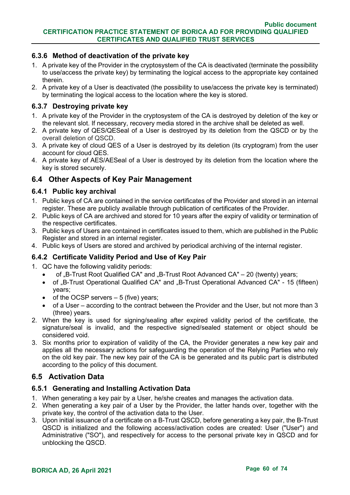### **6.3.6 Method of deactivation of the private key**

- 1. A private key of the Provider in the cryptosystem of the CA is deactivated (terminate the possibility to use/access the private key) by terminating the logical access to the appropriate key contained therein.
- 2. A private key of a User is deactivated (the possibility to use/access the private key is terminated) by terminating the logical access to the location where the key is stored.

#### **6.3.7 Destroying private key**

- 1. A private key of the Provider in the cryptosystem of the CA is destroyed by deletion of the key or the relevant slot. If necessary, recovery media stored in the archive shall be deleted as well.
- 2. A private key of QES/QESeal of a User is destroyed by its deletion from the QSCD or by the overall deletion of QSCD.
- 3. A private key of cloud QES of a User is destroyed by its deletion (its cryptogram) from the user account for cloud QES.
- 4. A private key of AES/AESeal of a User is destroyed by its deletion from the location where the key is stored securely.

## **6.4 Other Aspects of Key Pair Management**

#### **6.4.1 Public key archival**

- 1. Public keys of CA are contained in the service certificates of the Provider and stored in an internal register. These are publicly available through publication of certificates of the Provider.
- 2. Public keys of CA are archived and stored for 10 years after the expiry of validity or termination of the respective certificates.
- 3. Public keys of Users are contained in certificates issued to them, which are published in the Public Register and stored in an internal register.
- 4. Public keys of Users are stored and archived by periodical archiving of the internal register.

### **6.4.2 Certificate Validity Period and Use of Key Pair**

- 1. QC have the following validity periods:
	- of "B-Trust Root Qualified CA" and "B-Trust Root Advanced CA" 20 (twenty) years;
	- of "B-Trust Operational Qualified CA" and "B-Trust Operational Advanced CA" 15 (fifteen) years;
	- of the OCSP servers  $-5$  (five) years;
	- of a User according to the contract between the Provider and the User, but not more than 3 (three) years.
- 2. When the key is used for signing/sealing after expired validity period of the certificate, the signature/seal is invalid, and the respective signed/sealed statement or object should be considered void.
- 3. Six months prior to expiration of validity of the CA, the Provider generates a new key pair and applies all the necessary actions for safeguarding the operation of the Relying Parties who rely on the old key pair. The new key pair of the CA is be generated and its public part is distributed according to the policy of this document.

### **6.5 Activation Data**

### **6.5.1 Generating and Installing Activation Data**

- 1. When generating a key pair by a User, he/she creates and manages the activation data.
- 2. When generating a key pair of a User by the Provider, the latter hands over, together with the private key, the control of the activation data to the User.
- 3. Upon initial issuance of a certificate on a B-Trust QSCD, before generating a key pair, the B-Trust QSCD is initialized and the following access/activation codes are created: User ("User") and Administrative ("SO"), and respectively for access to the personal private key in QSCD and for unblocking the QSCD.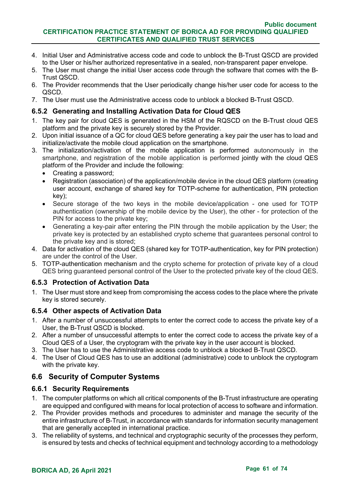#### **Public document CERTIFICATION PRACTICE STATEMENT OF BORICA AD FOR PROVIDING QUALIFIED CERTIFICATES AND QUALIFIED TRUST SERVICES**

- 4. Initial User and Administrative access code and code to unblock the B-Trust QSCD are provided to the User or his/her authorized representative in a sealed, non-transparent paper envelope.
- 5. The User must change the initial User access code through the software that comes with the B-Trust QSCD.
- 6. The Provider recommends that the User periodically change his/her user code for access to the QSCD.
- 7. The User must use the Administrative access code to unblock a blocked B-Trust QSCD.

### **6.5.2 Generating and Installing Activation Data for Cloud QES**

- 1. The key pair for cloud QES is generated in the HSM of the RQSCD on the B-Trust cloud QES platform and the private key is securely stored by the Provider.
- 2. Upon initial issuance of a QC for cloud QES before generating a key pair the user has to load and initialize/activate the mobile cloud application on the smartphone.
- 3. The initialization/activation of the mobile application is performed autonomously in the smartphone, and registration of the mobile application is performed jointly with the cloud QES platform of the Provider and include the following:
	- Creating a password;
	- Registration (association) of the application/mobile device in the cloud QES platform (creating user account, exchange of shared key for TOTP-scheme for authentication, PIN protection key);
	- Secure storage of the two keys in the mobile device/application one used for TOTP authentication (ownership of the mobile device by the User), the other - for protection of the PIN for access to the private key;
	- Generating a key-pair after entering the PIN through the mobile application by the User; the private key is protected by an established crypto scheme that guarantees personal control to the private key and is stored;
- 4. Data for activation of the cloud QES (shared key for TOTP-authentication, key for PIN protection) are under the control of the User.
- 5. TOTP-authentication mechanism and the crypto scheme for protection of private key of a cloud QES bring guaranteed personal control of the User to the protected private key of the cloud QES.

### **6.5.3 Protection of Activation Data**

1. The User must store and keep from compromising the access codes to the place where the private key is stored securely.

### **6.5.4 Other aspects of Activation Data**

- 1. After a number of unsuccessful attempts to enter the correct code to access the private key of a User, the B-Trust QSCD is blocked.
- 2. After a number of unsuccessful attempts to enter the correct code to access the private key of a Cloud QES of a User, the cryptogram with the private key in the user account is blocked.
- 3. The User has to use the Administrative access code to unblock a blocked B-Trust QSCD.
- 4. The User of Cloud QES has to use an additional (administrative) code to unblock the cryptogram with the private key.

# **6.6 Security of Computer Systems**

### **6.6.1 Security Requirements**

- 1. The computer platforms on which all critical components of the B-Trust infrastructure are operating are equipped and configured with means for local protection of access to software and information.
- 2. The Provider provides methods and procedures to administer and manage the security of the entire infrastructure of B-Trust, in accordance with standards for information security management that are generally accepted in international practice.
- 3. The reliability of systems, and technical and cryptographic security of the processes they perform, is ensured by tests and checks of technical equipment and technology according to a methodology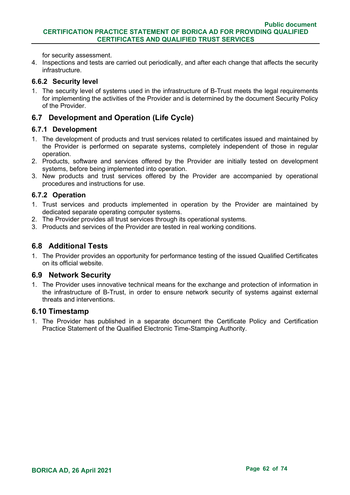for security assessment.

4. Inspections and tests are carried out periodically, and after each change that affects the security infrastructure.

### **6.6.2 Security level**

1. The security level of systems used in the infrastructure of B-Trust meets the legal requirements for implementing the activities of the Provider and is determined by the document Security Policy of the Provider.

# **6.7 Development and Operation (Life Cycle)**

### **6.7.1 Development**

- 1. The development of products and trust services related to certificates issued and maintained by the Provider is performed on separate systems, completely independent of those in regular operation.
- 2. Products, software and services offered by the Provider are initially tested on development systems, before being implemented into operation.
- 3. New products and trust services offered by the Provider are accompanied by operational procedures and instructions for use.

### **6.7.2 Operation**

- 1. Trust services and products implemented in operation by the Provider are maintained by dedicated separate operating computer systems.
- 2. The Provider provides all trust services through its operational systems.
- 3. Products and services of the Provider are tested in real working conditions.

## **6.8 Additional Tests**

1. The Provider provides an opportunity for performance testing of the issued Qualified Certificates on its official website.

### **6.9 Network Security**

1. The Provider uses innovative technical means for the exchange and protection of information in the infrastructure of B-Trust, in order to ensure network security of systems against external threats and interventions.

### **6.10 Timestamp**

1. The Provider has published in a separate document the Certificate Policy and Certification Practice Statement of the Qualified Electronic Time-Stamping Authority.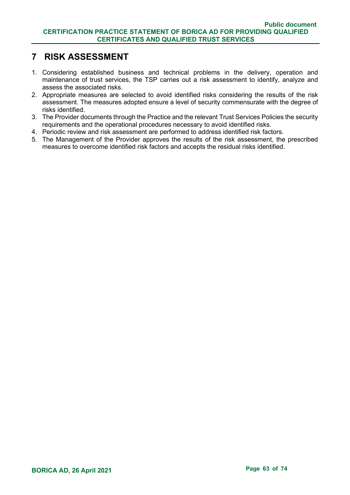# **7 RISK ASSESSMENT**

- 1. Considering established business and technical problems in the delivery, operation and maintenance of trust services, the TSP carries out a risk assessment to identify, analyze and assess the associated risks.
- 2. Appropriate measures are selected to avoid identified risks considering the results of the risk assessment. The measures adopted ensure a level of security commensurate with the degree of risks identified.
- 3. The Provider documents through the Practice and the relevant Trust Services Policies the security requirements and the operational procedures necessary to avoid identified risks.
- 4. Periodic review and risk assessment are performed to address identified risk factors.
- 5. The Management of the Provider approves the results of the risk assessment, the prescribed measures to overcome identified risk factors and accepts the residual risks identified.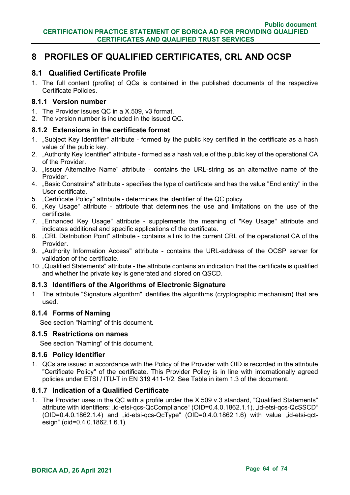# **8 PROFILES OF QUALIFIED CERTIFICATES, CRL AND OCSP**

### **8.1 Qualified Certificate Profile**

1. The full content (profile) of QCs is contained in the published documents of the respective Certificate Policies.

### **8.1.1 Version number**

- 1. The Provider issues QC in a X.509, v3 format.
- 2. The version number is included in the issued QC.

### **8.1.2 Extensions in the certificate format**

- 1. "Subject Key Identifier" attribute formed by the public key certified in the certificate as a hash value of the public key.
- 2. "Authority Key Identifier" attribute formed as a hash value of the public key of the operational CA of the Provider.
- 3. "Issuer Alternative Name" attribute contains the URL-string as an alternative name of the **Provider**
- 4. "Basic Constrains" attribute specifies the type of certificate and has the value "End entity" in the User certificate.
- 5. "Certificate Policy" attribute determines the identifier of the QC policy.
- 6. "Key Usage" attribute attribute that determines the use and limitations on the use of the certificate.
- 7. "Enhanced Key Usage" attribute supplements the meaning of "Key Usage" attribute and indicates additional and specific applications of the certificate.
- 8. .CRL Distribution Point" attribute contains a link to the current CRL of the operational CA of the **Provider**
- 9. "Authority Information Access" attribute contains the URL-address of the OCSP server for validation of the certificate.
- 10. "Qualified Statements" attribute the attribute contains an indication that the certificate is qualified and whether the private key is generated and stored on QSCD.

### **8.1.3 Identifiers of the Algorithms of Electronic Signature**

1. The attribute "Signature algorithm" identifies the algorithms (cryptographic mechanism) that are used.

#### **8.1.4 Forms of Naming**

See section "Naming" of this document.

#### **8.1.5 Restrictions on names**

See section "Naming" of this document.

#### **8.1.6 Policy Identifier**

1. QCs are issued in accordance with the Policy of the Provider with OID is recorded in the attribute "Certificate Policy" of the certificate. This Provider Policy is in line with internationally agreed policies under ETSI / ITU-T in EN 319 411-1/2. See Table in item 1.3 of the document.

### **8.1.7 Indication of a Qualified Certificate**

1. The Provider uses in the QC with a profile under the X.509 v.3 standard, "Qualified Statements" attribute with identifiers: "id-etsi-qcs-QcCompliance" (OID=0.4.0.1862.1.1), "id-etsi-qcs-QcSSCD"  $(OD=0.4.0.1862.1.4)$  and  $id-etsi-qcs-QcType$   $(OD=0.4.0.1862.1.6)$  with value  $id-etsi-qct$ esign" (oid=0.4.0.1862.1.6.1).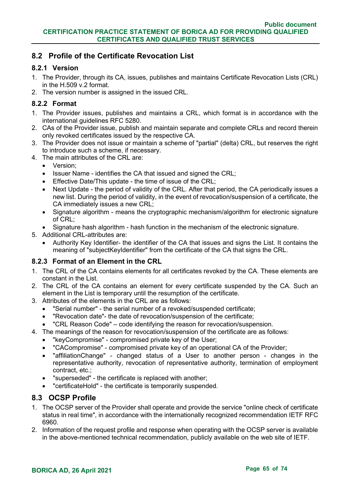# **8.2 Profile of the Certificate Revocation List**

### **8.2.1 Version**

- 1. The Provider, through its CA, issues, publishes and maintains Certificate Revocation Lists (CRL) in the H.509 v.2 format.
- 2. The version number is assigned in the issued CRL.

### **8.2.2 Format**

- 1. The Provider issues, publishes and maintains a CRL, which format is in accordance with the international guidelines RFC 5280.
- 2. CAs of the Provider issue, publish and maintain separate and complete CRLs and record therein only revoked certificates issued by the respective CA.
- 3. The Provider does not issue or maintain a scheme of "partial" (delta) CRL, but reserves the right to introduce such a scheme, if necessary.
- 4. The main attributes of the CRL are:
	- Version;
	- Issuer Name identifies the CA that issued and signed the CRL;
	- Effective Date/This update the time of issue of the CRL;
	- Next Update the period of validity of the CRL. After that period, the CA periodically issues a new list. During the period of validity, in the event of revocation/suspension of a certificate, the CA immediately issues a new CRL;
	- Signature algorithm means the cryptographic mechanism/algorithm for electronic signature of CRL;
	- Signature hash algorithm hash function in the mechanism of the electronic signature.
- 5. Additional CRL-attributes are:
	- Authority Key Identifier- the identifier of the CA that issues and signs the List. It contains the meaning of "subjectKeyIdentifier" from the certificate of the CA that signs the CRL.

### **8.2.3 Format of an Element in the CRL**

- 1. The CRL of the CA contains elements for all certificates revoked by the CA. These elements are constant in the List.
- 2. The CRL of the CA contains an element for every certificate suspended by the CA. Such an element in the List is temporary until the resumption of the certificate.
- 3. Attributes of the elements in the CRL are as follows:
	- "Serial number" the serial number of a revoked/suspended certificate;
	- "Revocation date"- the date of revocation/suspension of the certificate;
	- "CRL Reason Code" code identifying the reason for revocation/suspension.
- 4. The meanings of the reason for revocation/suspension of the certificate are as follows:
	- "keyCompromise" compromised private key of the User;
	- "CACompromise" compromised private key of an operational CA of the Provider;
	- "affiliationChange" changed status of a User to another person changes in the representative authority, revocation of representative authority, termination of employment contract, etc.;
	- "superseded" the certificate is replaced with another;
	- "certificateHold" the certificate is temporarily suspended.

### **8.3 OCSP Profile**

- 1. The OCSP server of the Provider shall operate and provide the service "online check of certificate status in real time", in accordance with the internationally recognized recommendation IETF RFC 6960.
- 2. Information of the request profile and response when operating with the OCSP server is available in the above-mentioned technical recommendation, publicly available on the web site of IETF.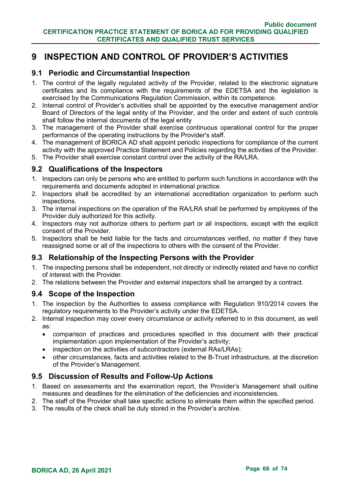# **9 INSPECTION AND CONTROL OF PROVIDER'S ACTIVITIES**

## **9.1 Periodic and Circumstantial Inspection**

- 1. The control of the legally regulated activity of the Provider, related to the electronic signature certificates and its compliance with the requirements of the EDETSA and the legislation is exercised by the Communications Regulation Commission, within its competence.
- 2. Internal control of Provider's activities shall be appointed by the executive management and/or Board of Directors of the legal entity of the Provider, and the order and extent of such controls shall follow the internal documents of the legal entity
- 3. The management of the Provider shall exercise continuous operational control for the proper performance of the operating instructions by the Provider's staff.
- 4. The management of BORICA AD shall appoint periodic inspections for compliance of the current activity with the approved Practice Statement and Policies regarding the activities of the Provider.
- 5. The Provider shall exercise constant control over the activity of the RA/LRA.

# **9.2 Qualifications of the Inspectors**

- 1. Inspectors can only be persons who are entitled to perform such functions in accordance with the requirements and documents adopted in international practice.
- 2. Inspectors shall be accredited by an international accreditation organization to perform such inspections.
- 3. The internal inspections on the operation of the RA/LRA shall be performed by employees of the Provider duly authorized for this activity.
- 4. Inspectors may not authorize others to perform part or all inspections, except with the explicit consent of the Provider.
- 5. Inspectors shall be held liable for the facts and circumstances verified, no matter if they have reassigned some or all of the inspections to others with the consent of the Provider.

### **9.3 Relationship of the Inspecting Persons with the Provider**

- 1. The inspecting persons shall be independent, not directly or indirectly related and have no conflict of interest with the Provider.
- 2. The relations between the Provider and external inspectors shall be arranged by a contract.

# **9.4 Scope of the Inspection**

- 1. The inspection by the Authorities to assess compliance with Regulation 910/2014 covers the regulatory requirements to the Provider's activity under the EDETSA.
- 2. Internal inspection may cover every circumstance or activity referred to in this document, as well as:
	- comparison of practices and procedures specified in this document with their practical implementation upon implementation of the Provider's activity;
	- inspection on the activities of subcontractors (external RAs/LRAs);
	- other circumstances, facts and activities related to the B-Trust infrastructure, at the discretion of the Provider's Management.

### **9.5 Discussion of Results and Follow-Up Actions**

- 1. Based on assessments and the examination report, the Provider's Management shall outline measures and deadlines for the elimination of the deficiencies and inconsistencies.
- 2. The staff of the Provider shall take specific actions to eliminate them within the specified period.
- 3. The results of the check shall be duly stored in the Provider's archive.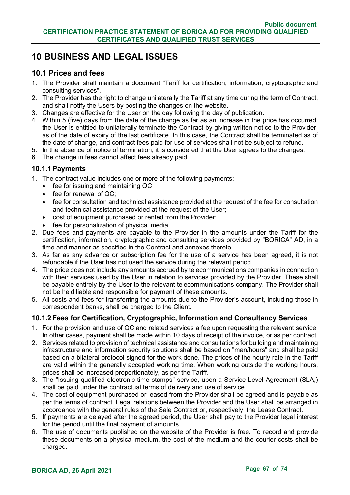# **10 BUSINESS AND LEGAL ISSUES**

### **10.1 Prices and fees**

- 1. The Provider shall maintain a document "Tariff for certification, information, cryptographic and consulting services".
- 2. The Provider has the right to change unilaterally the Tariff at any time during the term of Contract, and shall notify the Users by posting the changes on the website.
- 3. Changes are effective for the User on the day following the day of publication.
- 4. Within 5 (five) days from the date of the change as far as an increase in the price has occurred, the User is entitled to unilaterally terminate the Contract by giving written notice to the Provider, as of the date of expiry of the last certificate. In this case, the Contract shall be terminated as of the date of change, and contract fees paid for use of services shall not be subject to refund.
- 5. In the absence of notice of termination, it is considered that the User agrees to the changes.
- 6. The change in fees cannot affect fees already paid.

### **10.1.1Payments**

- 1. The contract value includes one or more of the following payments:
	- fee for issuing and maintaining QC:
	- fee for renewal of QC;
	- fee for consultation and technical assistance provided at the request of the fee for consultation and technical assistance provided at the request of the User;
	- cost of equipment purchased or rented from the Provider;
	- fee for personalization of physical media.
- 2. Due fees and payments are payable to the Provider in the amounts under the Tariff for the certification, information, cryptographic and consulting services provided by "BORICA" AD, in a time and manner as specified in the Contract and annexes thereto.
- 3. As far as any advance or subscription fee for the use of a service has been agreed, it is not refundable if the User has not used the service during the relevant period.
- 4. The price does not include any amounts accrued by telecommunications companies in connection with their services used by the User in relation to services provided by the Provider. These shall be payable entirely by the User to the relevant telecommunications company. The Provider shall not be held liable and responsible for payment of these amounts.
- 5. All costs and fees for transferring the amounts due to the Provider's account, including those in correspondent banks, shall be charged to the Client.

### **10.1.2 Fees for Certification, Cryptographic, Information and Consultancy Services**

- 1. For the provision and use of QC and related services a fee upon requesting the relevant service. In other cases, payment shall be made within 10 days of receipt of the invoice, or as per contract.
- 2. Services related to provision of technical assistance and consultations for building and maintaining infrastructure and information security solutions shall be based on "man/hours" and shall be paid based on a bilateral protocol signed for the work done. The prices of the hourly rate in the Tariff are valid within the generally accepted working time. When working outside the working hours, prices shall be increased proportionately, as per the Tariff.
- 3. The "Issuing qualified electronic time stamps" service, upon a Service Level Agreement (SLA,) shall be paid under the contractual terms of delivery and use of service.
- 4. The cost of equipment purchased or leased from the Provider shall be agreed and is payable as per the terms of contract. Legal relations between the Provider and the User shall be arranged in accordance with the general rules of the Sale Contract or, respectively, the Lease Contract.
- 5. If payments are delayed after the agreed period, the User shall pay to the Provider legal interest for the period until the final payment of amounts.
- 6. The use of documents published on the website of the Provider is free. To record and provide these documents on a physical medium, the cost of the medium and the courier costs shall be charged.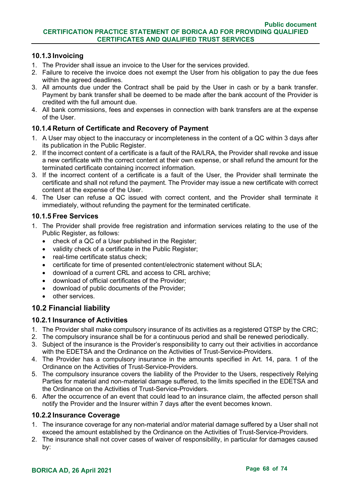### **10.1.3 Invoicing**

- 1. The Provider shall issue an invoice to the User for the services provided.
- 2. Failure to receive the invoice does not exempt the User from his obligation to pay the due fees within the agreed deadlines.
- 3. All amounts due under the Contract shall be paid by the User in cash or by a bank transfer. Payment by bank transfer shall be deemed to be made after the bank account of the Provider is credited with the full amount due.
- 4. All bank commissions, fees and expenses in connection with bank transfers are at the expense of the User.

### **10.1.4 Return of Certificate and Recovery of Payment**

- 1. A User may object to the inaccuracy or incompleteness in the content of a QC within 3 days after its publication in the Public Register.
- 2. If the incorrect content of a certificate is a fault of the RA/LRA, the Provider shall revoke and issue a new certificate with the correct content at their own expense, or shall refund the amount for the terminated certificate containing incorrect information.
- 3. If the incorrect content of a certificate is a fault of the User, the Provider shall terminate the certificate and shall not refund the payment. The Provider may issue a new certificate with correct content at the expense of the User.
- 4. The User can refuse a QC issued with correct content, and the Provider shall terminate it immediately, without refunding the payment for the terminated certificate.

### **10.1.5 Free Services**

- 1. The Provider shall provide free registration and information services relating to the use of the Public Register, as follows:
	- check of a QC of a User published in the Register;
	- validity check of a certificate in the Public Register:
	- real-time certificate status check;
	- certificate for time of presented content/electronic statement without SLA;
	- download of a current CRL and access to CRL archive;
	- download of official certificates of the Provider;
	- download of public documents of the Provider;
	- other services.

## **10.2 Financial liability**

### **10.2.1 Insurance of Activities**

- 1. The Provider shall make compulsory insurance of its activities as a registered QTSP by the CRC;
- 2. The compulsory insurance shall be for a continuous period and shall be renewed periodically.
- 3. Subject of the insurance is the Provider's responsibility to carry out their activities in accordance with the EDETSA and the Ordinance on the Activities of Trust-Service-Providers.
- 4. The Provider has a compulsory insurance in the amounts specified in Art. 14, para. 1 of the Ordinance on the Activities of Trust-Service-Providers.
- 5. The compulsory insurance covers the liability of the Provider to the Users, respectively Relying Parties for material and non-material damage suffered, to the limits specified in the EDETSA and the Ordinance on the Activities of Trust-Service-Providers.
- 6. After the occurrence of an event that could lead to an insurance claim, the affected person shall notify the Provider and the Insurer within 7 days after the event becomes known.

### **10.2.2 Insurance Coverage**

- 1. The insurance coverage for any non-material and/or material damage suffered by a User shall not exceed the amount established by the Ordinance on the Activities of Trust-Service-Providers.
- 2. The insurance shall not cover cases of waiver of responsibility, in particular for damages caused by: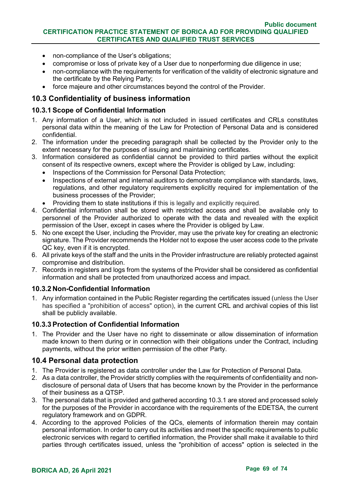- non-compliance of the User's obligations:
- compromise or loss of private key of a User due to nonperforming due diligence in use:
- non-compliance with the requirements for verification of the validity of electronic signature and the certificate by the Relying Party;
- force majeure and other circumstances beyond the control of the Provider.

# **10.3 Confidentiality of business information**

### **10.3.1Scope of Confidential Information**

- 1. Any information of a User, which is not included in issued certificates and CRLs constitutes personal data within the meaning of the Law for Protection of Personal Data and is considered confidential.
- 2. The information under the preceding paragraph shall be collected by the Provider only to the extent necessary for the purposes of issuing and maintaining certificates.
- 3. Information considered as confidential cannot be provided to third parties without the explicit consent of its respective owners, except where the Provider is obliged by Law, including:
	- Inspections of the Commission for Personal Data Protection;
	- Inspections of external and internal auditors to demonstrate compliance with standards, laws, regulations, and other regulatory requirements explicitly required for implementation of the business processes of the Provider;
	- Providing them to state institutions if this is legally and explicitly required.
- 4. Confidential information shall be stored with restricted access and shall be available only to personnel of the Provider authorized to operate with the data and revealed with the explicit permission of the User, except in cases where the Provider is obliged by Law.
- 5. No one except the User, including the Provider, may use the private key for creating an electronic signature. The Provider recommends the Holder not to expose the user access code to the private QC key, even if it is encrypted.
- 6. All private keys of the staff and the units in the Provider infrastructure are reliably protected against compromise and distribution.
- 7. Records in registers and logs from the systems of the Provider shall be considered as confidential information and shall be protected from unauthorized access and impact.

### **10.3.2 Non-Confidential Information**

1. Any information contained in the Public Register regarding the certificates issued (unless the User has specified a "prohibition of access" option), in the current CRL and archival copies of this list shall be publicly available.

### **10.3.3Protection of Confidential Information**

1. The Provider and the User have no right to disseminate or allow dissemination of information made known to them during or in connection with their obligations under the Contract, including payments, without the prior written permission of the other Party.

### **10.4 Personal data protection**

- 1. The Provider is registered as data controller under the Law for Protection of Personal Data.
- 2. As a data controller, the Provider strictly complies with the requirements of confidentiality and nondisclosure of personal data of Users that has become known by the Provider in the performance of their business as a QTSP.
- 3. The personal data that is provided and gathered according 10.3.1 are stored and processed solely for the purposes of the Provider in accordance with the requirements of the EDETSA, the current regulatory framework and on GDPR.
- 4. According to the approved Policies of the QCs, elements of information therein may contain personal information. In order to carry out its activities and meet the specific requirements to public electronic services with regard to certified information, the Provider shall make it available to third parties through certificates issued, unless the "prohibition of access" option is selected in the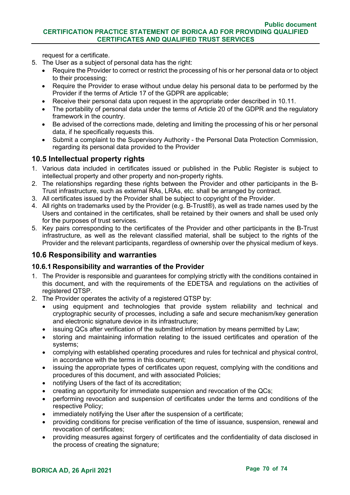request for a certificate.

- 5. The User as a subject of personal data has the right:
	- Require the Provider to correct or restrict the processing of his or her personal data or to object to their processing;
	- Require the Provider to erase without undue delay his personal data to be performed by the Provider if the terms of Article 17 of the GDPR are applicable;
	- Receive their personal data upon request in the appropriate order described in 10.11.
	- The portability of personal data under the terms of Article 20 of the GDPR and the regulatory framework in the country.
	- Be advised of the corrections made, deleting and limiting the processing of his or her personal data, if he specifically requests this.
	- Submit a complaint to the Supervisory Authority the Personal Data Protection Commission, regarding its personal data provided to the Provider

# **10.5 Intellectual property rights**

- 1. Various data included in certificates issued or published in the Public Register is subject to intellectual property and other property and non-property rights.
- 2. The relationships regarding these rights between the Provider and other participants in the B-Trust infrastructure, such as external RAs, LRAs, etc. shall be arranged by contract.
- 3. All certificates issued by the Provider shall be subject to copyright of the Provider.
- 4. All rights on trademarks used by the Provider (e.g. B-Trust®), as well as trade names used by the Users and contained in the certificates, shall be retained by their owners and shall be used only for the purposes of trust services.
- 5. Key pairs corresponding to the certificates of the Provider and other participants in the B-Trust infrastructure, as well as the relevant classified material, shall be subject to the rights of the Provider and the relevant participants, regardless of ownership over the physical medium of keys.

### **10.6 Responsibility and warranties**

### **10.6.1 Responsibility and warranties of the Provider**

- 1. The Provider is responsible and guarantees for complying strictly with the conditions contained in this document, and with the requirements of the EDETSA and regulations on the activities of registered QTSP.
- 2. The Provider operates the activity of a registered QTSP by:
	- using equipment and technologies that provide system reliability and technical and cryptographic security of processes, including a safe and secure mechanism/key generation and electronic signature device in its infrastructure;
	- issuing QCs after verification of the submitted information by means permitted by Law;
	- storing and maintaining information relating to the issued certificates and operation of the systems;
	- complying with established operating procedures and rules for technical and physical control, in accordance with the terms in this document;
	- issuing the appropriate types of certificates upon request, complying with the conditions and procedures of this document, and with associated Policies;
	- notifying Users of the fact of its accreditation;
	- creating an opportunity for immediate suspension and revocation of the QCs;
	- performing revocation and suspension of certificates under the terms and conditions of the respective Policy;
	- immediately notifying the User after the suspension of a certificate;
	- providing conditions for precise verification of the time of issuance, suspension, renewal and revocation of certificates;
	- providing measures against forgery of certificates and the confidentiality of data disclosed in the process of creating the signature;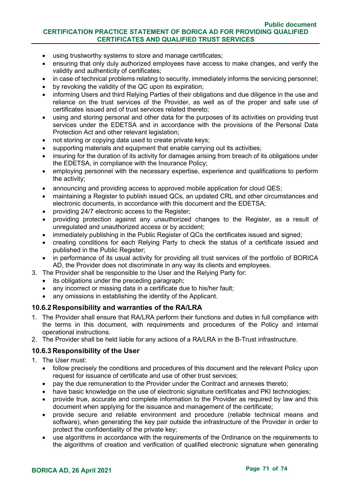#### **Public document CERTIFICATION PRACTICE STATEMENT OF BORICA AD FOR PROVIDING QUALIFIED CERTIFICATES AND QUALIFIED TRUST SERVICES**

- using trustworthy systems to store and manage certificates;
- ensuring that only duly authorized employees have access to make changes, and verify the validity and authenticity of certificates;
- in case of technical problems relating to security, immediately informs the servicing personnel;
- by revoking the validity of the QC upon its expiration;
- informing Users and third Relying Parties of their obligations and due diligence in the use and reliance on the trust services of the Provider, as well as of the proper and safe use of certificates issued and of trust services related thereto;
- using and storing personal and other data for the purposes of its activities on providing trust services under the EDETSA and in accordance with the provisions of the Personal Data Protection Act and other relevant legislation;
- not storing or copying data used to create private keys;
- supporting materials and equipment that enable carrying out its activities;
- insuring for the duration of its activity for damages arising from breach of its obligations under the EDETSA, in compliance with the Insurance Policy;
- employing personnel with the necessary expertise, experience and qualifications to perform the activity;
- announcing and providing access to approved mobile application for cloud QES;
- maintaining a Register to publish issued QCs, an updated CRL and other circumstances and electronic documents, in accordance with this document and the EDETSA;
- providing 24/7 electronic access to the Register;
- providing protection against any unauthorized changes to the Register, as a result of unregulated and unauthorized access or by accident;
- immediately publishing in the Public Register of QCs the certificates issued and signed;
- creating conditions for each Relying Party to check the status of a certificate issued and published in the Public Register;
- in performance of its usual activity for providing all trust services of the portfolio of BORICA AD, the Provider does not discriminate in any way its clients and employees.
- 3. The Provider shall be responsible to the User and the Relying Party for:
	- its obligations under the preceding paragraph;
	- any incorrect or missing data in a certificate due to his/her fault:
	- any omissions in establishing the identity of the Applicant.

#### **10.6.2 Responsibility and warranties of the RA/LRA**

- 1. The Provider shall ensure that RA/LRA perform their functions and duties in full compliance with the terms in this document, with requirements and procedures of the Policy and internal operational instructions.
- 2. The Provider shall be held liable for any actions of a RA/LRA in the B-Trust infrastructure.

#### **10.6.3 Responsibility of the User**

- 1. The User must:
	- follow precisely the conditions and procedures of this document and the relevant Policy upon request for issuance of certificate and use of other trust services;
	- pay the due remuneration to the Provider under the Contract and annexes thereto;
	- have basic knowledge on the use of electronic signature certificates and PKI technologies;
	- provide true, accurate and complete information to the Provider as required by law and this document when applying for the issuance and management of the certificate;
	- provide secure and reliable environment and procedure (reliable technical means and software), when generating the key pair outside the infrastructure of the Provider in order to protect the confidentiality of the private key;
	- use algorithms in accordance with the requirements of the Ordinance on the requirements to the algorithms of creation and verification of qualified electronic signature when generating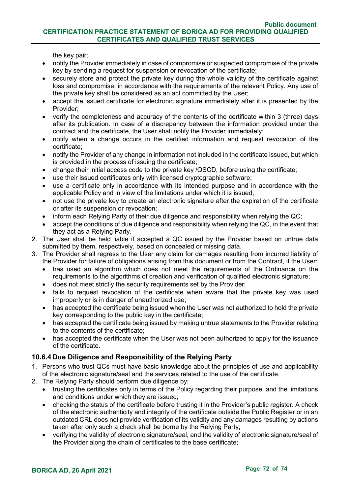#### **Public document CERTIFICATION PRACTICE STATEMENT OF BORICA AD FOR PROVIDING QUALIFIED CERTIFICATES AND QUALIFIED TRUST SERVICES**

the key pair;

- notify the Provider immediately in case of compromise or suspected compromise of the private key by sending a request for suspension or revocation of the certificate;
- securely store and protect the private key during the whole validity of the certificate against loss and compromise, in accordance with the requirements of the relevant Policy. Any use of the private key shall be considered as an act committed by the User;
- accept the issued certificate for electronic signature immediately after it is presented by the Provider;
- verify the completeness and accuracy of the contents of the certificate within 3 (three) days after its publication. In case of a discrepancy between the information provided under the contract and the certificate, the User shall notify the Provider immediately;
- notify when a change occurs in the certified information and request revocation of the certificate;
- notify the Provider of any change in information not included in the certificate issued, but which is provided in the process of issuing the certificate;
- change their initial access code to the private key /QSCD, before using the certificate;
- use their issued certificates only with licensed cryptographic software;
- use a certificate only in accordance with its intended purpose and in accordance with the applicable Policy and in view of the limitations under which it is issued;
- not use the private key to create an electronic signature after the expiration of the certificate or after its suspension or revocation;
- inform each Relying Party of their due diligence and responsibility when relying the QC;
- accept the conditions of due diligence and responsibility when relying the QC, in the event that they act as a Relying Party.
- 2. The User shall be held liable if accepted a QC issued by the Provider based on untrue data submitted by them, respectively, based on concealed or missing data.
- 3. The Provider shall regress to the User any claim for damages resulting from incurred liability of the Provider for failure of obligations arising from this document or from the Contract, if the User:
	- has used an algorithm which does not meet the requirements of the Ordinance on the requirements to the algorithms of creation and verification of qualified electronic signature;
	- does not meet strictly the security requirements set by the Provider;
	- fails to request revocation of the certificate when aware that the private key was used improperly or is in danger of unauthorized use;
	- has accepted the certificate being issued when the User was not authorized to hold the private key corresponding to the public key in the certificate;
	- has accepted the certificate being issued by making untrue statements to the Provider relating to the contents of the certificate;
	- has accepted the certificate when the User was not been authorized to apply for the issuance of the certificate.

### **10.6.4 Due Diligence and Responsibility of the Relying Party**

- 1. Persons who trust QCs must have basic knowledge about the principles of use and applicability of the electronic signature/seal and the services related to the use of the certificate.
- 2. The Relying Party should perform due diligence by:
	- trusting the certificates only in terms of the Policy regarding their purpose, and the limitations and conditions under which they are issued;
	- checking the status of the certificate before trusting it in the Provider's public register. A check of the electronic authenticity and integrity of the certificate outside the Public Register or in an outdated CRL does not provide verification of its validity and any damages resulting by actions taken after only such a check shall be borne by the Relying Party;
	- verifying the validity of electronic signature/seal, and the validity of electronic signature/seal of the Provider along the chain of certificates to the base certificate;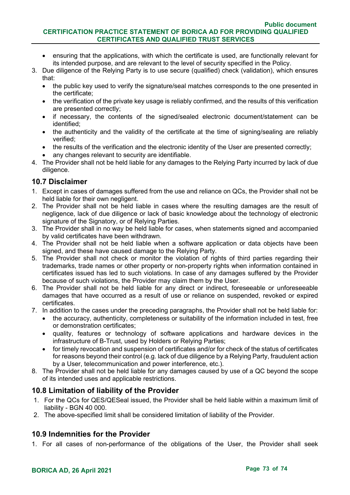- ensuring that the applications, with which the certificate is used, are functionally relevant for its intended purpose, and are relevant to the level of security specified in the Policy.
- 3. Due diligence of the Relying Party is to use secure (qualified) check (validation), which ensures that:
	- the public key used to verify the signature/seal matches corresponds to the one presented in the certificate;
	- the verification of the private key usage is reliably confirmed, and the results of this verification are presented correctly;
	- if necessary, the contents of the signed/sealed electronic document/statement can be identified;
	- the authenticity and the validity of the certificate at the time of signing/sealing are reliably verified;
	- the results of the verification and the electronic identity of the User are presented correctly;
	- any changes relevant to security are identifiable.
- 4. The Provider shall not be held liable for any damages to the Relying Party incurred by lack of due diligence.

# **10.7 Disclaimer**

- 1. Except in cases of damages suffered from the use and reliance on QCs, the Provider shall not be held liable for their own negligent.
- 2. The Provider shall not be held liable in cases where the resulting damages are the result of negligence, lack of due diligence or lack of basic knowledge about the technology of electronic signature of the Signatory, or of Relying Parties.
- 3. The Provider shall in no way be held liable for cases, when statements signed and accompanied by valid certificates have been withdrawn.
- 4. The Provider shall not be held liable when a software application or data objects have been signed, and these have caused damage to the Relying Party.
- 5. The Provider shall not check or monitor the violation of rights of third parties regarding their trademarks, trade names or other property or non-property rights when information contained in certificates issued has led to such violations. In case of any damages suffered by the Provider because of such violations, the Provider may claim them by the User.
- 6. The Provider shall not be held liable for any direct or indirect, foreseeable or unforeseeable damages that have occurred as a result of use or reliance on suspended, revoked or expired certificates.
- 7. In addition to the cases under the preceding paragraphs, the Provider shall not be held liable for:
	- the accuracy, authenticity, completeness or suitability of the information included in test, free or demonstration certificates;
	- quality, features or technology of software applications and hardware devices in the infrastructure of B-Trust, used by Holders or Relying Parties;
	- for timely revocation and suspension of certificates and/or for check of the status of certificates for reasons beyond their control (e.g. lack of due diligence by a Relying Party, fraudulent action by a User, telecommunication and power interference, etc.).
- 8. The Provider shall not be held liable for any damages caused by use of a QC beyond the scope of its intended uses and applicable restrictions.

# **10.8 Limitation of liability of the Provider**

- 1. For the QCs for QES/QESeal issued, the Provider shall be held liable within a maximum limit of liability - BGN 40 000.
- 2. The above-specified limit shall be considered limitation of liability of the Provider.

# **10.9 Indemnities for the Provider**

1. For all cases of non-performance of the obligations of the User, the Provider shall seek